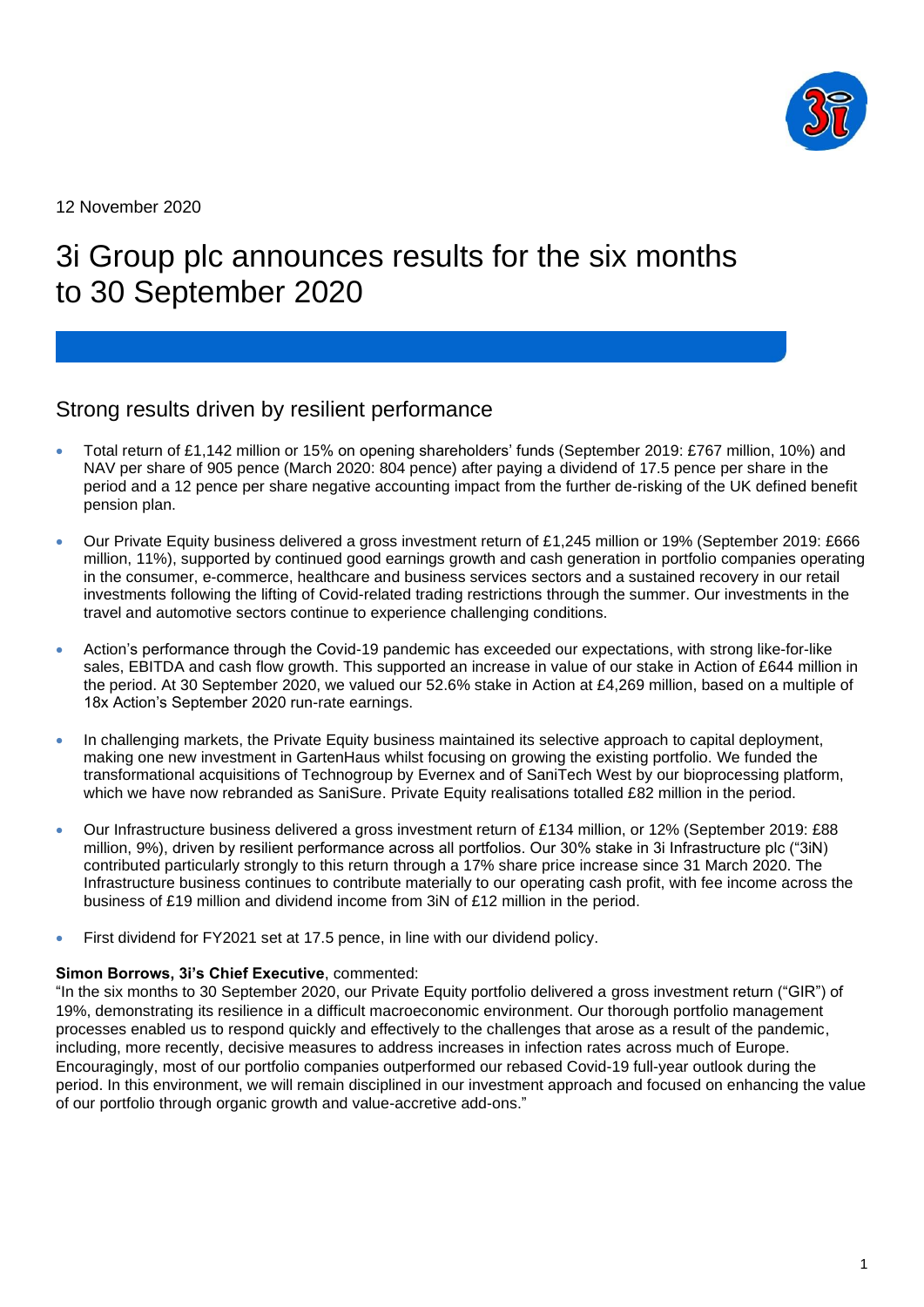

12 November 2020

# 3i Group plc announces results for the six months to 30 September 2020

# Strong results driven by resilient performance

- Total return of £1,142 million or 15% on opening shareholders' funds (September 2019: £767 million, 10%) and NAV per share of 905 pence (March 2020: 804 pence) after paying a dividend of 17.5 pence per share in the period and a 12 pence per share negative accounting impact from the further de-risking of the UK defined benefit pension plan.
- Our Private Equity business delivered a gross investment return of £1,245 million or 19% (September 2019: £666 million, 11%), supported by continued good earnings growth and cash generation in portfolio companies operating in the consumer, e-commerce, healthcare and business services sectors and a sustained recovery in our retail investments following the lifting of Covid-related trading restrictions through the summer. Our investments in the travel and automotive sectors continue to experience challenging conditions.
- Action's performance through the Covid-19 pandemic has exceeded our expectations, with strong like-for-like sales, EBITDA and cash flow growth. This supported an increase in value of our stake in Action of £644 million in the period. At 30 September 2020, we valued our 52.6% stake in Action at £4,269 million, based on a multiple of 18x Action's September 2020 run-rate earnings.
- In challenging markets, the Private Equity business maintained its selective approach to capital deployment, making one new investment in GartenHaus whilst focusing on growing the existing portfolio. We funded the transformational acquisitions of Technogroup by Evernex and of SaniTech West by our bioprocessing platform, which we have now rebranded as SaniSure. Private Equity realisations totalled £82 million in the period.
- Our Infrastructure business delivered a gross investment return of £134 million, or 12% (September 2019: £88 million, 9%), driven by resilient performance across all portfolios. Our 30% stake in 3i Infrastructure plc ("3iN) contributed particularly strongly to this return through a 17% share price increase since 31 March 2020. The Infrastructure business continues to contribute materially to our operating cash profit, with fee income across the business of £19 million and dividend income from 3iN of £12 million in the period.
- First dividend for FY2021 set at 17.5 pence, in line with our dividend policy.

### **Simon Borrows, 3i's Chief Executive**, commented:

"In the six months to 30 September 2020, our Private Equity portfolio delivered a gross investment return ("GIR") of 19%, demonstrating its resilience in a difficult macroeconomic environment. Our thorough portfolio management processes enabled us to respond quickly and effectively to the challenges that arose as a result of the pandemic, including, more recently, decisive measures to address increases in infection rates across much of Europe. Encouragingly, most of our portfolio companies outperformed our rebased Covid-19 full-year outlook during the period. In this environment, we will remain disciplined in our investment approach and focused on enhancing the value of our portfolio through organic growth and value-accretive add-ons."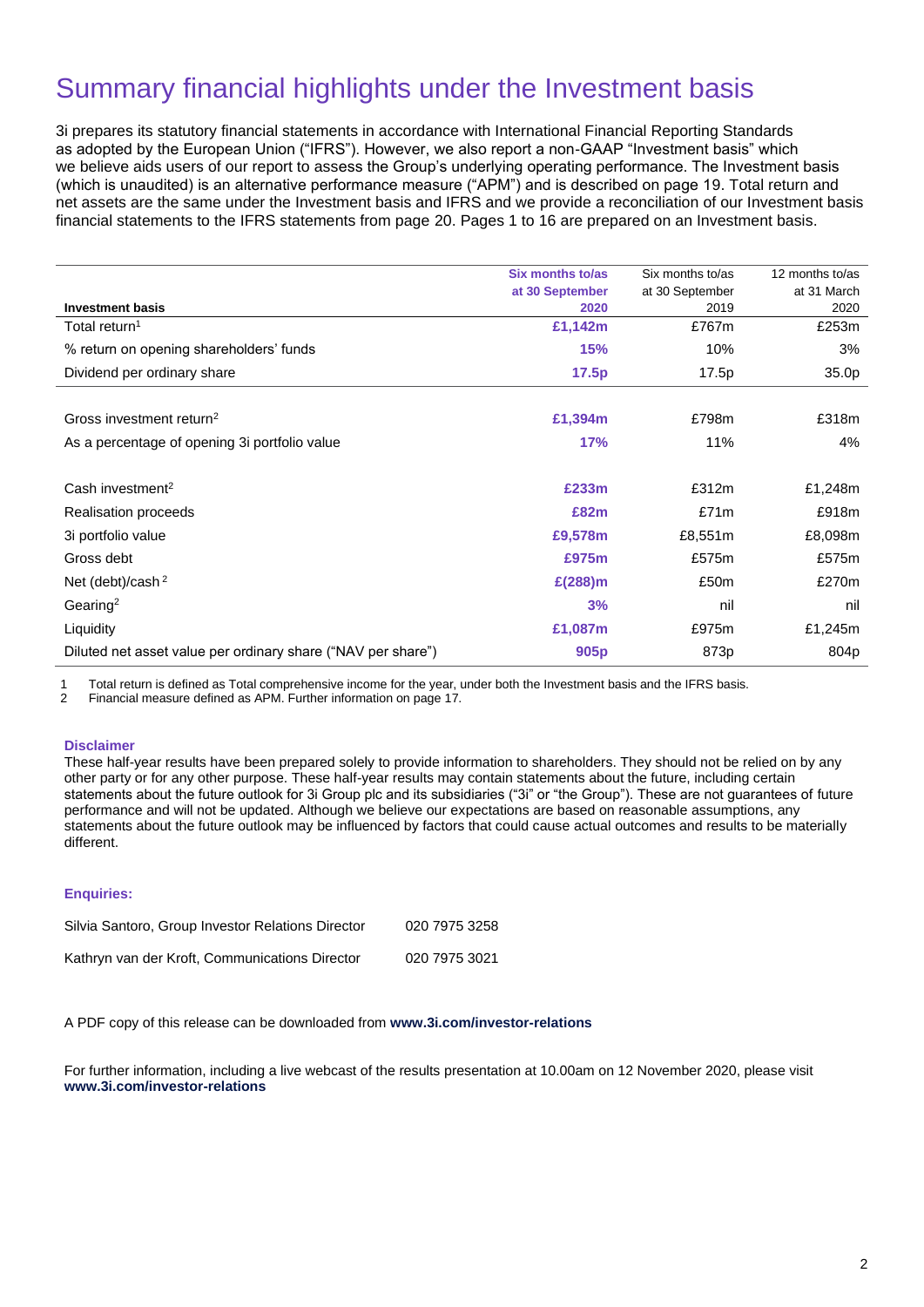# Summary financial highlights under the Investment basis

3i prepares its statutory financial statements in accordance with International Financial Reporting Standards as adopted by the European Union ("IFRS"). However, we also report a non-GAAP "Investment basis" which we believe aids users of our report to assess the Group's underlying operating performance. The Investment basis (which is unaudited) is an alternative performance measure ("APM") and is described on page 19. Total return and net assets are the same under the Investment basis and IFRS and we provide a reconciliation of our Investment basis financial statements to the IFRS statements from page 20. Pages 1 to 16 are prepared on an Investment basis.

|                                                              | Six months to/as<br>at 30 September | Six months to/as<br>at 30 September | 12 months to/as<br>at 31 March |
|--------------------------------------------------------------|-------------------------------------|-------------------------------------|--------------------------------|
| <b>Investment basis</b>                                      | 2020                                | 2019                                | 2020                           |
| Total return <sup>1</sup>                                    | £1,142m                             | £767m                               | £253m                          |
| % return on opening shareholders' funds                      | <b>15%</b>                          | 10%                                 | 3%                             |
| Dividend per ordinary share                                  | 17.5p                               | 17.5p                               | 35.0p                          |
|                                                              |                                     |                                     |                                |
| Gross investment return <sup>2</sup>                         | £1,394m                             | £798m                               | £318m                          |
| As a percentage of opening 3i portfolio value                | 17%                                 | 11%                                 | 4%                             |
|                                                              |                                     |                                     |                                |
| Cash investment <sup>2</sup>                                 | £233m                               | £312m                               | £1,248m                        |
| Realisation proceeds                                         | £82m                                | £71m                                | £918m                          |
| 3i portfolio value                                           | £9,578m                             | £8,551m                             | £8,098m                        |
| Gross debt                                                   | £975m                               | £575m                               | £575m                          |
| Net (debt)/cash <sup>2</sup>                                 | $E(288)$ m                          | £50m                                | £270m                          |
| Gearing <sup>2</sup>                                         | 3%                                  | nil                                 | nil                            |
| Liquidity                                                    | £1,087m                             | £975m                               | £1,245m                        |
| Diluted net asset value per ordinary share ("NAV per share") | 905 <sub>p</sub>                    | 873p                                | 804p                           |

1 Total return is defined as Total comprehensive income for the year, under both the Investment basis and the IFRS basis.

2 Financial measure defined as APM. Further information on page 17.

#### **Disclaimer**

These half-year results have been prepared solely to provide information to shareholders. They should not be relied on by any other party or for any other purpose. These half-year results may contain statements about the future, including certain statements about the future outlook for 3i Group plc and its subsidiaries ("3i" or "the Group"). These are not guarantees of future performance and will not be updated. Although we believe our expectations are based on reasonable assumptions, any statements about the future outlook may be influenced by factors that could cause actual outcomes and results to be materially different.

### **Enquiries:**

| Silvia Santoro, Group Investor Relations Director | 020 7975 3258 |
|---------------------------------------------------|---------------|
| Kathryn van der Kroft, Communications Director    | 020 7975 3021 |

A PDF copy of this release can be downloaded from **[www.3i.com/investor-relations](http://www.3i.com/investor-relations)**

For further information, including a live webcast of the results presentation at 10.00am on 12 November 2020, please visit **[www.3i.com/investor-relations](http://www.3i.com/investor-relations)**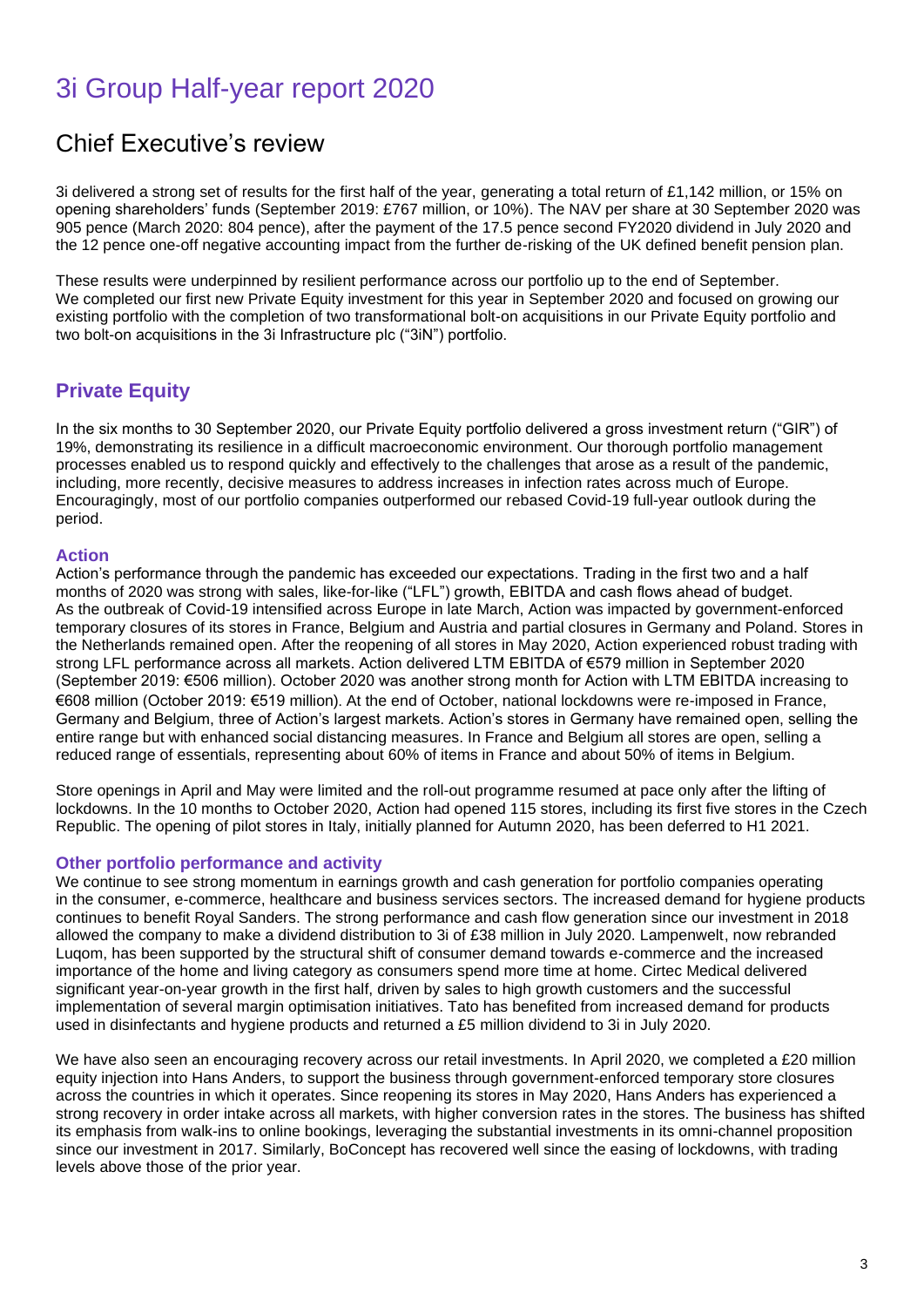# 3i Group Half-year report 2020

# Chief Executive's review

3i delivered a strong set of results for the first half of the year, generating a total return of £1,142 million, or 15% on opening shareholders' funds (September 2019: £767 million, or 10%). The NAV per share at 30 September 2020 was 905 pence (March 2020: 804 pence), after the payment of the 17.5 pence second FY2020 dividend in July 2020 and the 12 pence one-off negative accounting impact from the further de-risking of the UK defined benefit pension plan.

These results were underpinned by resilient performance across our portfolio up to the end of September. We completed our first new Private Equity investment for this year in September 2020 and focused on growing our existing portfolio with the completion of two transformational bolt-on acquisitions in our Private Equity portfolio and two bolt-on acquisitions in the 3i Infrastructure plc ("3iN") portfolio.

# **Private Equity**

In the six months to 30 September 2020, our Private Equity portfolio delivered a gross investment return ("GIR") of 19%, demonstrating its resilience in a difficult macroeconomic environment. Our thorough portfolio management processes enabled us to respond quickly and effectively to the challenges that arose as a result of the pandemic, including, more recently, decisive measures to address increases in infection rates across much of Europe. Encouragingly, most of our portfolio companies outperformed our rebased Covid-19 full-year outlook during the period.

## **Action**

Action's performance through the pandemic has exceeded our expectations. Trading in the first two and a half months of 2020 was strong with sales, like-for-like ("LFL") growth, EBITDA and cash flows ahead of budget. As the outbreak of Covid-19 intensified across Europe in late March, Action was impacted by government-enforced temporary closures of its stores in France, Belgium and Austria and partial closures in Germany and Poland. Stores in the Netherlands remained open. After the reopening of all stores in May 2020, Action experienced robust trading with strong LFL performance across all markets. Action delivered LTM EBITDA of €579 million in September 2020 (September 2019: €506 million). October 2020 was another strong month for Action with LTM EBITDA increasing to €608 million (October 2019: €519 million). At the end of October, national lockdowns were re-imposed in France, Germany and Belgium, three of Action's largest markets. Action's stores in Germany have remained open, selling the entire range but with enhanced social distancing measures. In France and Belgium all stores are open, selling a reduced range of essentials, representing about 60% of items in France and about 50% of items in Belgium.

Store openings in April and May were limited and the roll-out programme resumed at pace only after the lifting of lockdowns. In the 10 months to October 2020, Action had opened 115 stores, including its first five stores in the Czech Republic. The opening of pilot stores in Italy, initially planned for Autumn 2020, has been deferred to H1 2021.

### **Other portfolio performance and activity**

We continue to see strong momentum in earnings growth and cash generation for portfolio companies operating in the consumer, e-commerce, healthcare and business services sectors. The increased demand for hygiene products continues to benefit Royal Sanders. The strong performance and cash flow generation since our investment in 2018 allowed the company to make a dividend distribution to 3i of £38 million in July 2020. Lampenwelt, now rebranded Luqom, has been supported by the structural shift of consumer demand towards e-commerce and the increased importance of the home and living category as consumers spend more time at home. Cirtec Medical delivered significant year-on-year growth in the first half, driven by sales to high growth customers and the successful implementation of several margin optimisation initiatives. Tato has benefited from increased demand for products used in disinfectants and hygiene products and returned a £5 million dividend to 3i in July 2020.

We have also seen an encouraging recovery across our retail investments. In April 2020, we completed a £20 million equity injection into Hans Anders, to support the business through government-enforced temporary store closures across the countries in which it operates. Since reopening its stores in May 2020, Hans Anders has experienced a strong recovery in order intake across all markets, with higher conversion rates in the stores. The business has shifted its emphasis from walk-ins to online bookings, leveraging the substantial investments in its omni-channel proposition since our investment in 2017. Similarly, BoConcept has recovered well since the easing of lockdowns, with trading levels above those of the prior year.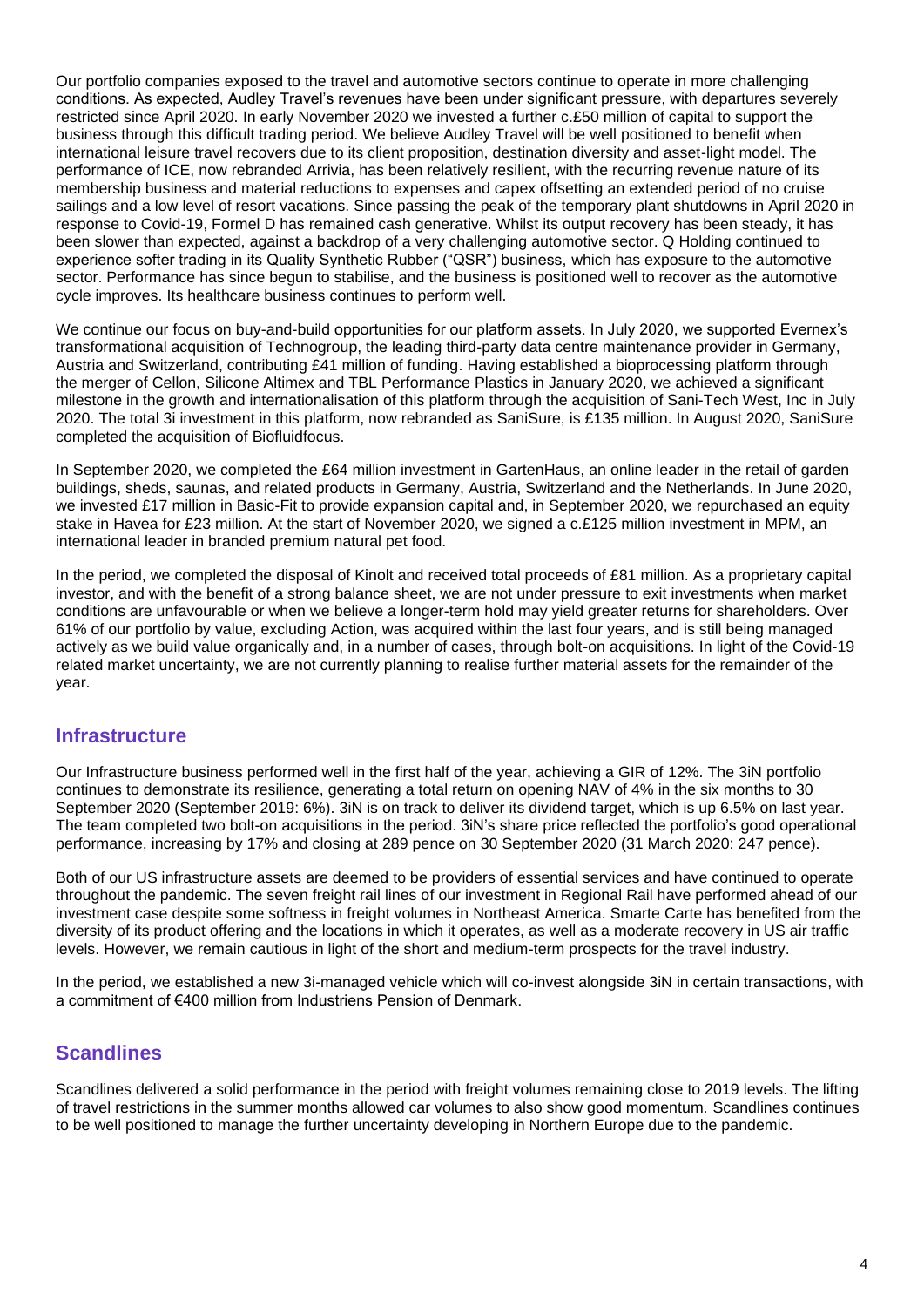Our portfolio companies exposed to the travel and automotive sectors continue to operate in more challenging conditions. As expected, Audley Travel's revenues have been under significant pressure, with departures severely restricted since April 2020. In early November 2020 we invested a further c.£50 million of capital to support the business through this difficult trading period. We believe Audley Travel will be well positioned to benefit when international leisure travel recovers due to its client proposition, destination diversity and asset-light model. The performance of ICE, now rebranded Arrivia, has been relatively resilient, with the recurring revenue nature of its membership business and material reductions to expenses and capex offsetting an extended period of no cruise sailings and a low level of resort vacations. Since passing the peak of the temporary plant shutdowns in April 2020 in response to Covid-19, Formel D has remained cash generative. Whilst its output recovery has been steady, it has been slower than expected, against a backdrop of a very challenging automotive sector. Q Holding continued to experience softer trading in its Quality Synthetic Rubber ("QSR") business, which has exposure to the automotive sector. Performance has since begun to stabilise, and the business is positioned well to recover as the automotive cycle improves. Its healthcare business continues to perform well.

We continue our focus on buy-and-build opportunities for our platform assets. In July 2020, we supported Evernex's transformational acquisition of Technogroup, the leading third-party data centre maintenance provider in Germany, Austria and Switzerland, contributing £41 million of funding. Having established a bioprocessing platform through the merger of Cellon, Silicone Altimex and TBL Performance Plastics in January 2020, we achieved a significant milestone in the growth and internationalisation of this platform through the acquisition of Sani-Tech West, Inc in July 2020. The total 3i investment in this platform, now rebranded as SaniSure, is £135 million. In August 2020, SaniSure completed the acquisition of Biofluidfocus.

In September 2020, we completed the £64 million investment in GartenHaus, an online leader in the retail of garden buildings, sheds, saunas, and related products in Germany, Austria, Switzerland and the Netherlands. In June 2020, we invested £17 million in Basic-Fit to provide expansion capital and, in September 2020, we repurchased an equity stake in Havea for £23 million. At the start of November 2020, we signed a c.£125 million investment in MPM, an international leader in branded premium natural pet food.

In the period, we completed the disposal of Kinolt and received total proceeds of £81 million. As a proprietary capital investor, and with the benefit of a strong balance sheet, we are not under pressure to exit investments when market conditions are unfavourable or when we believe a longer-term hold may yield greater returns for shareholders. Over 61% of our portfolio by value, excluding Action, was acquired within the last four years, and is still being managed actively as we build value organically and, in a number of cases, through bolt-on acquisitions. In light of the Covid-19 related market uncertainty, we are not currently planning to realise further material assets for the remainder of the year.

## **Infrastructure**

Our Infrastructure business performed well in the first half of the year, achieving a GIR of 12%. The 3iN portfolio continues to demonstrate its resilience, generating a total return on opening NAV of 4% in the six months to 30 September 2020 (September 2019: 6%). 3iN is on track to deliver its dividend target, which is up 6.5% on last year. The team completed two bolt-on acquisitions in the period. 3iN's share price reflected the portfolio's good operational performance, increasing by 17% and closing at 289 pence on 30 September 2020 (31 March 2020: 247 pence).

Both of our US infrastructure assets are deemed to be providers of essential services and have continued to operate throughout the pandemic. The seven freight rail lines of our investment in Regional Rail have performed ahead of our investment case despite some softness in freight volumes in Northeast America. Smarte Carte has benefited from the diversity of its product offering and the locations in which it operates, as well as a moderate recovery in US air traffic levels. However, we remain cautious in light of the short and medium-term prospects for the travel industry.

In the period, we established a new 3i-managed vehicle which will co-invest alongside 3iN in certain transactions, with a commitment of €400 million from Industriens Pension of Denmark.

## **Scandlines**

Scandlines delivered a solid performance in the period with freight volumes remaining close to 2019 levels. The lifting of travel restrictions in the summer months allowed car volumes to also show good momentum. Scandlines continues to be well positioned to manage the further uncertainty developing in Northern Europe due to the pandemic.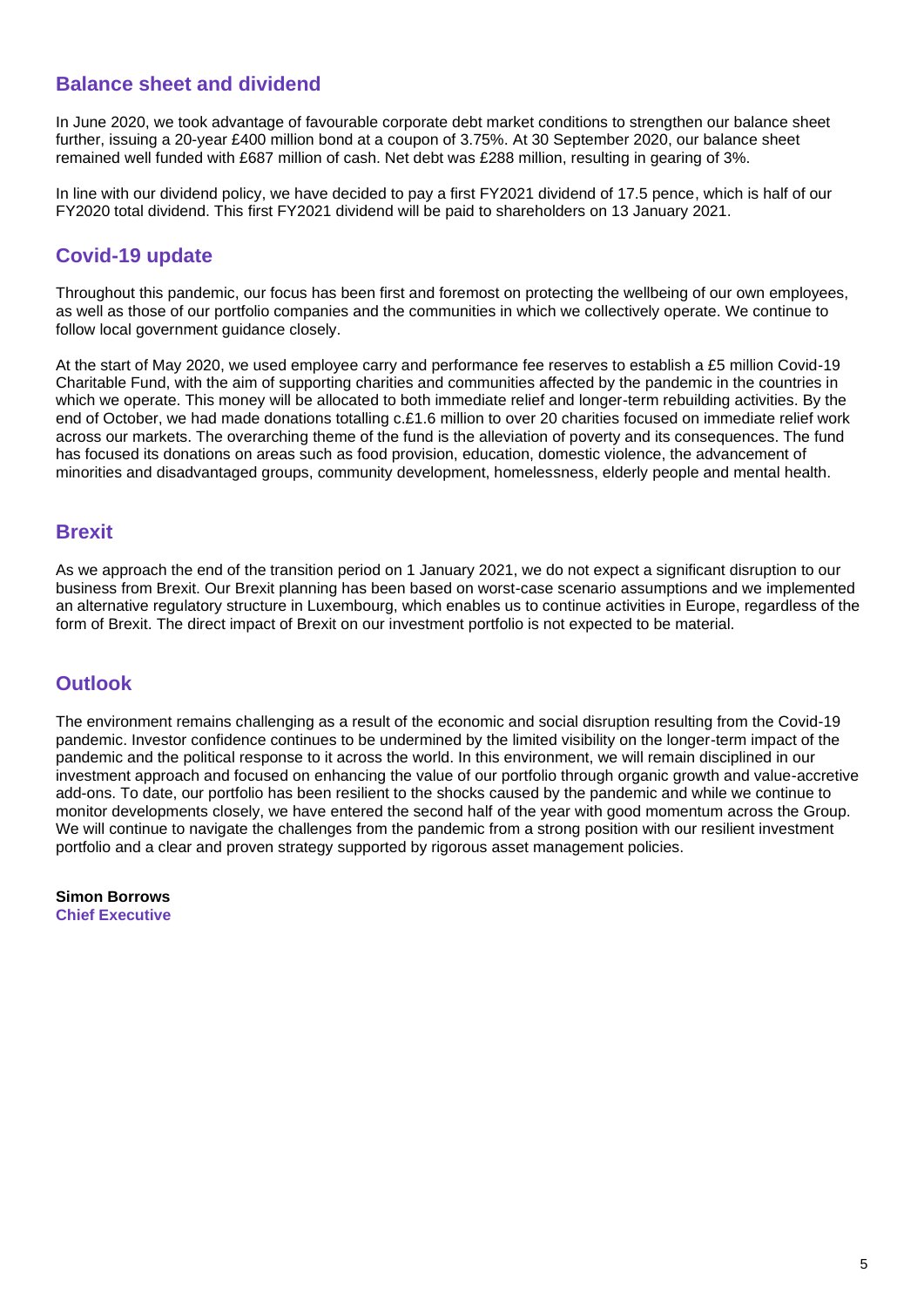# **Balance sheet and dividend**

In June 2020, we took advantage of favourable corporate debt market conditions to strengthen our balance sheet further, issuing a 20-year £400 million bond at a coupon of 3.75%. At 30 September 2020, our balance sheet remained well funded with £687 million of cash. Net debt was £288 million, resulting in gearing of 3%.

In line with our dividend policy, we have decided to pay a first FY2021 dividend of 17.5 pence, which is half of our FY2020 total dividend. This first FY2021 dividend will be paid to shareholders on 13 January 2021.

# **Covid-19 update**

Throughout this pandemic, our focus has been first and foremost on protecting the wellbeing of our own employees, as well as those of our portfolio companies and the communities in which we collectively operate. We continue to follow local government guidance closely.

At the start of May 2020, we used employee carry and performance fee reserves to establish a £5 million Covid-19 Charitable Fund, with the aim of supporting charities and communities affected by the pandemic in the countries in which we operate. This money will be allocated to both immediate relief and longer-term rebuilding activities. By the end of October, we had made donations totalling c.£1.6 million to over 20 charities focused on immediate relief work across our markets. The overarching theme of the fund is the alleviation of poverty and its consequences. The fund has focused its donations on areas such as food provision, education, domestic violence, the advancement of minorities and disadvantaged groups, community development, homelessness, elderly people and mental health.

# **Brexit**

As we approach the end of the transition period on 1 January 2021, we do not expect a significant disruption to our business from Brexit. Our Brexit planning has been based on worst-case scenario assumptions and we implemented an alternative regulatory structure in Luxembourg, which enables us to continue activities in Europe, regardless of the form of Brexit. The direct impact of Brexit on our investment portfolio is not expected to be material.

# **Outlook**

The environment remains challenging as a result of the economic and social disruption resulting from the Covid-19 pandemic. Investor confidence continues to be undermined by the limited visibility on the longer-term impact of the pandemic and the political response to it across the world. In this environment, we will remain disciplined in our investment approach and focused on enhancing the value of our portfolio through organic growth and value-accretive add-ons. To date, our portfolio has been resilient to the shocks caused by the pandemic and while we continue to monitor developments closely, we have entered the second half of the year with good momentum across the Group. We will continue to navigate the challenges from the pandemic from a strong position with our resilient investment portfolio and a clear and proven strategy supported by rigorous asset management policies.

**Simon Borrows Chief Executive**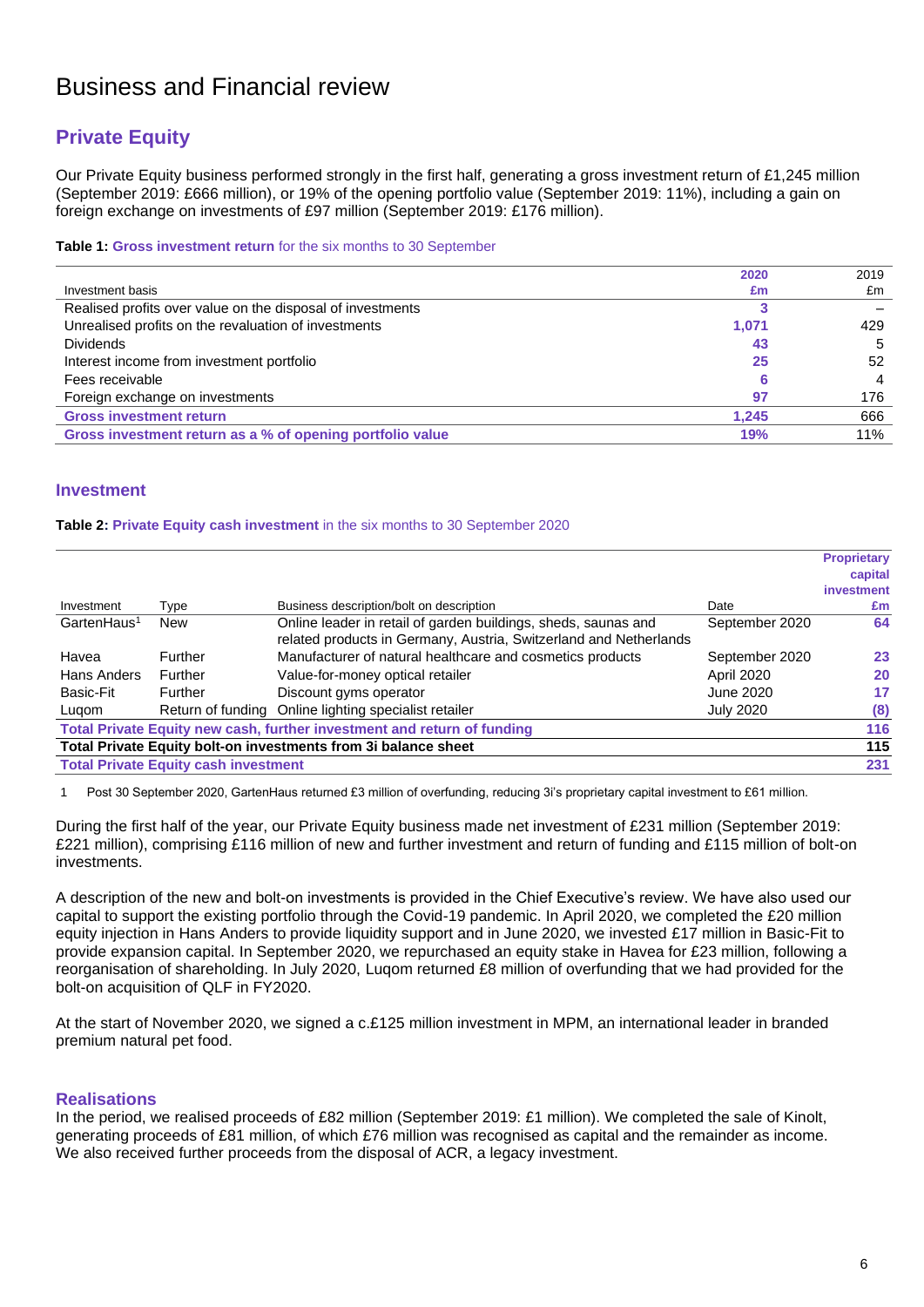# Business and Financial review

# **Private Equity**

Our Private Equity business performed strongly in the first half, generating a gross investment return of £1,245 million (September 2019: £666 million), or 19% of the opening portfolio value (September 2019: 11%), including a gain on foreign exchange on investments of £97 million (September 2019: £176 million).

#### **Table 1: Gross investment return** for the six months to 30 September

|                                                            | 2020  | 2019 |
|------------------------------------------------------------|-------|------|
| Investment basis                                           | £m    | £m   |
| Realised profits over value on the disposal of investments |       |      |
| Unrealised profits on the revaluation of investments       | 1,071 | 429  |
| <b>Dividends</b>                                           | 43    | 5    |
| Interest income from investment portfolio                  | 25    | 52   |
| Fees receivable                                            |       | 4    |
| Foreign exchange on investments                            | 97    | 176  |
| <b>Gross investment return</b>                             | 1.245 | 666  |
| Gross investment return as a % of opening portfolio value  | 19%   | 11%  |

### **Investment**

#### **Table 2: Private Equity cash investment** in the six months to 30 September 2020

|                         |                                             |                                                                                                                                     |                   | <b>Proprietary</b> |
|-------------------------|---------------------------------------------|-------------------------------------------------------------------------------------------------------------------------------------|-------------------|--------------------|
|                         |                                             |                                                                                                                                     |                   | capital            |
|                         |                                             |                                                                                                                                     |                   | investment         |
| Investment              | Type                                        | Business description/bolt on description                                                                                            | Date              | £m                 |
| GartenHaus <sup>1</sup> | <b>New</b>                                  | Online leader in retail of garden buildings, sheds, saunas and<br>related products in Germany, Austria, Switzerland and Netherlands | September 2020    | 64                 |
| Havea                   | Further                                     | Manufacturer of natural healthcare and cosmetics products                                                                           | September 2020    | 23                 |
| Hans Anders             | Further                                     | Value-for-money optical retailer                                                                                                    | <b>April 2020</b> | 20                 |
| Basic-Fit               | Further                                     | Discount gyms operator                                                                                                              | June 2020         | 17                 |
| Lugom                   |                                             | Return of funding Online lighting specialist retailer                                                                               | <b>July 2020</b>  | (8)                |
|                         |                                             | Total Private Equity new cash, further investment and return of funding                                                             |                   | 116                |
|                         |                                             | Total Private Equity bolt-on investments from 3i balance sheet                                                                      |                   | 115                |
|                         | <b>Total Private Equity cash investment</b> |                                                                                                                                     |                   | 231                |

Post 30 September 2020, GartenHaus returned £3 million of overfunding, reducing 3i's proprietary capital investment to £61 million.

During the first half of the year, our Private Equity business made net investment of £231 million (September 2019: £221 million), comprising £116 million of new and further investment and return of funding and £115 million of bolt-on investments.

A description of the new and bolt-on investments is provided in the Chief Executive's review. We have also used our capital to support the existing portfolio through the Covid-19 pandemic. In April 2020, we completed the £20 million equity injection in Hans Anders to provide liquidity support and in June 2020, we invested £17 million in Basic-Fit to provide expansion capital. In September 2020, we repurchased an equity stake in Havea for £23 million, following a reorganisation of shareholding. In July 2020, Luqom returned £8 million of overfunding that we had provided for the bolt-on acquisition of QLF in FY2020.

At the start of November 2020, we signed a c.£125 million investment in MPM, an international leader in branded premium natural pet food.

### **Realisations**

In the period, we realised proceeds of £82 million (September 2019: £1 million). We completed the sale of Kinolt, generating proceeds of £81 million, of which £76 million was recognised as capital and the remainder as income. We also received further proceeds from the disposal of ACR, a legacy investment.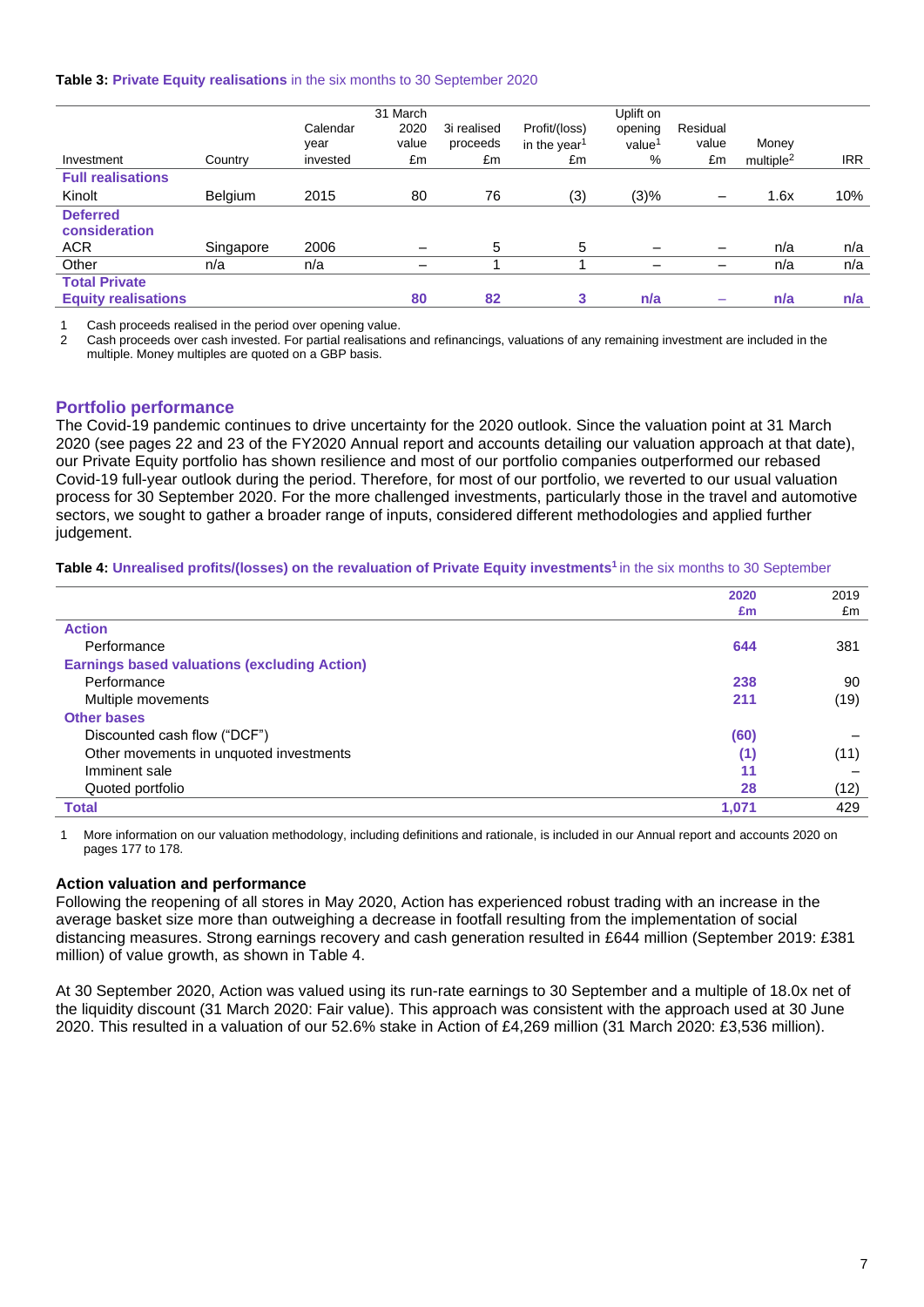#### **Table 3: Private Equity realisations** in the six months to 30 September 2020

|                            |                |          | 31 March |             |                          | Uplift on          |          |                       |            |
|----------------------------|----------------|----------|----------|-------------|--------------------------|--------------------|----------|-----------------------|------------|
|                            |                | Calendar | 2020     | 3i realised | Profit/(loss)            | opening            | Residual |                       |            |
|                            |                | year     | value    | proceeds    | in the year <sup>1</sup> | value <sup>1</sup> | value    | Money                 |            |
| Investment                 | Country        | invested | £m       | £m          | £m                       | %                  | £m       | multiple <sup>2</sup> | <b>IRR</b> |
| <b>Full realisations</b>   |                |          |          |             |                          |                    |          |                       |            |
| Kinolt                     | <b>Belgium</b> | 2015     | 80       | 76          | (3)                      | (3)%               | —        | 1.6x                  | 10%        |
| <b>Deferred</b>            |                |          |          |             |                          |                    |          |                       |            |
| consideration              |                |          |          |             |                          |                    |          |                       |            |
| <b>ACR</b>                 | Singapore      | 2006     |          | 5           | 5                        |                    |          | n/a                   | n/a        |
| Other                      | n/a            | n/a      |          |             |                          |                    |          | n/a                   | n/a        |
| <b>Total Private</b>       |                |          |          |             |                          |                    |          |                       |            |
| <b>Equity realisations</b> |                |          | 80       | 82          | 3                        | n/a                |          | n/a                   | n/a        |

Cash proceeds realised in the period over opening value.

2 Cash proceeds over cash invested. For partial realisations and refinancings, valuations of any remaining investment are included in the multiple. Money multiples are quoted on a GBP basis.

### **Portfolio performance**

The Covid-19 pandemic continues to drive uncertainty for the 2020 outlook. Since the valuation point at 31 March 2020 (see pages 22 and 23 of the FY2020 Annual report and accounts detailing our valuation approach at that date), our Private Equity portfolio has shown resilience and most of our portfolio companies outperformed our rebased Covid-19 full-year outlook during the period. Therefore, for most of our portfolio, we reverted to our usual valuation process for 30 September 2020. For the more challenged investments, particularly those in the travel and automotive sectors, we sought to gather a broader range of inputs, considered different methodologies and applied further judgement.

#### **Table 4: Unrealised profits/(losses) on the revaluation of Private Equity investments<sup>1</sup>**in the six months to 30 September

|                                                     | 2020  | 2019 |
|-----------------------------------------------------|-------|------|
|                                                     | £m    | £m   |
| <b>Action</b>                                       |       |      |
| Performance                                         | 644   | 381  |
| <b>Earnings based valuations (excluding Action)</b> |       |      |
| Performance                                         | 238   | 90   |
| Multiple movements                                  | 211   | (19) |
| <b>Other bases</b>                                  |       |      |
| Discounted cash flow ("DCF")                        | (60)  |      |
| Other movements in unquoted investments             | (1)   | (11) |
| Imminent sale                                       | 11    |      |
| Quoted portfolio                                    | 28    | (12) |
| <b>Total</b>                                        | 1.071 | 429  |

1 More information on our valuation methodology, including definitions and rationale, is included in our Annual report and accounts 2020 on pages 177 to 178.

### **Action valuation and performance**

Following the reopening of all stores in May 2020, Action has experienced robust trading with an increase in the average basket size more than outweighing a decrease in footfall resulting from the implementation of social distancing measures. Strong earnings recovery and cash generation resulted in £644 million (September 2019: £381 million) of value growth, as shown in Table 4.

At 30 September 2020, Action was valued using its run-rate earnings to 30 September and a multiple of 18.0x net of the liquidity discount (31 March 2020: Fair value). This approach was consistent with the approach used at 30 June 2020. This resulted in a valuation of our 52.6% stake in Action of £4,269 million (31 March 2020: £3,536 million).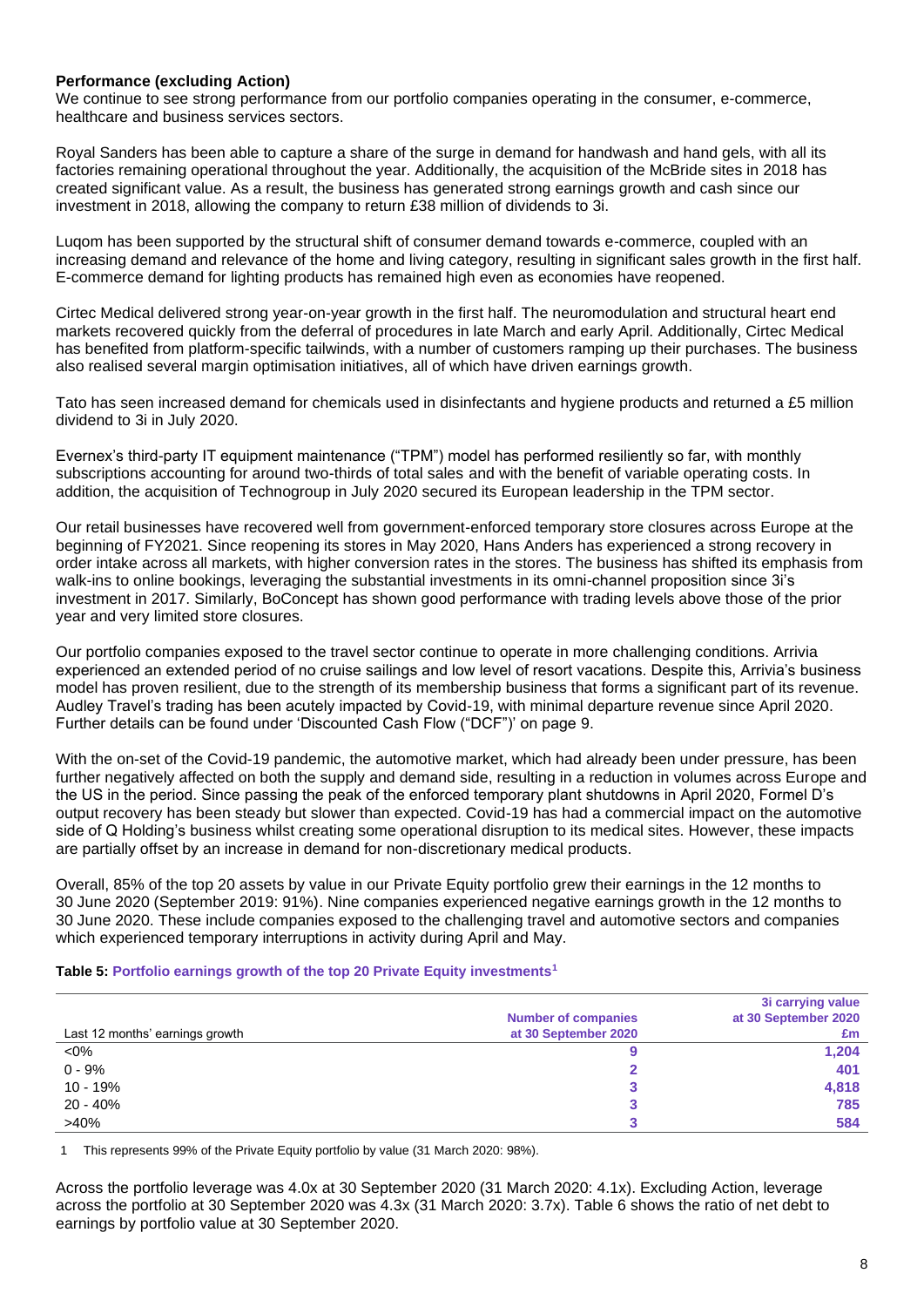### **Performance (excluding Action)**

We continue to see strong performance from our portfolio companies operating in the consumer, e-commerce, healthcare and business services sectors.

Royal Sanders has been able to capture a share of the surge in demand for handwash and hand gels, with all its factories remaining operational throughout the year. Additionally, the acquisition of the McBride sites in 2018 has created significant value. As a result, the business has generated strong earnings growth and cash since our investment in 2018, allowing the company to return £38 million of dividends to 3i.

Luqom has been supported by the structural shift of consumer demand towards e-commerce, coupled with an increasing demand and relevance of the home and living category, resulting in significant sales growth in the first half. E-commerce demand for lighting products has remained high even as economies have reopened.

Cirtec Medical delivered strong year-on-year growth in the first half. The neuromodulation and structural heart end markets recovered quickly from the deferral of procedures in late March and early April. Additionally, Cirtec Medical has benefited from platform-specific tailwinds, with a number of customers ramping up their purchases. The business also realised several margin optimisation initiatives, all of which have driven earnings growth.

Tato has seen increased demand for chemicals used in disinfectants and hygiene products and returned a £5 million dividend to 3i in July 2020.

Evernex's third-party IT equipment maintenance ("TPM") model has performed resiliently so far, with monthly subscriptions accounting for around two-thirds of total sales and with the benefit of variable operating costs. In addition, the acquisition of Technogroup in July 2020 secured its European leadership in the TPM sector.

Our retail businesses have recovered well from government-enforced temporary store closures across Europe at the beginning of FY2021. Since reopening its stores in May 2020, Hans Anders has experienced a strong recovery in order intake across all markets, with higher conversion rates in the stores. The business has shifted its emphasis from walk-ins to online bookings, leveraging the substantial investments in its omni-channel proposition since 3i's investment in 2017. Similarly, BoConcept has shown good performance with trading levels above those of the prior year and very limited store closures.

Our portfolio companies exposed to the travel sector continue to operate in more challenging conditions. Arrivia experienced an extended period of no cruise sailings and low level of resort vacations. Despite this, Arrivia's business model has proven resilient, due to the strength of its membership business that forms a significant part of its revenue. Audley Travel's trading has been acutely impacted by Covid-19, with minimal departure revenue since April 2020. Further details can be found under 'Discounted Cash Flow ("DCF")' on page 9.

With the on-set of the Covid-19 pandemic, the automotive market, which had already been under pressure, has been further negatively affected on both the supply and demand side, resulting in a reduction in volumes across Europe and the US in the period. Since passing the peak of the enforced temporary plant shutdowns in April 2020, Formel D's output recovery has been steady but slower than expected. Covid-19 has had a commercial impact on the automotive side of Q Holding's business whilst creating some operational disruption to its medical sites. However, these impacts are partially offset by an increase in demand for non-discretionary medical products.

Overall, 85% of the top 20 assets by value in our Private Equity portfolio grew their earnings in the 12 months to 30 June 2020 (September 2019: 91%). Nine companies experienced negative earnings growth in the 12 months to 30 June 2020. These include companies exposed to the challenging travel and automotive sectors and companies which experienced temporary interruptions in activity during April and May.

#### **Table 5: Portfolio earnings growth of the top 20 Private Equity investments<sup>1</sup>**

|                                 |                            | 3i carrying value    |
|---------------------------------|----------------------------|----------------------|
|                                 | <b>Number of companies</b> | at 30 September 2020 |
| Last 12 months' earnings growth | at 30 September 2020       | £m                   |
| $<0\%$                          |                            | 1,204                |
| $0 - 9%$                        |                            | 401                  |
| $10 - 19%$                      |                            | 4,818                |
| $20 - 40%$                      |                            | 785                  |
| $>40\%$                         |                            | 584                  |

1 This represents 99% of the Private Equity portfolio by value (31 March 2020: 98%).

Across the portfolio leverage was 4.0x at 30 September 2020 (31 March 2020: 4.1x). Excluding Action, leverage across the portfolio at 30 September 2020 was 4.3x (31 March 2020: 3.7x). Table 6 shows the ratio of net debt to earnings by portfolio value at 30 September 2020.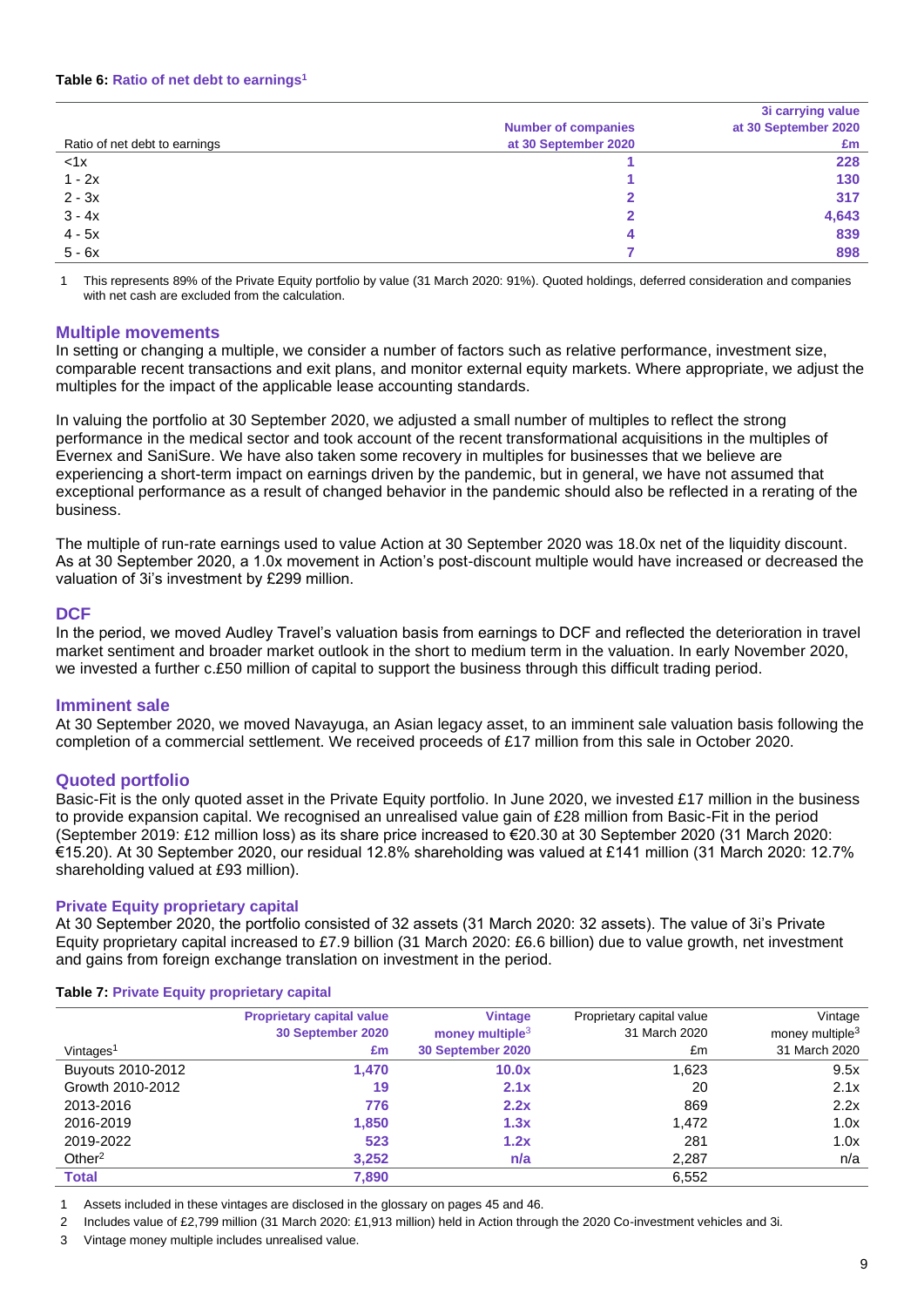### **Table 6: Ratio of net debt to earnings<sup>1</sup>**

|                               |                            | 3i carrying value    |
|-------------------------------|----------------------------|----------------------|
|                               | <b>Number of companies</b> | at 30 September 2020 |
| Ratio of net debt to earnings | at 30 September 2020       | £m                   |
| < 1x                          |                            | 228                  |
| $1 - 2x$                      |                            | 130                  |
| $2 - 3x$                      |                            | 317                  |
| $3 - 4x$                      |                            | 4,643                |
| $4 - 5x$                      |                            | 839                  |
| $5 - 6x$                      |                            | 898                  |

1 This represents 89% of the Private Equity portfolio by value (31 March 2020: 91%). Quoted holdings, deferred consideration and companies with net cash are excluded from the calculation.

### **Multiple movements**

In setting or changing a multiple, we consider a number of factors such as relative performance, investment size, comparable recent transactions and exit plans, and monitor external equity markets. Where appropriate, we adjust the multiples for the impact of the applicable lease accounting standards.

In valuing the portfolio at 30 September 2020, we adjusted a small number of multiples to reflect the strong performance in the medical sector and took account of the recent transformational acquisitions in the multiples of Evernex and SaniSure. We have also taken some recovery in multiples for businesses that we believe are experiencing a short-term impact on earnings driven by the pandemic, but in general, we have not assumed that exceptional performance as a result of changed behavior in the pandemic should also be reflected in a rerating of the business.

The multiple of run-rate earnings used to value Action at 30 September 2020 was 18.0x net of the liquidity discount. As at 30 September 2020, a 1.0x movement in Action's post-discount multiple would have increased or decreased the valuation of 3i's investment by £299 million.

### **DCF**

In the period, we moved Audley Travel's valuation basis from earnings to DCF and reflected the deterioration in travel market sentiment and broader market outlook in the short to medium term in the valuation. In early November 2020, we invested a further c.£50 million of capital to support the business through this difficult trading period.

### **Imminent sale**

At 30 September 2020, we moved Navayuga, an Asian legacy asset, to an imminent sale valuation basis following the completion of a commercial settlement. We received proceeds of £17 million from this sale in October 2020.

### **Quoted portfolio**

Basic-Fit is the only quoted asset in the Private Equity portfolio. In June 2020, we invested £17 million in the business to provide expansion capital. We recognised an unrealised value gain of £28 million from Basic-Fit in the period (September 2019: £12 million loss) as its share price increased to €20.30 at 30 September 2020 (31 March 2020: €15.20). At 30 September 2020, our residual 12.8% shareholding was valued at £141 million (31 March 2020: 12.7% shareholding valued at £93 million).

### **Private Equity proprietary capital**

At 30 September 2020, the portfolio consisted of 32 assets (31 March 2020: 32 assets). The value of 3i's Private Equity proprietary capital increased to £7.9 billion (31 March 2020: £6.6 billion) due to value growth, net investment and gains from foreign exchange translation on investment in the period.

#### **Table 7: Private Equity proprietary capital**

|                       | <b>Proprietary capital value</b><br>30 September 2020 | <b>Vintage</b><br>money multiple $3$ | Proprietary capital value<br>31 March 2020 | Vintage<br>money multiple <sup>3</sup> |
|-----------------------|-------------------------------------------------------|--------------------------------------|--------------------------------------------|----------------------------------------|
| Vintages <sup>1</sup> | £m                                                    | 30 September 2020                    | £m                                         | 31 March 2020                          |
| Buyouts 2010-2012     | 1,470                                                 | 10.0x                                | 1.623                                      | 9.5x                                   |
| Growth 2010-2012      | 19                                                    | 2.1x                                 | 20                                         | 2.1x                                   |
| 2013-2016             | 776                                                   | 2.2x                                 | 869                                        | 2.2x                                   |
| 2016-2019             | 1,850                                                 | 1.3x                                 | 1.472                                      | 1.0x                                   |
| 2019-2022             | 523                                                   | 1.2x                                 | 281                                        | 1.0x                                   |
| Other <sup>2</sup>    | 3,252                                                 | n/a                                  | 2,287                                      | n/a                                    |
| <b>Total</b>          | 7,890                                                 |                                      | 6,552                                      |                                        |

1 Assets included in these vintages are disclosed in the glossary on pages 45 and 46.

2 Includes value of £2,799 million (31 March 2020: £1,913 million) held in Action through the 2020 Co-investment vehicles and 3i.

3 Vintage money multiple includes unrealised value.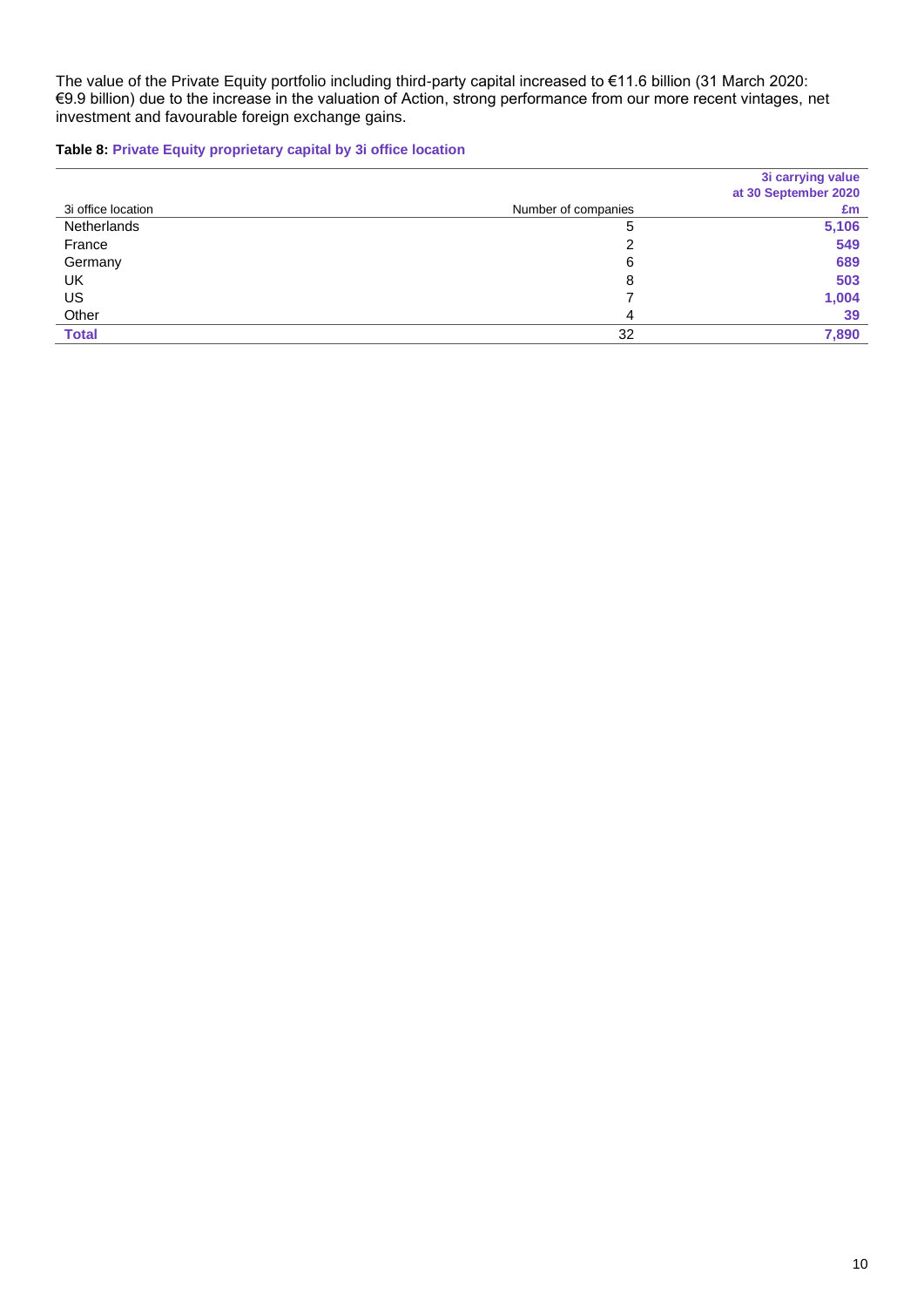The value of the Private Equity portfolio including third-party capital increased to €11.6 billion (31 March 2020: €9.9 billion) due to the increase in the valuation of Action, strong performance from our more recent vintages, net investment and favourable foreign exchange gains.

**Table 8: Private Equity proprietary capital by 3i office location**

|                    |                     | 3i carrying value    |
|--------------------|---------------------|----------------------|
|                    |                     | at 30 September 2020 |
| 3i office location | Number of companies | £m                   |
| Netherlands        | 5                   | 5,106                |
| France             |                     | 549                  |
| Germany            | 6                   | 689                  |
| UK                 | 8                   | 503                  |
| US                 |                     | 1,004                |
| Other              | 4                   | 39                   |
| <b>Total</b>       | 32                  | 7,890                |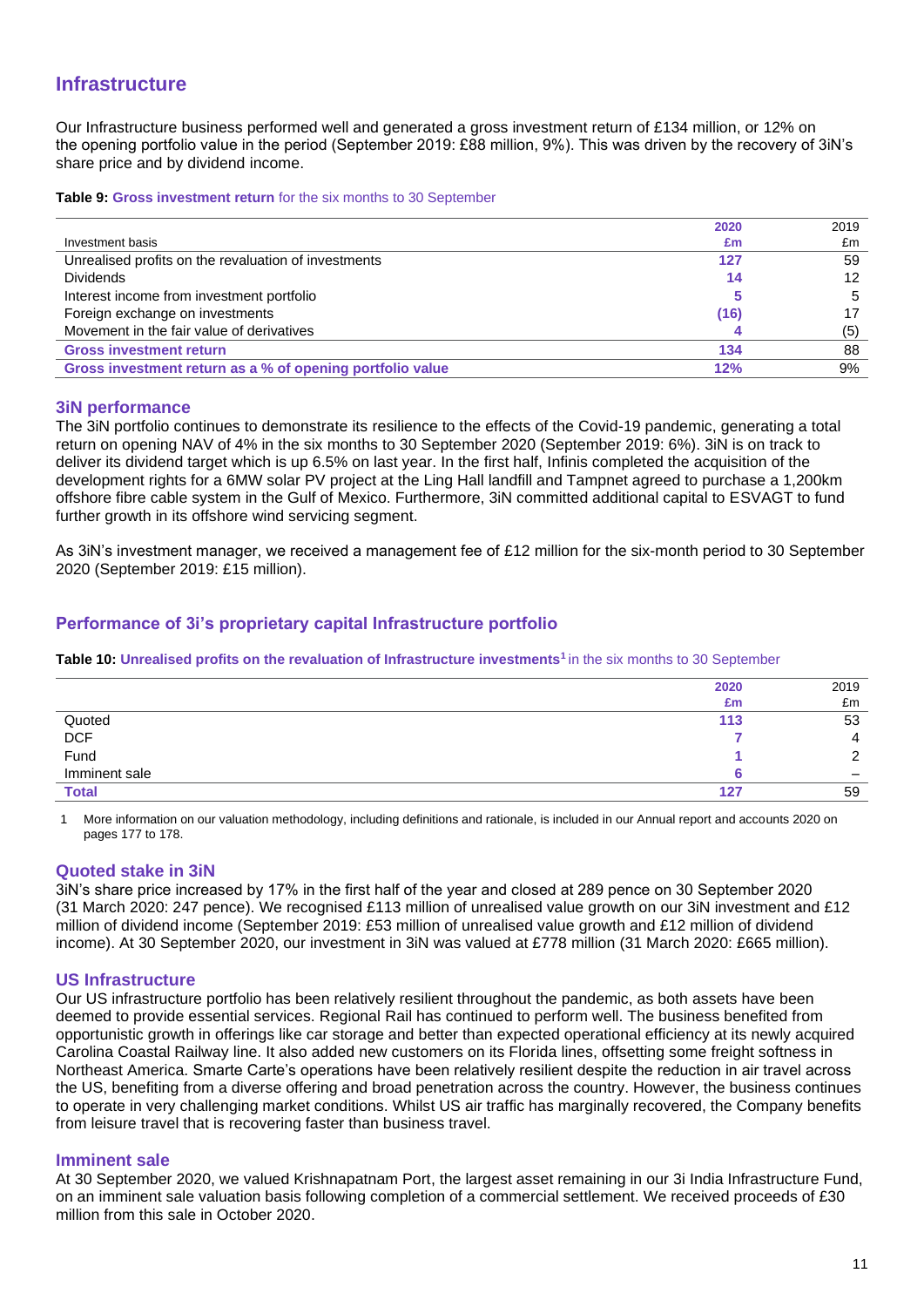## **Infrastructure**

Our Infrastructure business performed well and generated a gross investment return of £134 million, or 12% on the opening portfolio value in the period (September 2019: £88 million, 9%). This was driven by the recovery of 3iN's share price and by dividend income.

**Table 9: Gross investment return** for the six months to 30 September

|                                                           | 2020 | 2019 |
|-----------------------------------------------------------|------|------|
| Investment basis                                          | £m   | £m   |
| Unrealised profits on the revaluation of investments      | 127  | 59   |
| <b>Dividends</b>                                          | 14   | 12   |
| Interest income from investment portfolio                 |      | 5    |
| Foreign exchange on investments                           | (16) |      |
| Movement in the fair value of derivatives                 |      | (5)  |
| <b>Gross investment return</b>                            | 134  | 88   |
| Gross investment return as a % of opening portfolio value | 12%  | 9%   |

### **3iN performance**

The 3iN portfolio continues to demonstrate its resilience to the effects of the Covid-19 pandemic, generating a total return on opening NAV of 4% in the six months to 30 September 2020 (September 2019: 6%). 3iN is on track to deliver its dividend target which is up 6.5% on last year. In the first half, Infinis completed the acquisition of the development rights for a 6MW solar PV project at the Ling Hall landfill and Tampnet agreed to purchase a 1,200km offshore fibre cable system in the Gulf of Mexico. Furthermore, 3iN committed additional capital to ESVAGT to fund further growth in its offshore wind servicing segment.

As 3iN's investment manager, we received a management fee of £12 million for the six-month period to 30 September 2020 (September 2019: £15 million).

## **Performance of 3i's proprietary capital Infrastructure portfolio**

**Table 10: Unrealised profits on the revaluation of Infrastructure investments<sup>1</sup>**in the six months to 30 September

|               | 2020 | 2019                     |
|---------------|------|--------------------------|
|               | £m   | £m                       |
| Quoted        | 113  | 53                       |
| DCF<br>Fund   |      | Д                        |
|               |      |                          |
| Imminent sale |      | $\overline{\phantom{0}}$ |
| <b>Total</b>  | 127  | 59                       |

1 More information on our valuation methodology, including definitions and rationale, is included in our Annual report and accounts 2020 on pages 177 to 178.

### **Quoted stake in 3iN**

3iN's share price increased by 17% in the first half of the year and closed at 289 pence on 30 September 2020 (31 March 2020: 247 pence). We recognised £113 million of unrealised value growth on our 3iN investment and £12 million of dividend income (September 2019: £53 million of unrealised value growth and £12 million of dividend income). At 30 September 2020, our investment in 3iN was valued at £778 million (31 March 2020: £665 million).

### **US Infrastructure**

Our US infrastructure portfolio has been relatively resilient throughout the pandemic, as both assets have been deemed to provide essential services. Regional Rail has continued to perform well. The business benefited from opportunistic growth in offerings like car storage and better than expected operational efficiency at its newly acquired Carolina Coastal Railway line. It also added new customers on its Florida lines, offsetting some freight softness in Northeast America. Smarte Carte's operations have been relatively resilient despite the reduction in air travel across the US, benefiting from a diverse offering and broad penetration across the country. However, the business continues to operate in very challenging market conditions. Whilst US air traffic has marginally recovered, the Company benefits from leisure travel that is recovering faster than business travel.

### **Imminent sale**

At 30 September 2020, we valued Krishnapatnam Port, the largest asset remaining in our 3i India Infrastructure Fund, on an imminent sale valuation basis following completion of a commercial settlement. We received proceeds of £30 million from this sale in October 2020.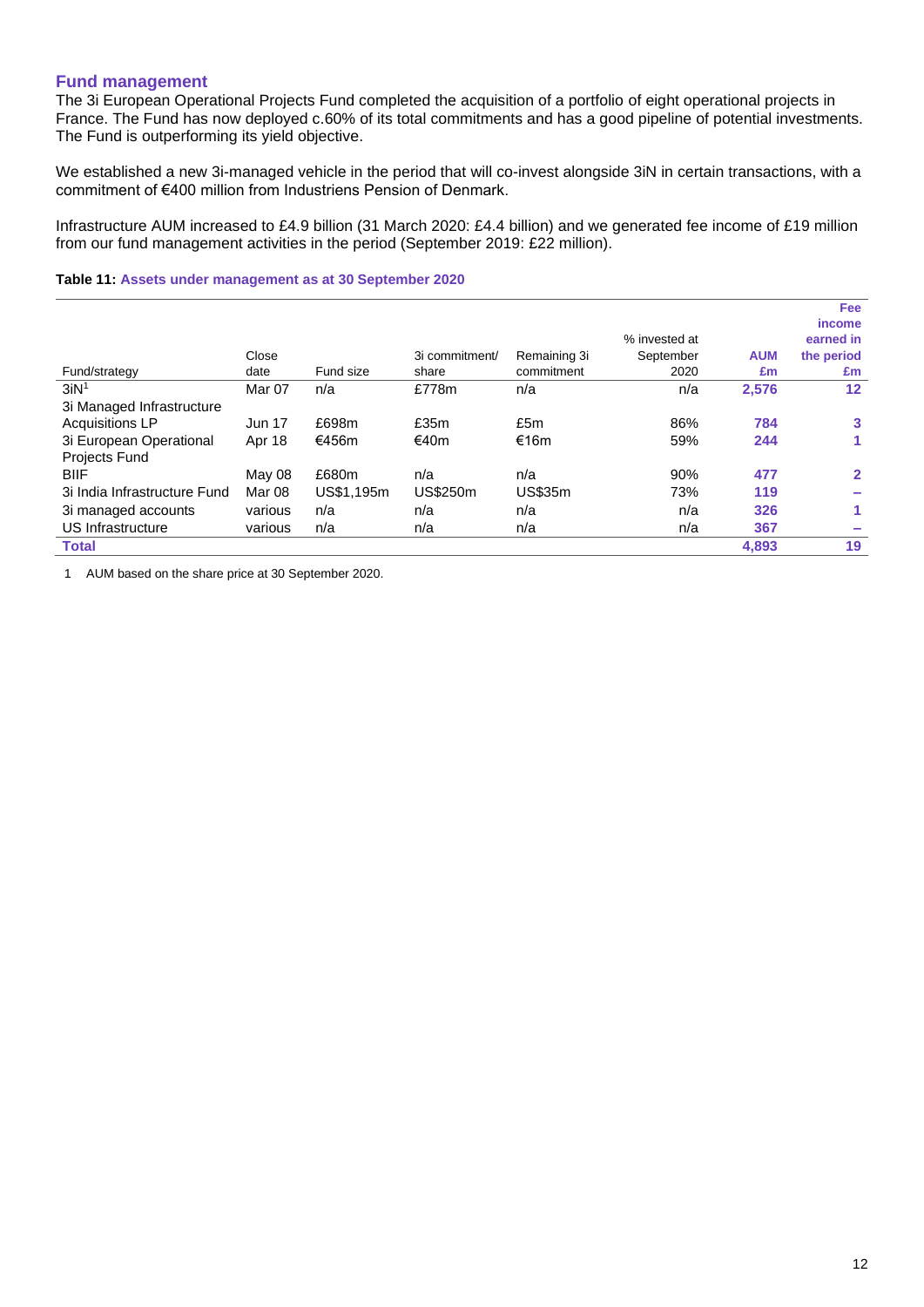### **Fund management**

The 3i European Operational Projects Fund completed the acquisition of a portfolio of eight operational projects in France. The Fund has now deployed c.60% of its total commitments and has a good pipeline of potential investments. The Fund is outperforming its yield objective.

We established a new 3i-managed vehicle in the period that will co-invest alongside 3iN in certain transactions, with a commitment of €400 million from Industriens Pension of Denmark.

Infrastructure AUM increased to £4.9 billion (31 March 2020: £4.4 billion) and we generated fee income of £19 million from our fund management activities in the period (September 2019: £22 million).

### **Table 11: Assets under management as at 30 September 2020**

|                              |               |            |                 |                |               |            | <b>Fee</b>        |
|------------------------------|---------------|------------|-----------------|----------------|---------------|------------|-------------------|
|                              |               |            |                 |                |               |            | <i>income</i>     |
|                              |               |            |                 |                | % invested at |            | earned in         |
|                              | Close         |            | 3i commitment/  | Remaining 3i   | September     | <b>AUM</b> | the period        |
| Fund/strategy                | date          | Fund size  | share           | commitment     | 2020          | £m         | £m                |
| 3iN <sup>1</sup>             | Mar 07        | n/a        | £778m           | n/a            | n/a           | 2,576      | $12 \overline{ }$ |
| 3i Managed Infrastructure    |               |            |                 |                |               |            |                   |
| <b>Acquisitions LP</b>       | <b>Jun 17</b> | £698m      | £35m            | £5m            | 86%           | 784        | 3                 |
| 3i European Operational      | Apr 18        | €456m      | €40m            | €16m           | 59%           | 244        |                   |
| <b>Projects Fund</b>         |               |            |                 |                |               |            |                   |
| <b>BIIF</b>                  | May 08        | £680m      | n/a             | n/a            | 90%           | 477        | $\mathbf{2}$      |
| 3i India Infrastructure Fund | Mar 08        | US\$1,195m | <b>US\$250m</b> | <b>US\$35m</b> | 73%           | 119        |                   |
| 3i managed accounts          | various       | n/a        | n/a             | n/a            | n/a           | 326        |                   |
| US Infrastructure            | various       | n/a        | n/a             | n/a            | n/a           | 367        |                   |
| <b>Total</b>                 |               |            |                 |                |               | 4,893      | 19                |

1 AUM based on the share price at 30 September 2020.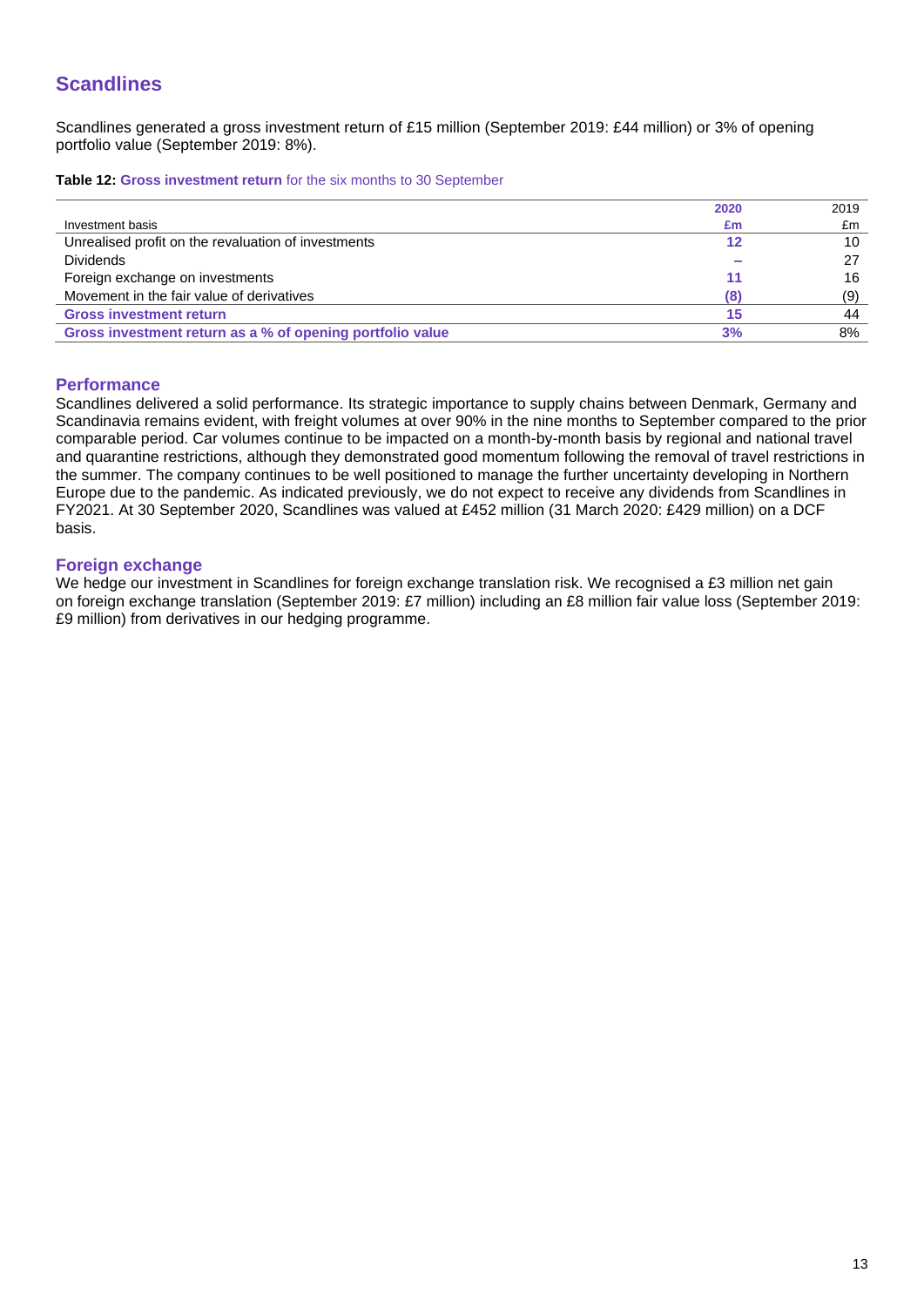# **Scandlines**

Scandlines generated a gross investment return of £15 million (September 2019: £44 million) or 3% of opening portfolio value (September 2019: 8%).

**Table 12: Gross investment return** for the six months to 30 September

|                                                           | 2020 | 2019 |
|-----------------------------------------------------------|------|------|
| Investment basis                                          | £m   | £m   |
| Unrealised profit on the revaluation of investments       | 12   | 10   |
| <b>Dividends</b>                                          |      | 27   |
| Foreign exchange on investments                           | 11   | 16   |
| Movement in the fair value of derivatives                 | (8)  | (9)  |
| <b>Gross investment return</b>                            | 15   | 44   |
| Gross investment return as a % of opening portfolio value | 3%   | 8%   |

### **Performance**

Scandlines delivered a solid performance. Its strategic importance to supply chains between Denmark, Germany and Scandinavia remains evident, with freight volumes at over 90% in the nine months to September compared to the prior comparable period. Car volumes continue to be impacted on a month-by-month basis by regional and national travel and quarantine restrictions, although they demonstrated good momentum following the removal of travel restrictions in the summer. The company continues to be well positioned to manage the further uncertainty developing in Northern Europe due to the pandemic. As indicated previously, we do not expect to receive any dividends from Scandlines in FY2021. At 30 September 2020, Scandlines was valued at £452 million (31 March 2020: £429 million) on a DCF basis.

### **Foreign exchange**

We hedge our investment in Scandlines for foreign exchange translation risk. We recognised a £3 million net gain on foreign exchange translation (September 2019: £7 million) including an £8 million fair value loss (September 2019: £9 million) from derivatives in our hedging programme.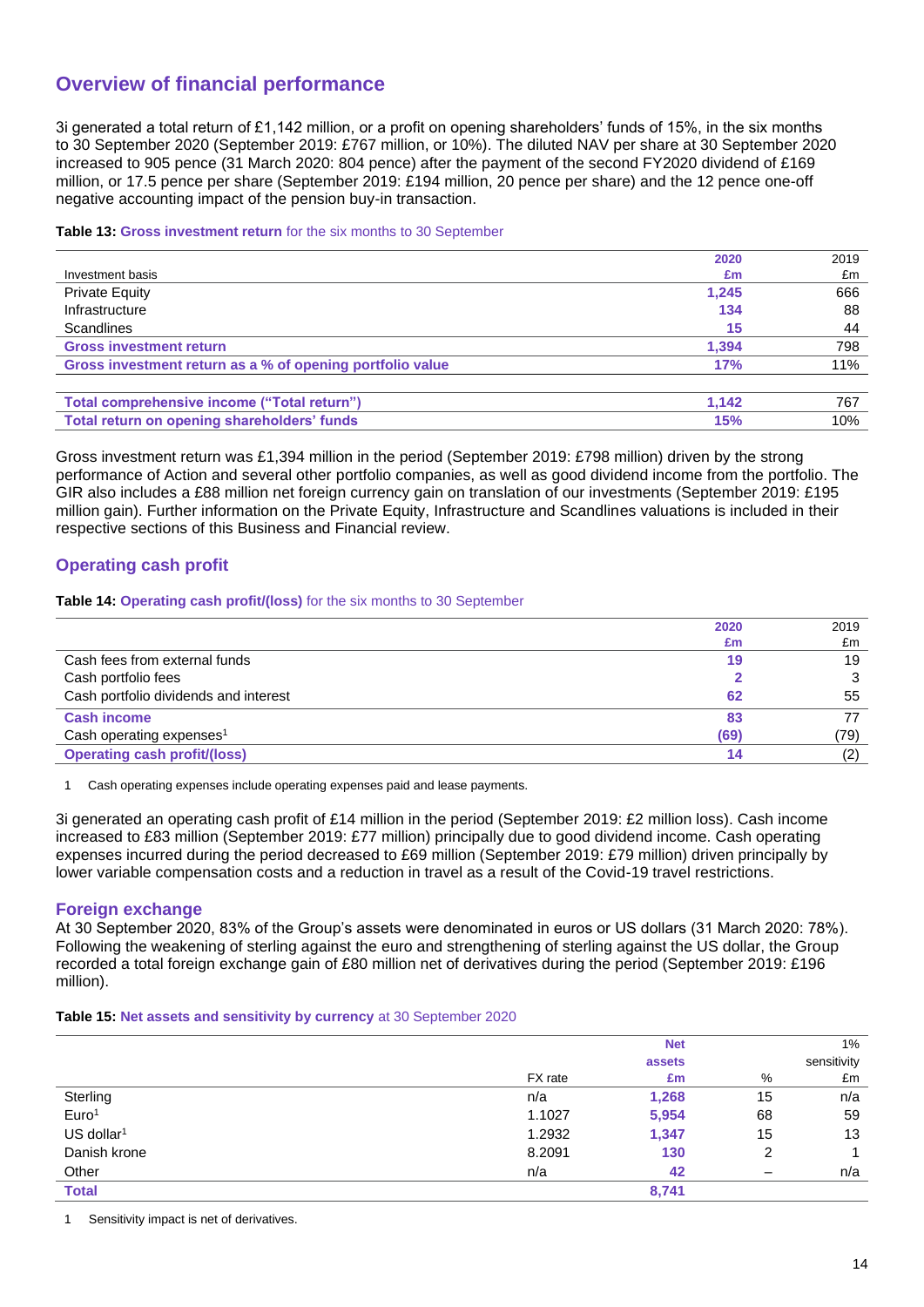# **Overview of financial performance**

3i generated a total return of £1,142 million, or a profit on opening shareholders' funds of 15%, in the six months to 30 September 2020 (September 2019: £767 million, or 10%). The diluted NAV per share at 30 September 2020 increased to 905 pence (31 March 2020: 804 pence) after the payment of the second FY2020 dividend of £169 million, or 17.5 pence per share (September 2019: £194 million, 20 pence per share) and the 12 pence one-off negative accounting impact of the pension buy-in transaction.

### **Table 13: Gross investment return** for the six months to 30 September

| 2020                                                             | 2019 |
|------------------------------------------------------------------|------|
| Investment basis<br>£m                                           | £m   |
| <b>Private Equity</b><br>1.245                                   | 666  |
| Infrastructure<br>134                                            | 88   |
| Scandlines<br>15                                                 | 44   |
| <b>Gross investment return</b><br>1,394                          | 798  |
| Gross investment return as a % of opening portfolio value<br>17% | 11%  |
|                                                                  |      |
| Total comprehensive income ("Total return")<br>1.142             | 767  |
| Total return on opening shareholders' funds<br><b>15%</b>        | 10%  |

Gross investment return was £1,394 million in the period (September 2019: £798 million) driven by the strong performance of Action and several other portfolio companies, as well as good dividend income from the portfolio. The GIR also includes a £88 million net foreign currency gain on translation of our investments (September 2019: £195 million gain). Further information on the Private Equity, Infrastructure and Scandlines valuations is included in their respective sections of this Business and Financial review.

## **Operating cash profit**

### **Table 14: Operating cash profit/(loss)** for the six months to 30 September

|                                       | 2020 | 2019 |
|---------------------------------------|------|------|
|                                       | £m   | £m   |
| Cash fees from external funds         | 19   | 19   |
| Cash portfolio fees                   |      |      |
| Cash portfolio dividends and interest | 62   | 55   |
| <b>Cash income</b>                    | 83   |      |
| Cash operating expenses <sup>1</sup>  | (69) | (79) |
| <b>Operating cash profit/(loss)</b>   | 14   | (2)  |

1 Cash operating expenses include operating expenses paid and lease payments.

3i generated an operating cash profit of £14 million in the period (September 2019: £2 million loss). Cash income increased to £83 million (September 2019: £77 million) principally due to good dividend income. Cash operating expenses incurred during the period decreased to £69 million (September 2019: £79 million) driven principally by lower variable compensation costs and a reduction in travel as a result of the Covid-19 travel restrictions.

### **Foreign exchange**

At 30 September 2020, 83% of the Group's assets were denominated in euros or US dollars (31 March 2020: 78%). Following the weakening of sterling against the euro and strengthening of sterling against the US dollar, the Group recorded a total foreign exchange gain of £80 million net of derivatives during the period (September 2019: £196 million).

**Table 15: Net assets and sensitivity by currency** at 30 September 2020

|                          |         | <b>Net</b> |                          | 1%          |
|--------------------------|---------|------------|--------------------------|-------------|
|                          |         | assets     |                          | sensitivity |
|                          | FX rate | £m         | %                        | £m          |
| Sterling                 | n/a     | 1,268      | 15                       | n/a         |
| Euro <sup>1</sup>        | 1.1027  | 5,954      | 68                       | 59          |
| $US$ dollar <sup>1</sup> | 1.2932  | 1,347      | 15                       | 13          |
| Danish krone             | 8.2091  | 130        | 2                        |             |
| Other                    | n/a     | 42         | $\overline{\phantom{m}}$ | n/a         |
| <b>Total</b>             |         | 8,741      |                          |             |

Sensitivity impact is net of derivatives.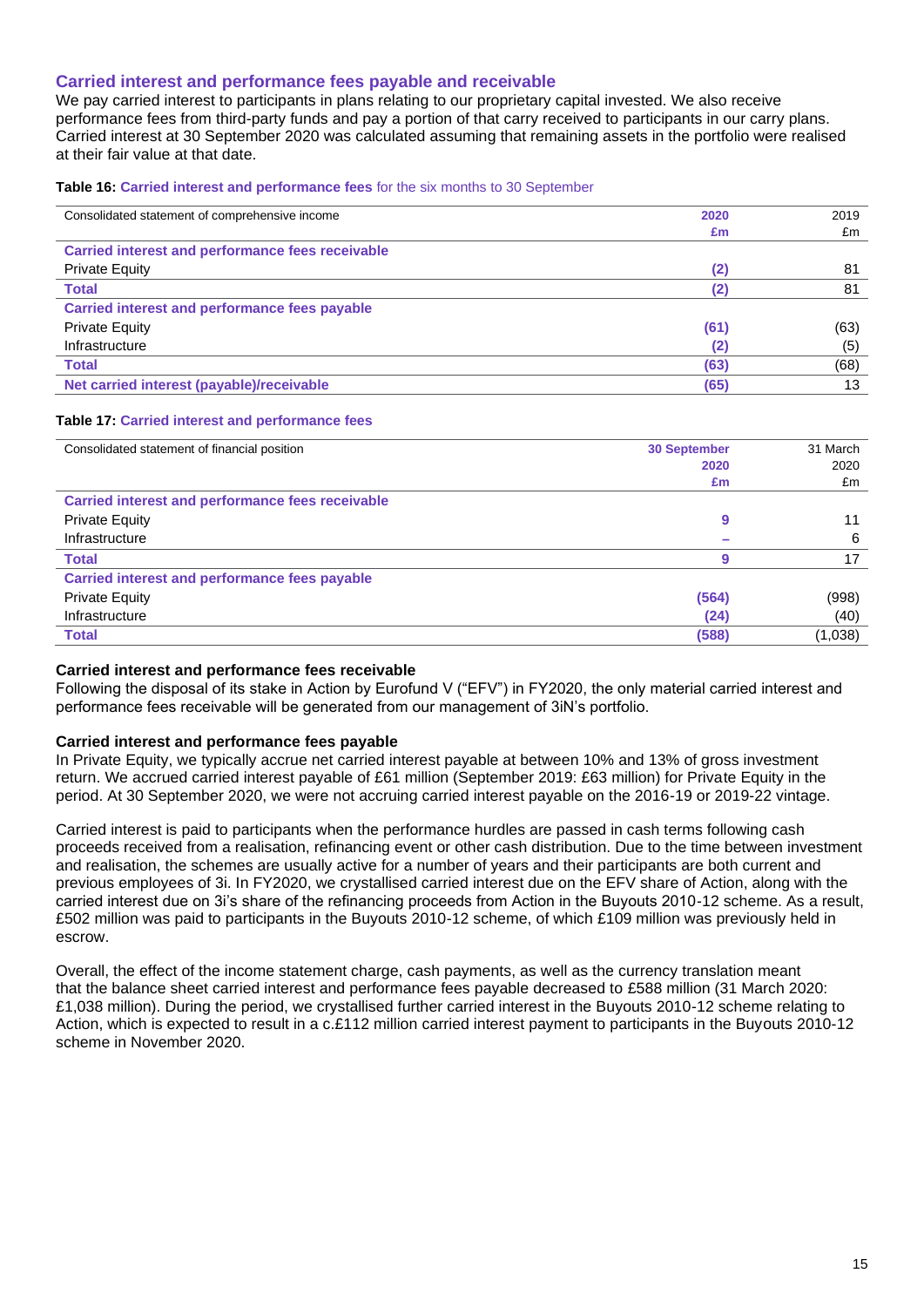### **Carried interest and performance fees payable and receivable**

We pay carried interest to participants in plans relating to our proprietary capital invested. We also receive performance fees from third-party funds and pay a portion of that carry received to participants in our carry plans. Carried interest at 30 September 2020 was calculated assuming that remaining assets in the portfolio were realised at their fair value at that date.

**Table 16: Carried interest and performance fees** for the six months to 30 September

| Consolidated statement of comprehensive income          | 2020 | 2019 |
|---------------------------------------------------------|------|------|
|                                                         | £m   | £m   |
| <b>Carried interest and performance fees receivable</b> |      |      |
| <b>Private Equity</b>                                   | (2)  | 81   |
| <b>Total</b>                                            |      | 81   |
| <b>Carried interest and performance fees payable</b>    |      |      |
| <b>Private Equity</b>                                   | (61) | (63) |
| Infrastructure                                          | (2)  | (5)  |
| <b>Total</b>                                            | (63) | (68) |
| Net carried interest (payable)/receivable               | (65) | 13   |

#### **Table 17: Carried interest and performance fees**

| Consolidated statement of financial position            | <b>30 September</b> | 31 March |
|---------------------------------------------------------|---------------------|----------|
|                                                         | 2020                | 2020     |
|                                                         | £m                  | £m       |
| <b>Carried interest and performance fees receivable</b> |                     |          |
| <b>Private Equity</b>                                   | 9                   | 11       |
| Infrastructure                                          |                     | 6        |
| <b>Total</b>                                            | g                   | 17       |
| Carried interest and performance fees payable           |                     |          |
| <b>Private Equity</b>                                   | (564)               | (998)    |
| Infrastructure                                          | (24)                | (40)     |
| <b>Total</b>                                            | (588)               | (1,038)  |

### **Carried interest and performance fees receivable**

Following the disposal of its stake in Action by Eurofund V ("EFV") in FY2020, the only material carried interest and performance fees receivable will be generated from our management of 3iN's portfolio.

### **Carried interest and performance fees payable**

In Private Equity, we typically accrue net carried interest payable at between 10% and 13% of gross investment return. We accrued carried interest payable of £61 million (September 2019: £63 million) for Private Equity in the period. At 30 September 2020, we were not accruing carried interest payable on the 2016-19 or 2019-22 vintage.

Carried interest is paid to participants when the performance hurdles are passed in cash terms following cash proceeds received from a realisation, refinancing event or other cash distribution. Due to the time between investment and realisation, the schemes are usually active for a number of years and their participants are both current and previous employees of 3i. In FY2020, we crystallised carried interest due on the EFV share of Action, along with the carried interest due on 3i's share of the refinancing proceeds from Action in the Buyouts 2010-12 scheme. As a result, £502 million was paid to participants in the Buyouts 2010-12 scheme, of which £109 million was previously held in escrow.

Overall, the effect of the income statement charge, cash payments, as well as the currency translation meant that the balance sheet carried interest and performance fees payable decreased to £588 million (31 March 2020: £1,038 million). During the period, we crystallised further carried interest in the Buyouts 2010-12 scheme relating to Action, which is expected to result in a c.£112 million carried interest payment to participants in the Buyouts 2010-12 scheme in November 2020.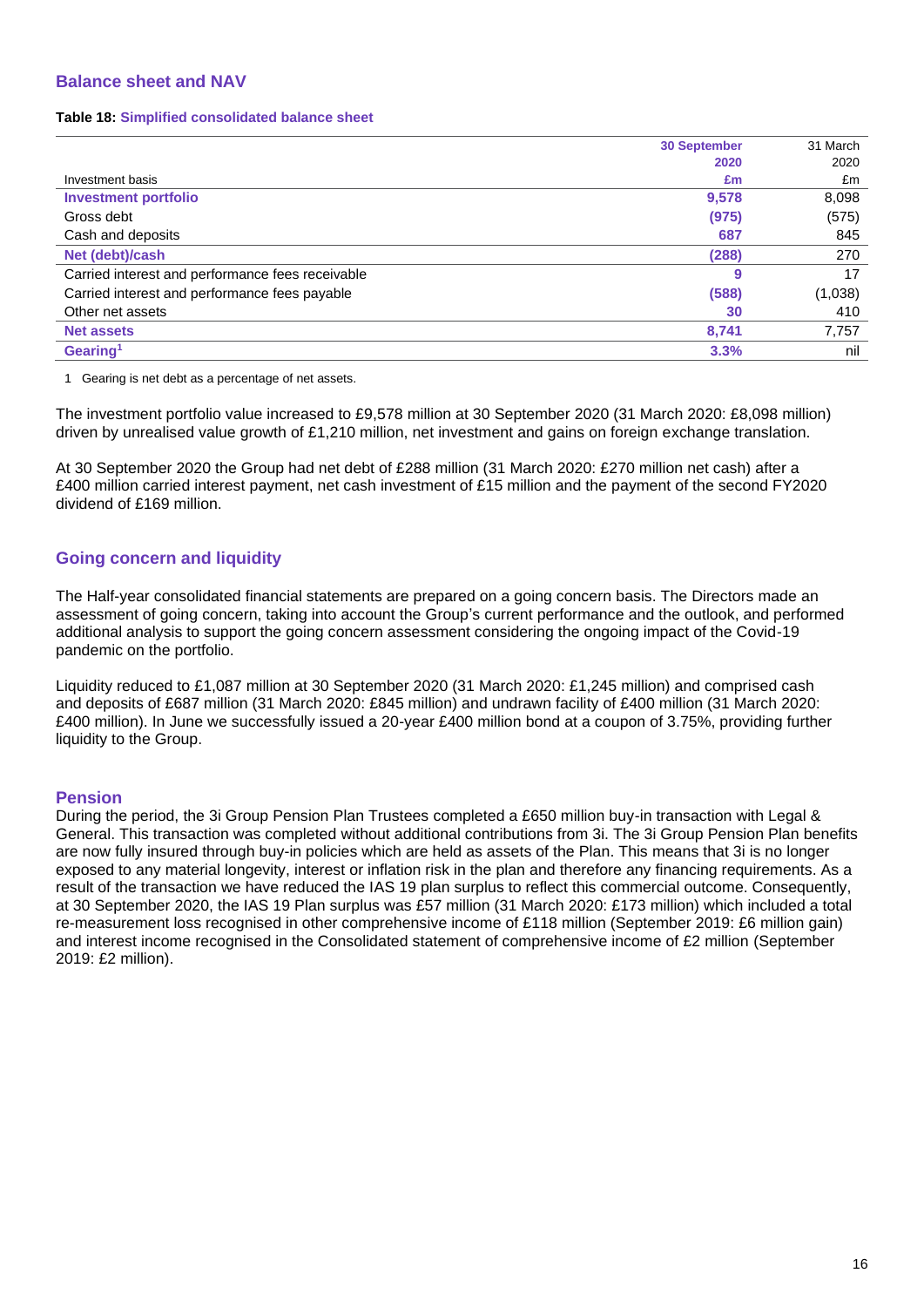## **Balance sheet and NAV**

#### **Table 18: Simplified consolidated balance sheet**

|                                                  | <b>30 September</b> | 31 March |
|--------------------------------------------------|---------------------|----------|
|                                                  | 2020                | 2020     |
| Investment basis                                 | £m                  | £m       |
| <b>Investment portfolio</b>                      | 9,578               | 8,098    |
| Gross debt                                       | (975)               | (575)    |
| Cash and deposits                                | 687                 | 845      |
| Net (debt)/cash                                  | (288)               | 270      |
| Carried interest and performance fees receivable | 9                   | 17       |
| Carried interest and performance fees payable    | (588)               | (1,038)  |
| Other net assets                                 | 30                  | 410      |
| <b>Net assets</b>                                | 8,741               | 7,757    |
| Gearing <sup>1</sup>                             | 3.3%                | nil      |

1 Gearing is net debt as a percentage of net assets.

The investment portfolio value increased to £9,578 million at 30 September 2020 (31 March 2020: £8,098 million) driven by unrealised value growth of £1,210 million, net investment and gains on foreign exchange translation.

At 30 September 2020 the Group had net debt of £288 million (31 March 2020: £270 million net cash) after a £400 million carried interest payment, net cash investment of £15 million and the payment of the second FY2020 dividend of £169 million.

## **Going concern and liquidity**

The Half-year consolidated financial statements are prepared on a going concern basis. The Directors made an assessment of going concern, taking into account the Group's current performance and the outlook, and performed additional analysis to support the going concern assessment considering the ongoing impact of the Covid-19 pandemic on the portfolio.

Liquidity reduced to £1,087 million at 30 September 2020 (31 March 2020: £1,245 million) and comprised cash and deposits of £687 million (31 March 2020: £845 million) and undrawn facility of £400 million (31 March 2020: £400 million). In June we successfully issued a 20-year £400 million bond at a coupon of 3.75%, providing further liquidity to the Group.

### **Pension**

During the period, the 3i Group Pension Plan Trustees completed a £650 million buy-in transaction with Legal & General. This transaction was completed without additional contributions from 3i. The 3i Group Pension Plan benefits are now fully insured through buy-in policies which are held as assets of the Plan. This means that 3i is no longer exposed to any material longevity, interest or inflation risk in the plan and therefore any financing requirements. As a result of the transaction we have reduced the IAS 19 plan surplus to reflect this commercial outcome. Consequently, at 30 September 2020, the IAS 19 Plan surplus was £57 million (31 March 2020: £173 million) which included a total re-measurement loss recognised in other comprehensive income of £118 million (September 2019: £6 million gain) and interest income recognised in the Consolidated statement of comprehensive income of £2 million (September 2019: £2 million).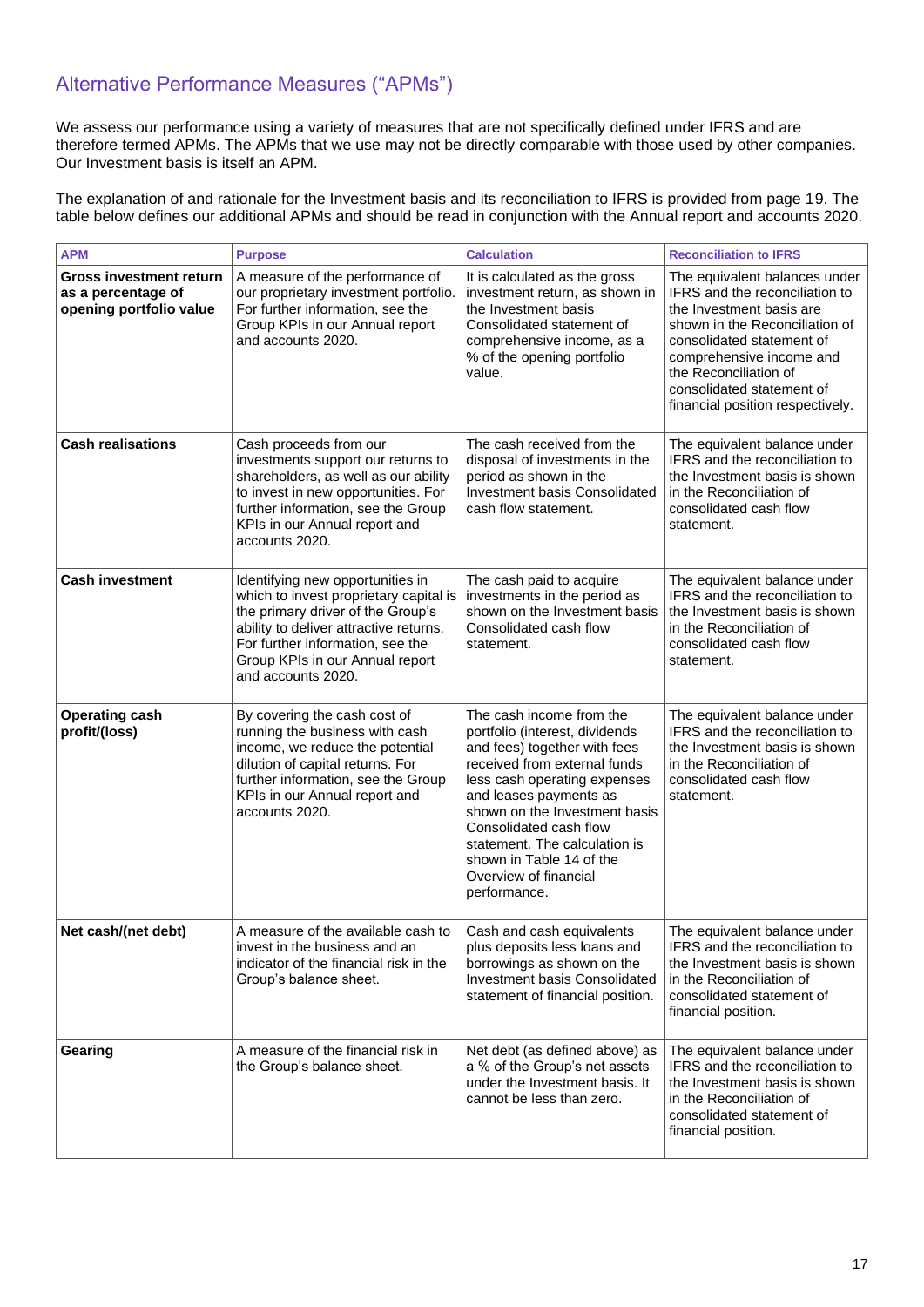# Alternative Performance Measures ("APMs")

We assess our performance using a variety of measures that are not specifically defined under IFRS and are therefore termed APMs. The APMs that we use may not be directly comparable with those used by other companies. Our Investment basis is itself an APM.

The explanation of and rationale for the Investment basis and its reconciliation to IFRS is provided from page 19. The table below defines our additional APMs and should be read in conjunction with the Annual report and accounts 2020.

| <b>APM</b>                                                                      | <b>Purpose</b>                                                                                                                                                                                                                                         | <b>Calculation</b>                                                                                                                                                                                                                                                                                                                                    | <b>Reconciliation to IFRS</b>                                                                                                                                                                                                                                                    |
|---------------------------------------------------------------------------------|--------------------------------------------------------------------------------------------------------------------------------------------------------------------------------------------------------------------------------------------------------|-------------------------------------------------------------------------------------------------------------------------------------------------------------------------------------------------------------------------------------------------------------------------------------------------------------------------------------------------------|----------------------------------------------------------------------------------------------------------------------------------------------------------------------------------------------------------------------------------------------------------------------------------|
| <b>Gross investment return</b><br>as a percentage of<br>opening portfolio value | A measure of the performance of<br>our proprietary investment portfolio.<br>For further information, see the<br>Group KPIs in our Annual report<br>and accounts 2020.                                                                                  | It is calculated as the gross<br>investment return, as shown in<br>the Investment basis<br>Consolidated statement of<br>comprehensive income, as a<br>% of the opening portfolio<br>value.                                                                                                                                                            | The equivalent balances under<br>IFRS and the reconciliation to<br>the Investment basis are<br>shown in the Reconciliation of<br>consolidated statement of<br>comprehensive income and<br>the Reconciliation of<br>consolidated statement of<br>financial position respectively. |
| <b>Cash realisations</b>                                                        | Cash proceeds from our<br>investments support our returns to<br>shareholders, as well as our ability<br>to invest in new opportunities. For<br>further information, see the Group<br>KPIs in our Annual report and<br>accounts 2020.                   | The cash received from the<br>disposal of investments in the<br>period as shown in the<br>Investment basis Consolidated<br>cash flow statement.                                                                                                                                                                                                       | The equivalent balance under<br>IFRS and the reconciliation to<br>the Investment basis is shown<br>in the Reconciliation of<br>consolidated cash flow<br>statement.                                                                                                              |
| <b>Cash investment</b>                                                          | Identifying new opportunities in<br>which to invest proprietary capital is<br>the primary driver of the Group's<br>ability to deliver attractive returns.<br>For further information, see the<br>Group KPIs in our Annual report<br>and accounts 2020. | The cash paid to acquire<br>investments in the period as<br>shown on the Investment basis<br>Consolidated cash flow<br>statement.                                                                                                                                                                                                                     | The equivalent balance under<br>IFRS and the reconciliation to<br>the Investment basis is shown<br>in the Reconciliation of<br>consolidated cash flow<br>statement.                                                                                                              |
| <b>Operating cash</b><br>profit/(loss)                                          | By covering the cash cost of<br>running the business with cash<br>income, we reduce the potential<br>dilution of capital returns. For<br>further information, see the Group<br>KPIs in our Annual report and<br>accounts 2020.                         | The cash income from the<br>portfolio (interest, dividends<br>and fees) together with fees<br>received from external funds<br>less cash operating expenses<br>and leases payments as<br>shown on the Investment basis<br>Consolidated cash flow<br>statement. The calculation is<br>shown in Table 14 of the<br>Overview of financial<br>performance. | The equivalent balance under<br>IFRS and the reconciliation to<br>the Investment basis is shown<br>in the Reconciliation of<br>consolidated cash flow<br>statement.                                                                                                              |
| Net cash/(net debt)                                                             | A measure of the available cash to<br>invest in the business and an<br>indicator of the financial risk in the<br>Group's balance sheet.                                                                                                                | Cash and cash equivalents<br>plus deposits less loans and<br>borrowings as shown on the<br>Investment basis Consolidated<br>statement of financial position.                                                                                                                                                                                          | The equivalent balance under<br>IFRS and the reconciliation to<br>the Investment basis is shown<br>in the Reconciliation of<br>consolidated statement of<br>financial position.                                                                                                  |
| Gearing                                                                         | A measure of the financial risk in<br>the Group's balance sheet.                                                                                                                                                                                       | Net debt (as defined above) as<br>a % of the Group's net assets<br>under the Investment basis. It<br>cannot be less than zero.                                                                                                                                                                                                                        | The equivalent balance under<br>IFRS and the reconciliation to<br>the Investment basis is shown<br>in the Reconciliation of<br>consolidated statement of<br>financial position.                                                                                                  |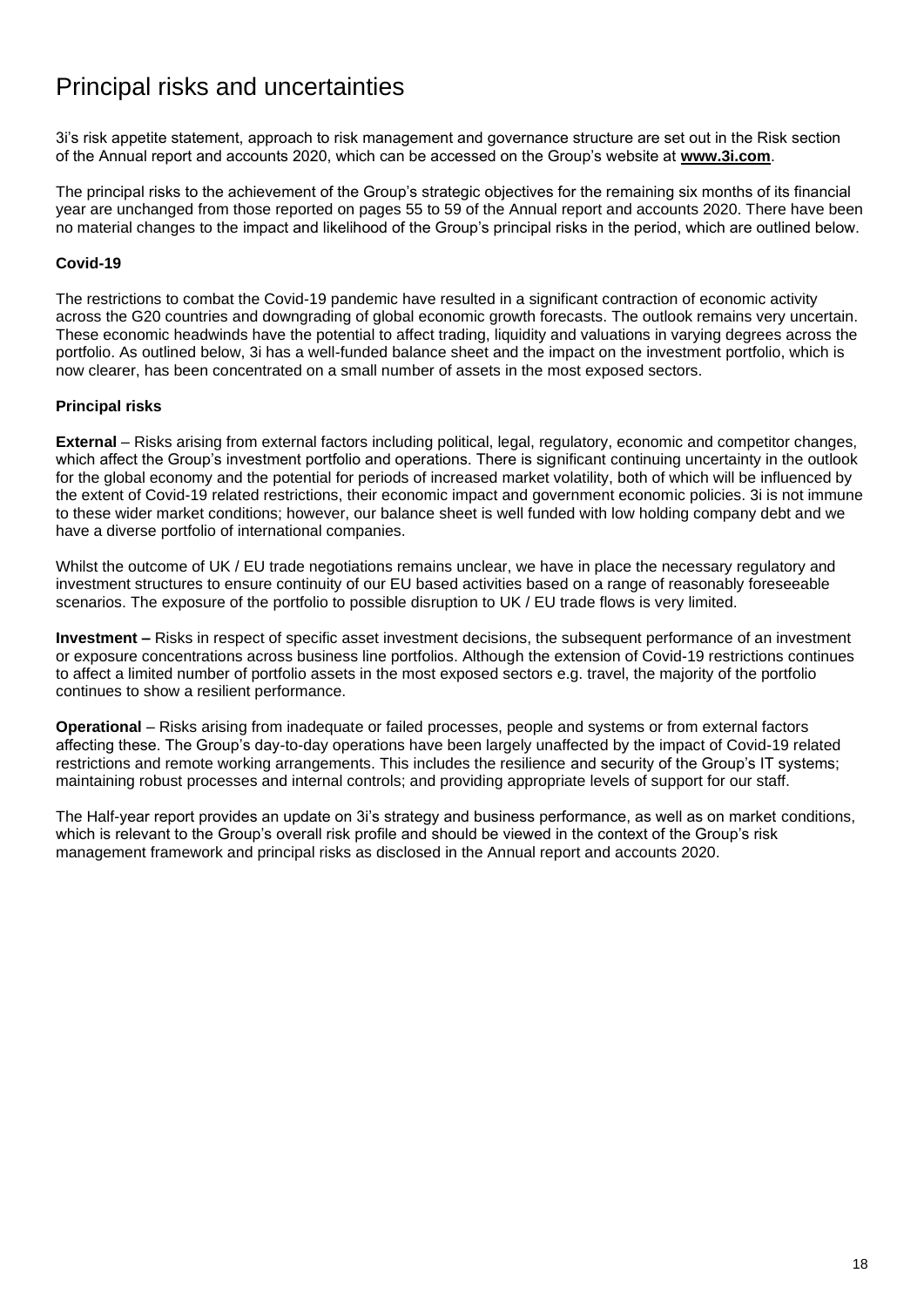# Principal risks and uncertainties

3i's risk appetite statement, approach to risk management and governance structure are set out in the Risk section of the Annual report and accounts 2020, which can be accessed on the Group's website at **[www.3i.com](http://www.3i.com/)**.

The principal risks to the achievement of the Group's strategic objectives for the remaining six months of its financial year are unchanged from those reported on pages 55 to 59 of the Annual report and accounts 2020. There have been no material changes to the impact and likelihood of the Group's principal risks in the period, which are outlined below.

### **Covid-19**

The restrictions to combat the Covid-19 pandemic have resulted in a significant contraction of economic activity across the G20 countries and downgrading of global economic growth forecasts. The outlook remains very uncertain. These economic headwinds have the potential to affect trading, liquidity and valuations in varying degrees across the portfolio. As outlined below, 3i has a well-funded balance sheet and the impact on the investment portfolio, which is now clearer, has been concentrated on a small number of assets in the most exposed sectors.

## **Principal risks**

**External** – Risks arising from external factors including political, legal, regulatory, economic and competitor changes, which affect the Group's investment portfolio and operations. There is significant continuing uncertainty in the outlook for the global economy and the potential for periods of increased market volatility, both of which will be influenced by the extent of Covid-19 related restrictions, their economic impact and government economic policies. 3i is not immune to these wider market conditions; however, our balance sheet is well funded with low holding company debt and we have a diverse portfolio of international companies.

Whilst the outcome of UK / EU trade negotiations remains unclear, we have in place the necessary regulatory and investment structures to ensure continuity of our EU based activities based on a range of reasonably foreseeable scenarios. The exposure of the portfolio to possible disruption to UK / EU trade flows is very limited.

**Investment –** Risks in respect of specific asset investment decisions, the subsequent performance of an investment or exposure concentrations across business line portfolios. Although the extension of Covid-19 restrictions continues to affect a limited number of portfolio assets in the most exposed sectors e.g. travel, the majority of the portfolio continues to show a resilient performance.

**Operational** – Risks arising from inadequate or failed processes, people and systems or from external factors affecting these. The Group's day-to-day operations have been largely unaffected by the impact of Covid-19 related restrictions and remote working arrangements. This includes the resilience and security of the Group's IT systems; maintaining robust processes and internal controls; and providing appropriate levels of support for our staff.

The Half-year report provides an update on 3i's strategy and business performance, as well as on market conditions, which is relevant to the Group's overall risk profile and should be viewed in the context of the Group's risk management framework and principal risks as disclosed in the Annual report and accounts 2020.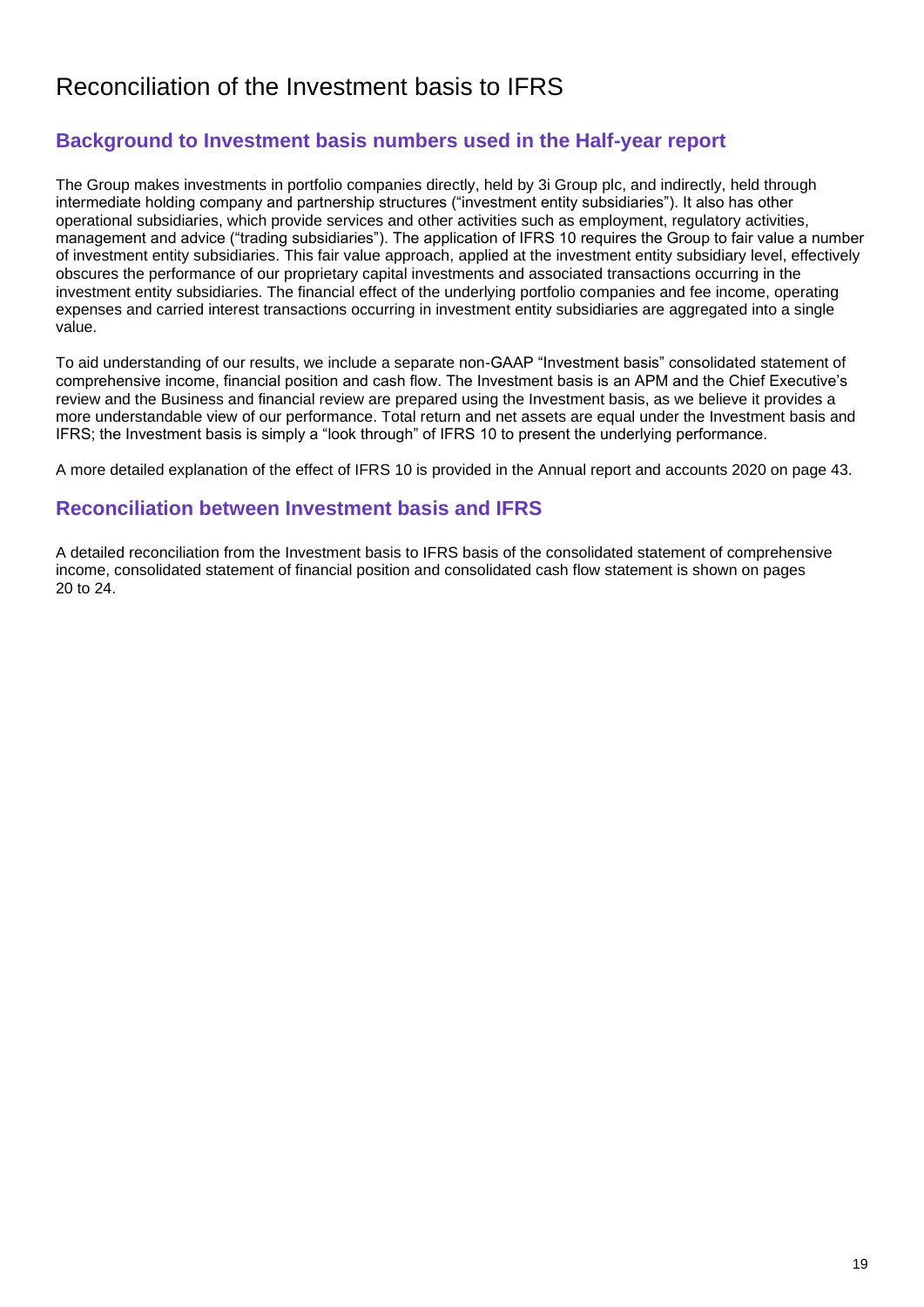# Reconciliation of the Investment basis to IFRS

# **Background to Investment basis numbers used in the Half-year report**

The Group makes investments in portfolio companies directly, held by 3i Group plc, and indirectly, held through intermediate holding company and partnership structures ("investment entity subsidiaries"). It also has other operational subsidiaries, which provide services and other activities such as employment, regulatory activities, management and advice ("trading subsidiaries"). The application of IFRS 10 requires the Group to fair value a number of investment entity subsidiaries. This fair value approach, applied at the investment entity subsidiary level, effectively obscures the performance of our proprietary capital investments and associated transactions occurring in the investment entity subsidiaries. The financial effect of the underlying portfolio companies and fee income, operating expenses and carried interest transactions occurring in investment entity subsidiaries are aggregated into a single value.

To aid understanding of our results, we include a separate non-GAAP "Investment basis" consolidated statement of comprehensive income, financial position and cash flow. The Investment basis is an APM and the Chief Executive's review and the Business and financial review are prepared using the Investment basis, as we believe it provides a more understandable view of our performance. Total return and net assets are equal under the Investment basis and IFRS; the Investment basis is simply a "look through" of IFRS 10 to present the underlying performance.

A more detailed explanation of the effect of IFRS 10 is provided in the Annual report and accounts 2020 on page 43.

# **Reconciliation between Investment basis and IFRS**

A detailed reconciliation from the Investment basis to IFRS basis of the consolidated statement of comprehensive income, consolidated statement of financial position and consolidated cash flow statement is shown on pages 20 to 24.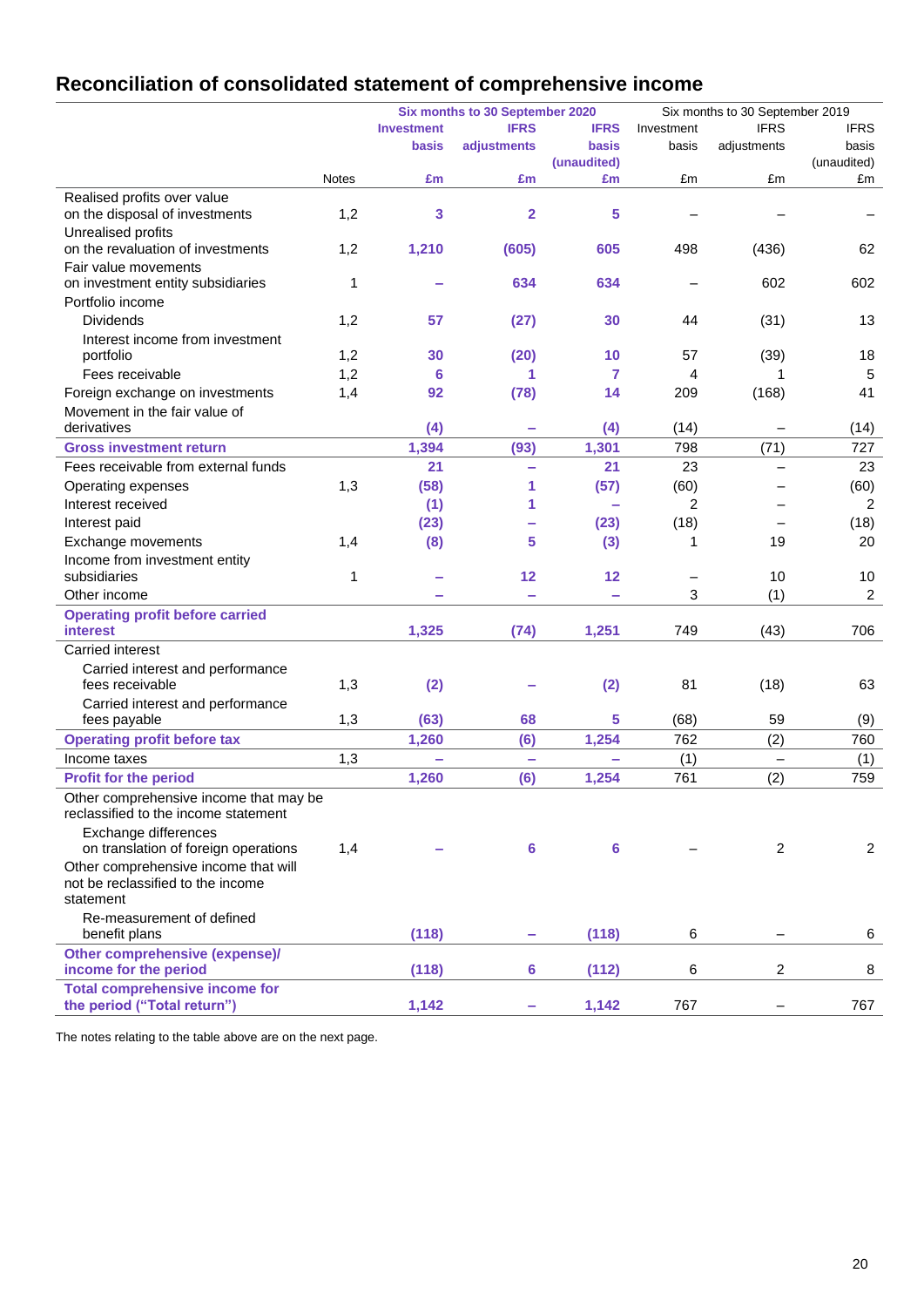# **Reconciliation of consolidated statement of comprehensive income**

|                                                                                |              |                   | Six months to 30 September 2020 |              | Six months to 30 September 2019 |                          |                |
|--------------------------------------------------------------------------------|--------------|-------------------|---------------------------------|--------------|---------------------------------|--------------------------|----------------|
|                                                                                |              | <b>Investment</b> | <b>IFRS</b>                     | <b>IFRS</b>  | Investment                      | <b>IFRS</b>              | <b>IFRS</b>    |
|                                                                                |              | <b>basis</b>      | adjustments                     | <b>basis</b> | basis                           | adjustments              | basis          |
|                                                                                |              |                   |                                 | (unaudited)  |                                 |                          | (unaudited)    |
|                                                                                | <b>Notes</b> | £m                | £m                              | £m           | £m                              | £m                       | £m             |
| Realised profits over value<br>on the disposal of investments                  | 1,2          | 3                 | 2                               | 5            |                                 |                          |                |
| Unrealised profits                                                             |              |                   |                                 |              |                                 |                          |                |
| on the revaluation of investments                                              | 1,2          | 1,210             | (605)                           | 605          | 498                             | (436)                    | 62             |
| Fair value movements                                                           |              |                   |                                 | 634          |                                 | 602                      |                |
| on investment entity subsidiaries                                              | 1            |                   | 634                             |              |                                 |                          | 602            |
| Portfolio income                                                               |              |                   |                                 |              |                                 |                          |                |
| <b>Dividends</b>                                                               | 1,2          | 57                | (27)                            | 30           | 44                              | (31)                     | 13             |
| Interest income from investment                                                |              | 30                |                                 | 10           |                                 |                          |                |
| portfolio                                                                      | 1,2          |                   | (20)                            |              | 57                              | (39)                     | 18             |
| Fees receivable                                                                | 1,2          | 6                 | 1                               | 7            | 4                               |                          | 5              |
| Foreign exchange on investments                                                | 1,4          | 92                | (78)                            | 14           | 209                             | (168)                    | 41             |
| Movement in the fair value of                                                  |              |                   |                                 |              |                                 |                          |                |
| derivatives                                                                    |              | (4)               | ÷                               | (4)          | (14)                            |                          | (14)           |
| <b>Gross investment return</b>                                                 |              | 1,394             | (93)                            | 1,301        | 798                             | (71)                     | 727            |
| Fees receivable from external funds                                            |              | 21                | ÷                               | 21           | 23                              |                          | 23             |
| Operating expenses                                                             | 1,3          | (58)              | 1                               | (57)         | (60)                            |                          | (60)           |
| Interest received                                                              |              | (1)               | 1                               |              | 2                               |                          | 2              |
| Interest paid                                                                  |              | (23)              |                                 | (23)         | (18)                            |                          | (18)           |
| Exchange movements                                                             | 1,4          | (8)               | 5                               | (3)          | 1                               | 19                       | 20             |
| Income from investment entity                                                  |              |                   |                                 |              |                                 |                          |                |
| subsidiaries                                                                   | 1            |                   | 12                              | 12           |                                 | 10                       | 10             |
| Other income                                                                   |              |                   | ÷                               |              | 3                               | (1)                      | $\overline{c}$ |
| <b>Operating profit before carried</b>                                         |              |                   |                                 |              |                                 |                          |                |
| <b>interest</b>                                                                |              | 1,325             | (74)                            | 1,251        | 749                             | (43)                     | 706            |
| Carried interest                                                               |              |                   |                                 |              |                                 |                          |                |
| Carried interest and performance                                               |              |                   |                                 |              |                                 |                          |                |
| fees receivable                                                                | 1,3          | (2)               |                                 | (2)          | 81                              | (18)                     | 63             |
| Carried interest and performance                                               |              |                   |                                 |              |                                 |                          |                |
| fees payable                                                                   | 1,3          | (63)              | 68                              | 5            | (68)                            | 59                       | (9)            |
| <b>Operating profit before tax</b>                                             |              | 1,260             | (6)                             | 1,254        | 762                             | (2)                      | 760            |
| Income taxes                                                                   | 1,3          | $\equiv$          | ÷                               | ÷            | (1)                             | $\overline{\phantom{0}}$ | (1)            |
| <b>Profit for the period</b>                                                   |              | 1,260             | (6)                             | 1,254        | 761                             | (2)                      | 759            |
| Other comprehensive income that may be<br>reclassified to the income statement |              |                   |                                 |              |                                 |                          |                |
| Exchange differences                                                           |              |                   |                                 |              |                                 |                          |                |
| on translation of foreign operations                                           | 1,4          |                   | 6                               | 6            |                                 | 2                        | $\overline{c}$ |
| Other comprehensive income that will                                           |              |                   |                                 |              |                                 |                          |                |
| not be reclassified to the income<br>statement                                 |              |                   |                                 |              |                                 |                          |                |
| Re-measurement of defined                                                      |              |                   |                                 |              |                                 |                          |                |
| benefit plans                                                                  |              | (118)             |                                 | (118)        | 6                               |                          | 6              |
| Other comprehensive (expense)/                                                 |              |                   |                                 |              |                                 |                          |                |
| income for the period                                                          |              | (118)             | 6                               | (112)        | 6                               | 2                        | 8              |
| <b>Total comprehensive income for</b>                                          |              |                   |                                 |              |                                 |                          |                |
| the period ("Total return")                                                    |              | 1,142             |                                 | 1,142        | 767                             |                          | 767            |

The notes relating to the table above are on the next page.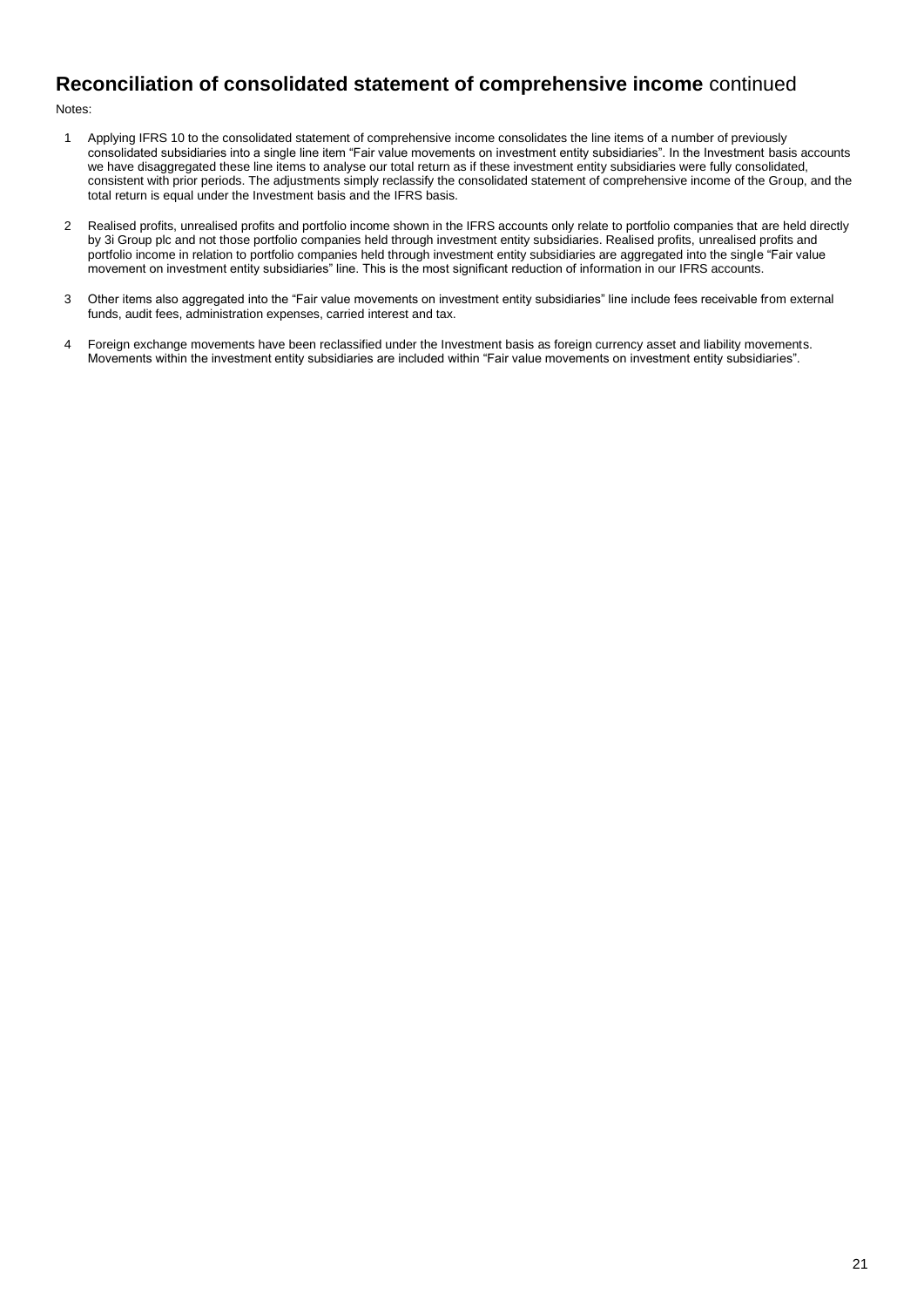# **Reconciliation of consolidated statement of comprehensive income** continued

Notes:

- 1 Applying IFRS 10 to the consolidated statement of comprehensive income consolidates the line items of a number of previously consolidated subsidiaries into a single line item "Fair value movements on investment entity subsidiaries". In the Investment basis accounts we have disaggregated these line items to analyse our total return as if these investment entity subsidiaries were fully consolidated, consistent with prior periods. The adjustments simply reclassify the consolidated statement of comprehensive income of the Group, and the total return is equal under the Investment basis and the IFRS basis.
- 2 Realised profits, unrealised profits and portfolio income shown in the IFRS accounts only relate to portfolio companies that are held directly by 3i Group plc and not those portfolio companies held through investment entity subsidiaries. Realised profits, unrealised profits and portfolio income in relation to portfolio companies held through investment entity subsidiaries are aggregated into the single "Fair value movement on investment entity subsidiaries" line. This is the most significant reduction of information in our IFRS accounts.
- 3 Other items also aggregated into the "Fair value movements on investment entity subsidiaries" line include fees receivable from external funds, audit fees, administration expenses, carried interest and tax.
- 4 Foreign exchange movements have been reclassified under the Investment basis as foreign currency asset and liability movements. Movements within the investment entity subsidiaries are included within "Fair value movements on investment entity subsidiaries".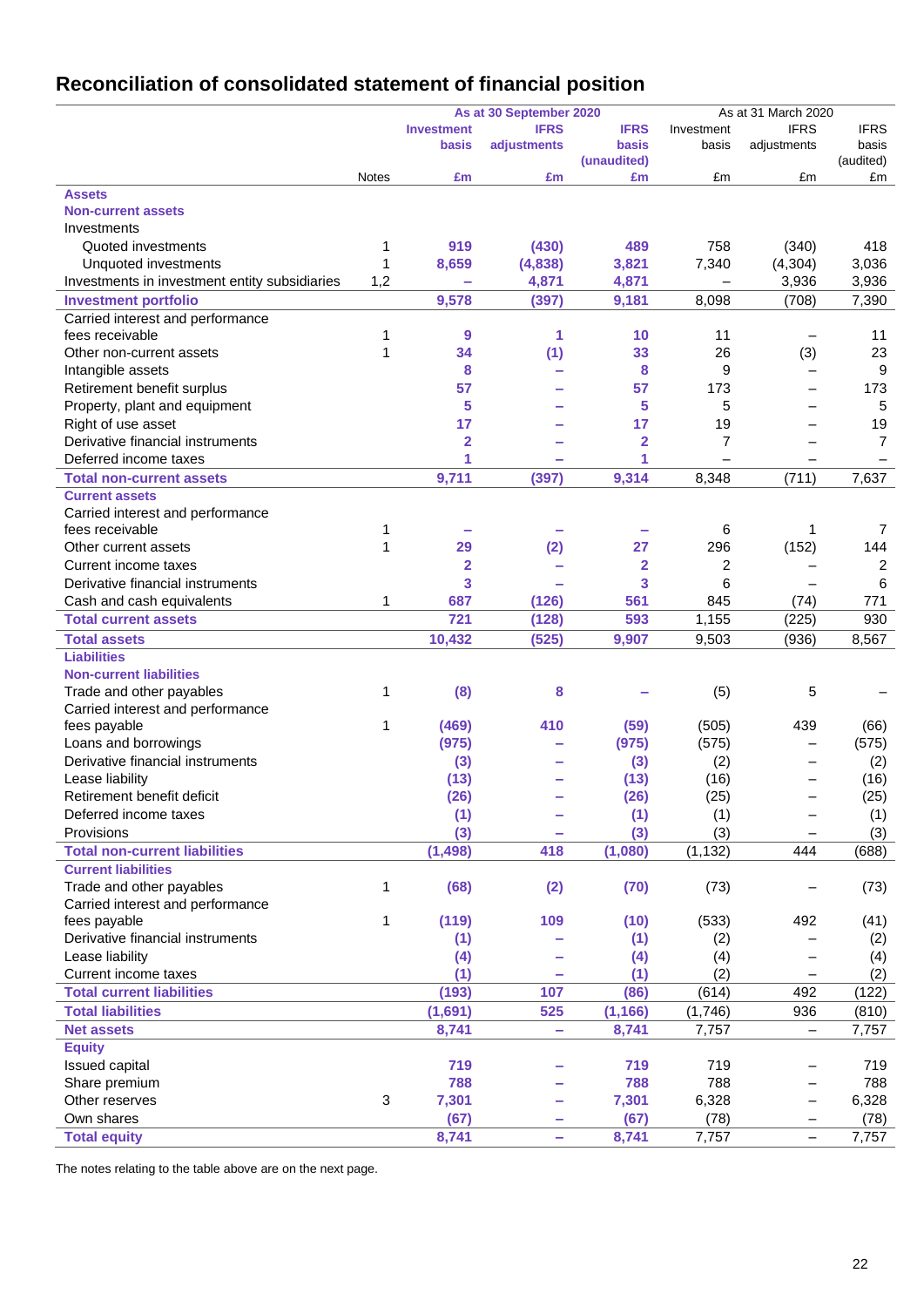# **Reconciliation of consolidated statement of financial position**

|                                               | As at 31 March 2020<br>As at 30 September 2020 |                   |             |                |                |                          |                |
|-----------------------------------------------|------------------------------------------------|-------------------|-------------|----------------|----------------|--------------------------|----------------|
|                                               |                                                | <b>Investment</b> | <b>IFRS</b> | <b>IFRS</b>    | Investment     | <b>IFRS</b>              | <b>IFRS</b>    |
|                                               |                                                | basis             | adjustments | basis          | basis          | adjustments              | basis          |
|                                               |                                                |                   |             | (unaudited)    |                |                          | (audited)      |
|                                               | Notes                                          | £m                | £m          | £m             | £m             | £m                       | £m             |
| <b>Assets</b>                                 |                                                |                   |             |                |                |                          |                |
| <b>Non-current assets</b>                     |                                                |                   |             |                |                |                          |                |
| Investments                                   |                                                |                   |             |                |                |                          |                |
| Quoted investments                            | 1                                              | 919               | (430)       | 489            | 758            | (340)                    | 418            |
| Unquoted investments                          | 1                                              | 8,659             | (4,838)     | 3,821          | 7,340          | (4, 304)                 | 3,036          |
| Investments in investment entity subsidiaries | 1,2                                            |                   | 4,871       | 4,871          |                | 3,936                    | 3,936          |
| <b>Investment portfolio</b>                   |                                                | 9,578             | (397)       | 9,181          | 8,098          | (708)                    | 7,390          |
| Carried interest and performance              |                                                |                   |             |                |                |                          |                |
| fees receivable                               | 1                                              | 9                 | 1           | 10             | 11             |                          | 11             |
| Other non-current assets                      | 1                                              | 34                | (1)         | 33             | 26             | (3)                      | 23             |
| Intangible assets                             |                                                | 8                 | -           | 8              | 9              | $\overline{\phantom{0}}$ | 9              |
| Retirement benefit surplus                    |                                                | 57                |             | 57             | 173            | $\overline{\phantom{0}}$ | 173            |
| Property, plant and equipment                 |                                                | 5                 |             | 5              | 5              | $\overline{\phantom{0}}$ | 5              |
| Right of use asset                            |                                                | 17                |             | 17             | 19             |                          | 19             |
| Derivative financial instruments              |                                                | $\overline{2}$    |             | $\overline{2}$ | $\overline{7}$ | $\overline{\phantom{0}}$ | $\overline{7}$ |
| Deferred income taxes                         |                                                | 1                 | -           | 1              |                |                          |                |
| <b>Total non-current assets</b>               |                                                | 9,711             | (397)       | 9,314          | 8,348          | (711)                    | 7,637          |
| <b>Current assets</b>                         |                                                |                   |             |                |                |                          |                |
| Carried interest and performance              |                                                |                   |             |                |                |                          |                |
| fees receivable                               | 1                                              |                   |             |                | 6              | 1                        | 7              |
| Other current assets                          | 1                                              | 29                | (2)         | 27             | 296            | (152)                    | 144            |
| Current income taxes                          |                                                | 2                 |             | $\mathbf 2$    | 2              |                          | 2              |
| Derivative financial instruments              |                                                | 3                 |             | 3              | 6              |                          | 6              |
| Cash and cash equivalents                     | 1                                              | 687               | (126)       | 561            | 845            | (74)                     | 771            |
| <b>Total current assets</b>                   |                                                | 721               | (128)       | 593            | 1,155          | (225)                    | 930            |
| <b>Total assets</b>                           |                                                | 10,432            | (525)       | 9,907          | 9,503          | (936)                    | 8,567          |
| <b>Liabilities</b>                            |                                                |                   |             |                |                |                          |                |
| <b>Non-current liabilities</b>                |                                                |                   |             |                |                |                          |                |
| Trade and other payables                      | 1                                              | (8)               | 8           |                | (5)            | 5                        |                |
| Carried interest and performance              |                                                |                   |             |                |                |                          |                |
| fees payable                                  | 1                                              | (469)             | 410         | (59)           | (505)          | 439                      | (66)           |
| Loans and borrowings                          |                                                | (975)             | -           | (975)          | (575)          | $\overline{\phantom{0}}$ | (575)          |
| Derivative financial instruments              |                                                | (3)               |             | (3)            | (2)            | $\overline{\phantom{0}}$ | (2)            |
| Lease liability                               |                                                | (13)              |             | (13)           | (16)           |                          | (16)           |
| Retirement benefit deficit                    |                                                | (26)              |             | (26)           | (25)           |                          | (25)           |
| Deferred income taxes                         |                                                | (1)               |             | (1)            | (1)            | -                        | (1)            |
| Provisions                                    |                                                | (3)               |             | (3)            | (3)            |                          | (3)            |
| <b>Total non-current liabilities</b>          |                                                | (1, 498)          | 418         | (1,080)        | (1, 132)       | 444                      | (688)          |
| <b>Current liabilities</b>                    |                                                |                   |             |                |                |                          |                |
| Trade and other payables                      | 1                                              | (68)              | (2)         | (70)           | (73)           |                          | (73)           |
| Carried interest and performance              |                                                |                   |             |                |                |                          |                |
| fees payable                                  | 1                                              | (119)             | 109         | (10)           | (533)          | 492                      | (41)           |
| Derivative financial instruments              |                                                | (1)               |             | (1)            | (2)            |                          | (2)            |
| Lease liability                               |                                                | (4)               |             | (4)            | (4)            |                          | (4)            |
| Current income taxes                          |                                                | (1)               |             | (1)            | (2)            |                          | (2)            |
| <b>Total current liabilities</b>              |                                                | (193)             | 107         | (86)           | (614)          | 492                      | (122)          |
| <b>Total liabilities</b>                      |                                                | (1,691)           | 525         | (1, 166)       | (1,746)        | 936                      | (810)          |
| <b>Net assets</b>                             |                                                | 8,741             | ۰           | 8,741          | 7,757          | $\qquad \qquad -$        | 7,757          |
| <b>Equity</b>                                 |                                                |                   |             |                |                |                          |                |
| Issued capital                                |                                                | 719               |             | 719            | 719            | $\overline{\phantom{0}}$ | 719            |
| Share premium                                 |                                                | 788               | -           | 788            | 788            | $\qquad \qquad -$        | 788            |
| Other reserves                                | 3                                              | 7,301             | -           | 7,301          | 6,328          | $\qquad \qquad -$        | 6,328          |
| Own shares                                    |                                                | (67)              |             | (67)           | (78)           | -                        | (78)           |
| <b>Total equity</b>                           |                                                | 8,741             | ÷           | 8,741          | 7,757          | $\qquad \qquad -$        | 7,757          |
|                                               |                                                |                   |             |                |                |                          |                |

The notes relating to the table above are on the next page.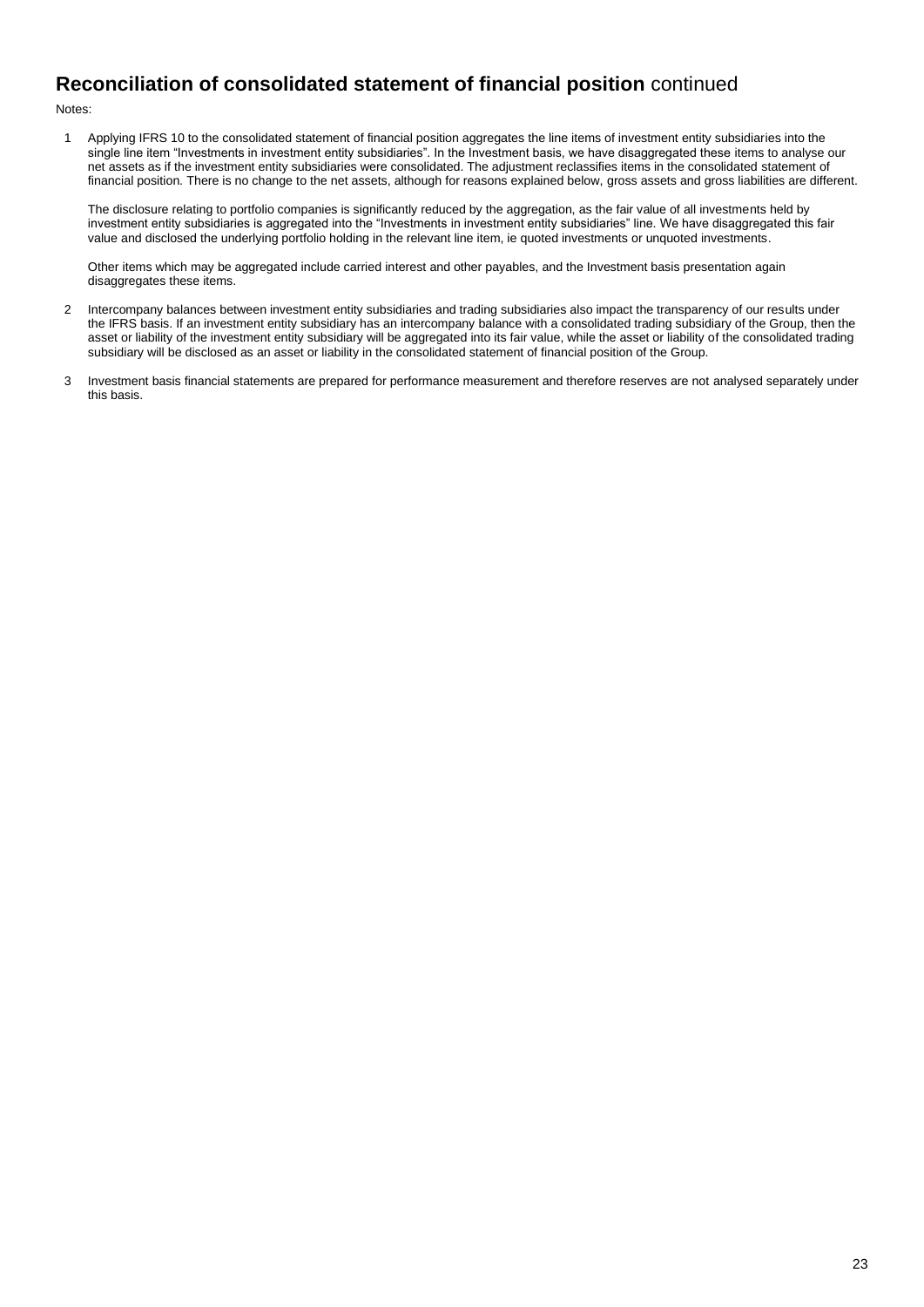# **Reconciliation of consolidated statement of financial position** continued

Notes:

1 Applying IFRS 10 to the consolidated statement of financial position aggregates the line items of investment entity subsidiaries into the single line item "Investments in investment entity subsidiaries". In the Investment basis, we have disaggregated these items to analyse our net assets as if the investment entity subsidiaries were consolidated. The adjustment reclassifies items in the consolidated statement of financial position. There is no change to the net assets, although for reasons explained below, gross assets and gross liabilities are different.

The disclosure relating to portfolio companies is significantly reduced by the aggregation, as the fair value of all investments held by investment entity subsidiaries is aggregated into the "Investments in investment entity subsidiaries" line. We have disaggregated this fair value and disclosed the underlying portfolio holding in the relevant line item, ie quoted investments or unquoted investments.

Other items which may be aggregated include carried interest and other payables, and the Investment basis presentation again disaggregates these items.

- 2 Intercompany balances between investment entity subsidiaries and trading subsidiaries also impact the transparency of our results under the IFRS basis. If an investment entity subsidiary has an intercompany balance with a consolidated trading subsidiary of the Group, then the asset or liability of the investment entity subsidiary will be aggregated into its fair value, while the asset or liability of the consolidated trading subsidiary will be disclosed as an asset or liability in the consolidated statement of financial position of the Group.
- 3 Investment basis financial statements are prepared for performance measurement and therefore reserves are not analysed separately under this basis.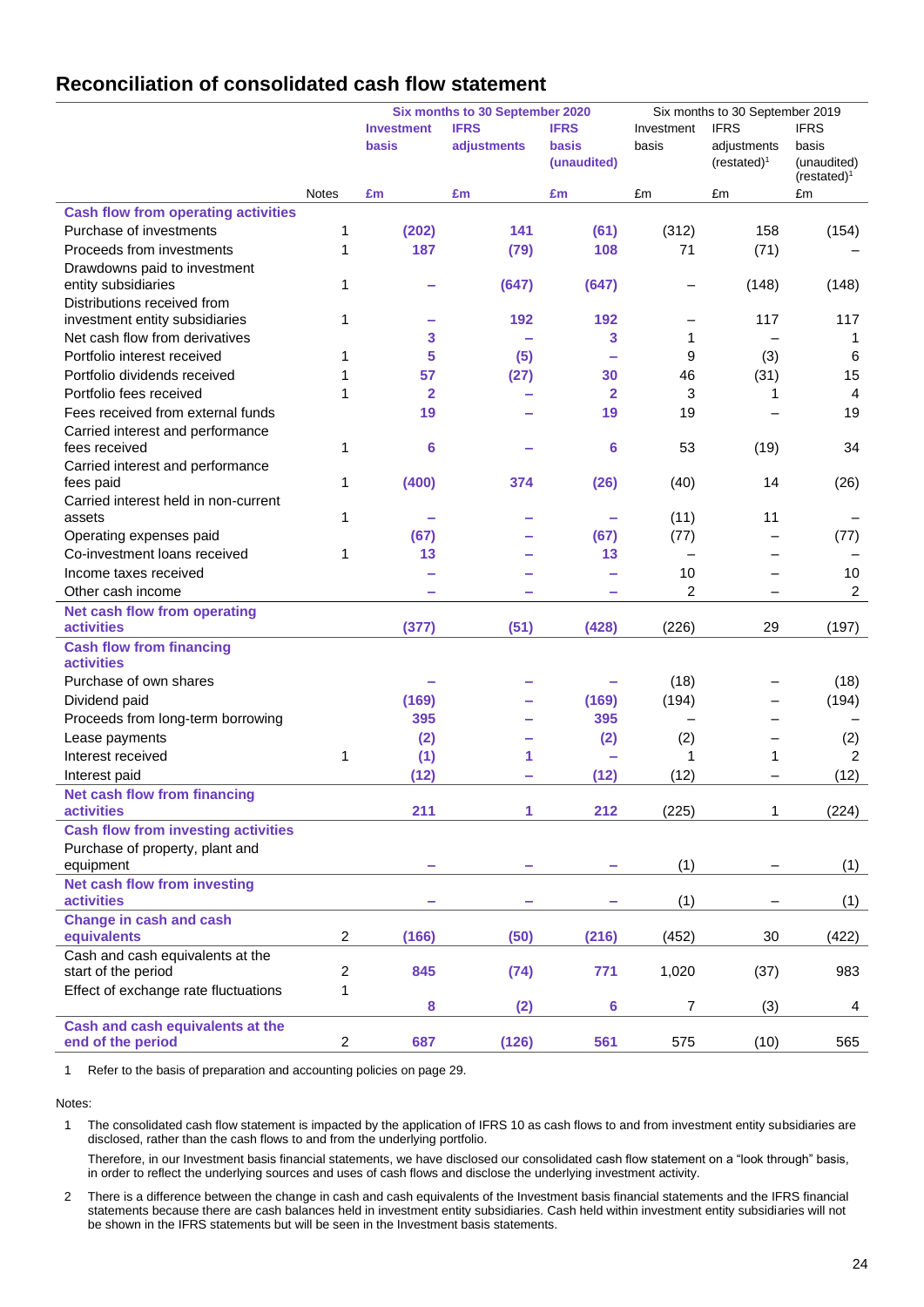# **Reconciliation of consolidated cash flow statement**

|                                                      |                         | Six months to 30 September 2020 |             |                      | Six months to 30 September 2019 |                               |                                       |  |
|------------------------------------------------------|-------------------------|---------------------------------|-------------|----------------------|---------------------------------|-------------------------------|---------------------------------------|--|
|                                                      |                         | <b>Investment</b>               | <b>IFRS</b> | <b>IFRS</b>          | Investment                      | <b>IFRS</b>                   | <b>IFRS</b>                           |  |
|                                                      |                         | basis                           | adjustments | basis<br>(unaudited) | basis                           | adjustments<br>$(restated)^1$ | basis<br>(unaudited)<br>$(resated)^1$ |  |
|                                                      | <b>Notes</b>            | £m                              | £m          | £m                   | £m                              | £m                            | £m                                    |  |
| <b>Cash flow from operating activities</b>           |                         |                                 |             |                      |                                 |                               |                                       |  |
| Purchase of investments                              | 1                       | (202)                           | 141         | (61)                 | (312)                           | 158                           | (154)                                 |  |
| Proceeds from investments                            | 1                       | 187                             | (79)        | 108                  | 71                              | (71)                          |                                       |  |
| Drawdowns paid to investment<br>entity subsidiaries  | 1                       |                                 | (647)       | (647)                | -                               | (148)                         | (148)                                 |  |
| Distributions received from                          |                         |                                 |             |                      |                                 |                               |                                       |  |
| investment entity subsidiaries                       | 1                       |                                 | 192         | 192                  | $\overline{\phantom{0}}$        | 117                           | 117                                   |  |
| Net cash flow from derivatives                       |                         | 3                               |             | 3                    | 1                               |                               | 1                                     |  |
| Portfolio interest received                          | 1                       | 5                               | (5)         |                      | 9                               | (3)                           | 6                                     |  |
| Portfolio dividends received                         | 1                       | 57                              | (27)        | 30                   | 46                              | (31)                          | 15                                    |  |
| Portfolio fees received                              | 1                       | $\overline{\mathbf{2}}$         |             | $\mathbf{2}$         | 3                               | 1                             | $\overline{4}$                        |  |
| Fees received from external funds                    |                         | 19                              |             | 19                   | 19                              |                               | 19                                    |  |
| Carried interest and performance<br>fees received    | 1                       | 6                               |             | 6                    | 53                              | (19)                          | 34                                    |  |
| Carried interest and performance<br>fees paid        | 1                       | (400)                           | 374         | (26)                 | (40)                            | 14                            | (26)                                  |  |
| Carried interest held in non-current                 |                         |                                 |             |                      |                                 |                               |                                       |  |
| assets                                               | 1                       |                                 |             |                      | (11)                            | 11                            |                                       |  |
| Operating expenses paid                              |                         | (67)                            |             | (67)                 | (77)                            |                               | (77)                                  |  |
| Co-investment loans received                         | 1                       | 13                              |             | 13                   | $\qquad \qquad -$               |                               |                                       |  |
| Income taxes received                                |                         |                                 |             |                      | 10                              |                               | 10                                    |  |
| Other cash income                                    |                         |                                 |             |                      | $\overline{c}$                  |                               | $\overline{c}$                        |  |
| Net cash flow from operating                         |                         |                                 |             |                      |                                 |                               |                                       |  |
| <b>activities</b>                                    |                         | (377)                           | (51)        | (428)                | (226)                           | 29                            | (197)                                 |  |
| <b>Cash flow from financing</b><br><b>activities</b> |                         |                                 |             |                      |                                 |                               |                                       |  |
| Purchase of own shares                               |                         |                                 |             |                      | (18)                            |                               | (18)                                  |  |
| Dividend paid                                        |                         | (169)                           |             | (169)                | (194)                           | —                             | (194)                                 |  |
| Proceeds from long-term borrowing                    |                         | 395                             |             | 395                  | $\overline{\phantom{0}}$        | -                             |                                       |  |
| Lease payments                                       |                         | (2)                             |             | (2)                  | (2)                             | $\overline{\phantom{0}}$      | (2)                                   |  |
| Interest received                                    | 1                       | (1)                             | 1           |                      | 1                               | 1                             | $\overline{2}$                        |  |
| Interest paid                                        |                         | (12)                            |             | (12)                 | (12)                            |                               | (12)                                  |  |
| <b>Net cash flow from financing</b>                  |                         |                                 |             |                      |                                 |                               |                                       |  |
| <b>activities</b>                                    |                         | 211                             | 1           | 212                  | (225)                           | 1                             | (224)                                 |  |
| <b>Cash flow from investing activities</b>           |                         |                                 |             |                      |                                 |                               |                                       |  |
| Purchase of property, plant and<br>equipment         |                         | -                               |             |                      | (1)                             |                               | (1)                                   |  |
| <b>Net cash flow from investing</b>                  |                         |                                 |             |                      |                                 |                               |                                       |  |
| <b>activities</b>                                    |                         |                                 |             |                      | (1)                             |                               | (1)                                   |  |
| <b>Change in cash and cash</b><br>equivalents        | $\overline{\mathbf{c}}$ | (166)                           | (50)        | (216)                | (452)                           | 30                            | (422)                                 |  |
| Cash and cash equivalents at the                     |                         |                                 |             |                      |                                 |                               |                                       |  |
| start of the period                                  | $\overline{\mathbf{c}}$ | 845                             | (74)        | 771                  | 1,020                           | (37)                          | 983                                   |  |
| Effect of exchange rate fluctuations                 | 1                       |                                 |             |                      |                                 |                               |                                       |  |
|                                                      |                         | 8                               | (2)         | 6                    | 7                               | (3)                           | 4                                     |  |
| Cash and cash equivalents at the                     |                         |                                 |             |                      |                                 |                               |                                       |  |
| end of the period                                    | 2                       | 687                             | (126)       | 561                  | 575                             | (10)                          | 565                                   |  |

1 Refer to the basis of preparation and accounting policies on page 29.

Notes:

1 The consolidated cash flow statement is impacted by the application of IFRS 10 as cash flows to and from investment entity subsidiaries are disclosed, rather than the cash flows to and from the underlying portfolio.

Therefore, in our Investment basis financial statements, we have disclosed our consolidated cash flow statement on a "look through" basis, in order to reflect the underlying sources and uses of cash flows and disclose the underlying investment activity.

2 There is a difference between the change in cash and cash equivalents of the Investment basis financial statements and the IFRS financial statements because there are cash balances held in investment entity subsidiaries. Cash held within investment entity subsidiaries will not be shown in the IFRS statements but will be seen in the Investment basis statements.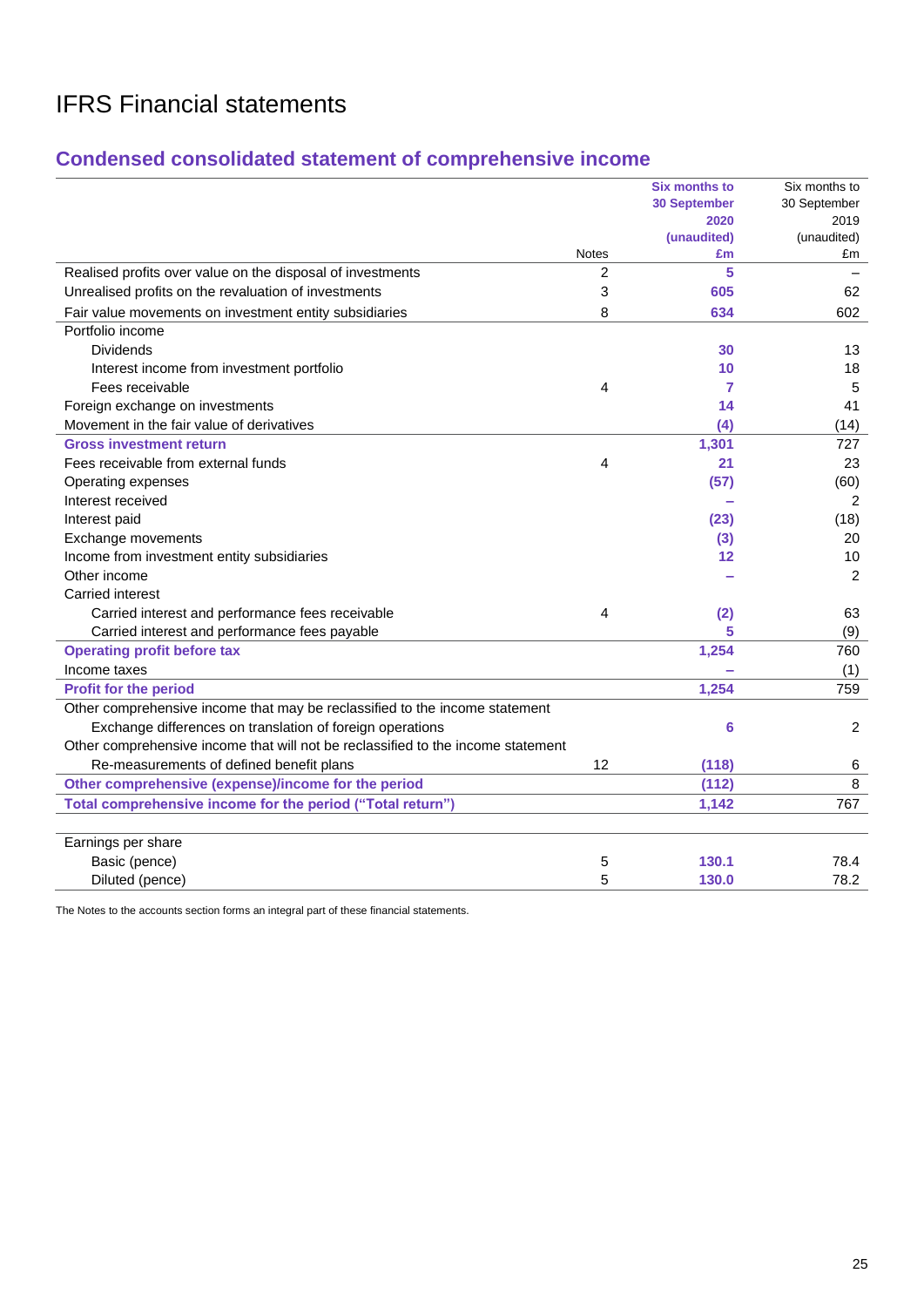# **Condensed consolidated statement of comprehensive income**

|                                                                                  |                | <b>Six months to</b> | Six months to |
|----------------------------------------------------------------------------------|----------------|----------------------|---------------|
|                                                                                  |                | <b>30 September</b>  | 30 September  |
|                                                                                  |                | 2020                 | 2019          |
|                                                                                  |                | (unaudited)          | (unaudited)   |
|                                                                                  | <b>Notes</b>   | £m                   | £m            |
| Realised profits over value on the disposal of investments                       | $\overline{2}$ | 5                    |               |
| Unrealised profits on the revaluation of investments                             | 3              | 605                  | 62            |
| Fair value movements on investment entity subsidiaries                           | 8              | 634                  | 602           |
| Portfolio income                                                                 |                |                      |               |
| <b>Dividends</b>                                                                 |                | 30                   | 13            |
| Interest income from investment portfolio                                        |                | 10                   | 18            |
| Fees receivable                                                                  | 4              | 7                    | 5             |
| Foreign exchange on investments                                                  |                | 14                   | 41            |
| Movement in the fair value of derivatives                                        |                | (4)                  | (14)          |
| <b>Gross investment return</b>                                                   |                | 1,301                | 727           |
| Fees receivable from external funds                                              | 4              | 21                   | 23            |
| Operating expenses                                                               |                | (57)                 | (60)          |
| Interest received                                                                |                |                      | 2             |
| Interest paid                                                                    |                | (23)                 | (18)          |
| Exchange movements                                                               |                | (3)                  | 20            |
| Income from investment entity subsidiaries                                       |                | 12                   | 10            |
| Other income                                                                     |                |                      | 2             |
| Carried interest                                                                 |                |                      |               |
| Carried interest and performance fees receivable                                 | 4              | (2)                  | 63            |
| Carried interest and performance fees payable                                    |                | 5                    | (9)           |
| <b>Operating profit before tax</b>                                               |                | 1,254                | 760           |
| Income taxes                                                                     |                |                      | (1)           |
| <b>Profit for the period</b>                                                     |                | 1,254                | 759           |
| Other comprehensive income that may be reclassified to the income statement      |                |                      |               |
| Exchange differences on translation of foreign operations                        |                | 6                    | 2             |
| Other comprehensive income that will not be reclassified to the income statement |                |                      |               |
| Re-measurements of defined benefit plans                                         | 12             | (118)                | 6             |
| Other comprehensive (expense)/income for the period                              |                | (112)                | 8             |
| Total comprehensive income for the period ("Total return")                       |                | 1,142                | 767           |
|                                                                                  |                |                      |               |
| Earnings per share                                                               |                |                      |               |
| Basic (pence)                                                                    | 5              | 130.1                | 78.4          |
| Diluted (pence)                                                                  | 5              | 130.0                | 78.2          |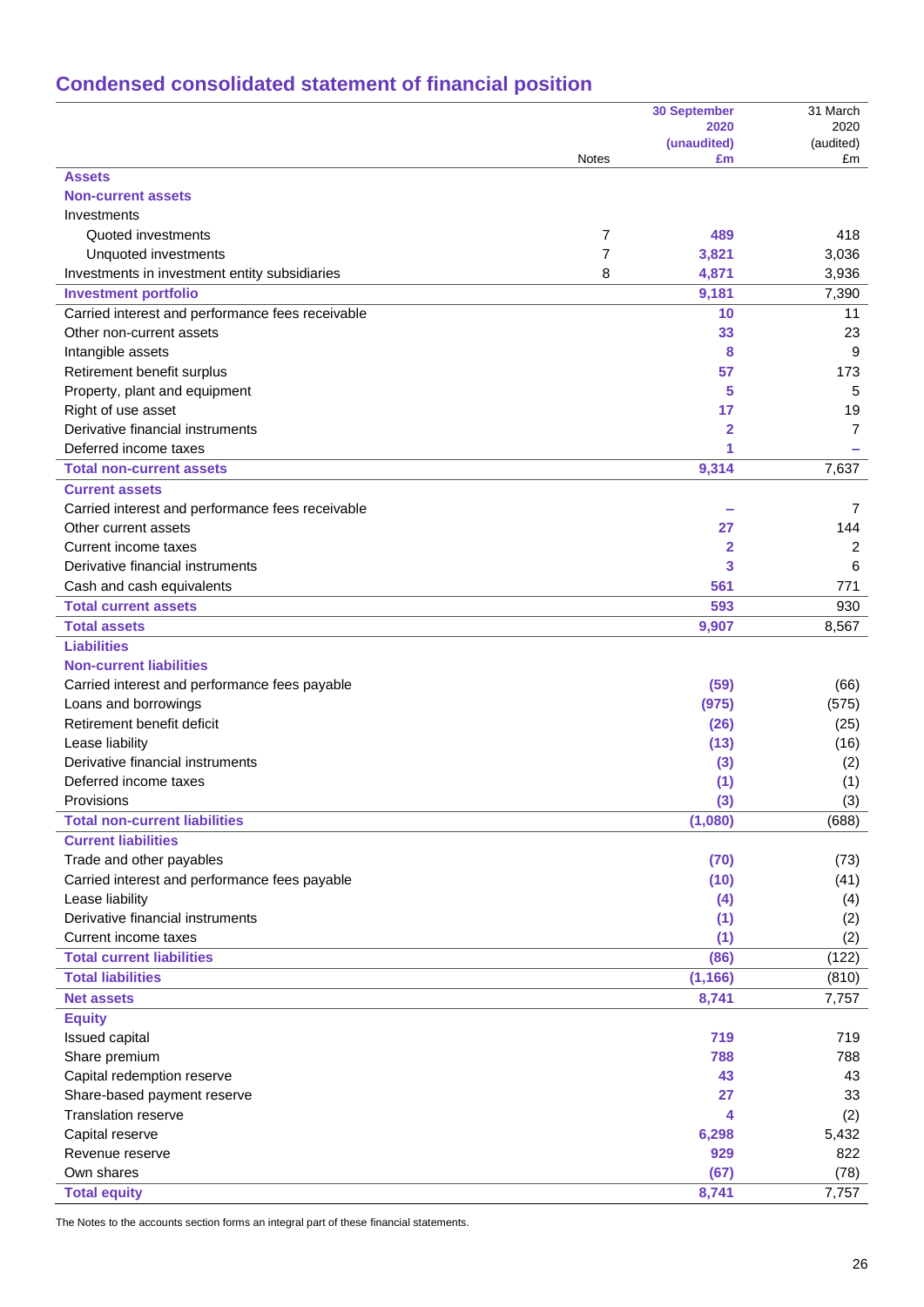# **Condensed consolidated statement of financial position**

|                                                  |              | <b>30 September</b> | 31 March        |
|--------------------------------------------------|--------------|---------------------|-----------------|
|                                                  |              | 2020                | 2020            |
|                                                  | <b>Notes</b> | (unaudited)<br>£m   | (audited)<br>£m |
| <b>Assets</b>                                    |              |                     |                 |
| <b>Non-current assets</b>                        |              |                     |                 |
| Investments                                      |              |                     |                 |
| Quoted investments                               | 7            | 489                 | 418             |
| Unquoted investments                             | 7            | 3,821               | 3,036           |
| Investments in investment entity subsidiaries    | 8            | 4,871               | 3,936           |
| <b>Investment portfolio</b>                      |              | 9,181               | 7,390           |
| Carried interest and performance fees receivable |              | 10                  | 11              |
| Other non-current assets                         |              | 33                  | 23              |
| Intangible assets                                |              | 8                   | 9               |
| Retirement benefit surplus                       |              | 57                  | 173             |
| Property, plant and equipment                    |              | 5                   | 5               |
| Right of use asset                               |              | 17                  | 19              |
| Derivative financial instruments                 |              | 2                   | 7               |
| Deferred income taxes                            |              | 1                   |                 |
| <b>Total non-current assets</b>                  |              | 9,314               | 7,637           |
| <b>Current assets</b>                            |              |                     |                 |
| Carried interest and performance fees receivable |              |                     | 7               |
| Other current assets                             |              | 27                  | 144             |
| Current income taxes                             |              | 2                   | 2               |
| Derivative financial instruments                 |              | 3                   | 6               |
| Cash and cash equivalents                        |              | 561                 | 771             |
| <b>Total current assets</b>                      |              | 593                 | 930             |
| <b>Total assets</b>                              |              | 9,907               | 8,567           |
| <b>Liabilities</b>                               |              |                     |                 |
| <b>Non-current liabilities</b>                   |              |                     |                 |
| Carried interest and performance fees payable    |              | (59)                | (66)            |
| Loans and borrowings                             |              | (975)               | (575)           |
| Retirement benefit deficit                       |              | (26)                | (25)            |
| Lease liability                                  |              | (13)                | (16)            |
| Derivative financial instruments                 |              | (3)                 | (2)             |
| Deferred income taxes                            |              | (1)                 | (1)             |
| Provisions                                       |              | (3)                 | (3)             |
| <b>Total non-current liabilities</b>             |              | (1,080)             | (688)           |
| <b>Current liabilities</b>                       |              |                     |                 |
| Trade and other payables                         |              | (70)                | (73)            |
| Carried interest and performance fees payable    |              | (10)                | (41)            |
| Lease liability                                  |              | (4)                 | (4)             |
| Derivative financial instruments                 |              | (1)                 | (2)             |
| Current income taxes                             |              | (1)                 | (2)             |
| <b>Total current liabilities</b>                 |              | (86)                | (122)           |
| <b>Total liabilities</b>                         |              | (1, 166)            | (810)           |
| <b>Net assets</b>                                |              | 8,741               | 7,757           |
| <b>Equity</b>                                    |              |                     |                 |
| Issued capital                                   |              | 719                 | 719             |
| Share premium                                    |              | 788                 | 788             |
| Capital redemption reserve                       |              | 43                  | 43              |
| Share-based payment reserve                      |              | 27                  | 33              |
| <b>Translation reserve</b>                       |              | 4                   | (2)             |
| Capital reserve                                  |              | 6,298               | 5,432           |
| Revenue reserve                                  |              | 929                 | 822             |
| Own shares                                       |              | (67)                | (78)            |
| <b>Total equity</b>                              |              | 8,741               | 7,757           |
|                                                  |              |                     |                 |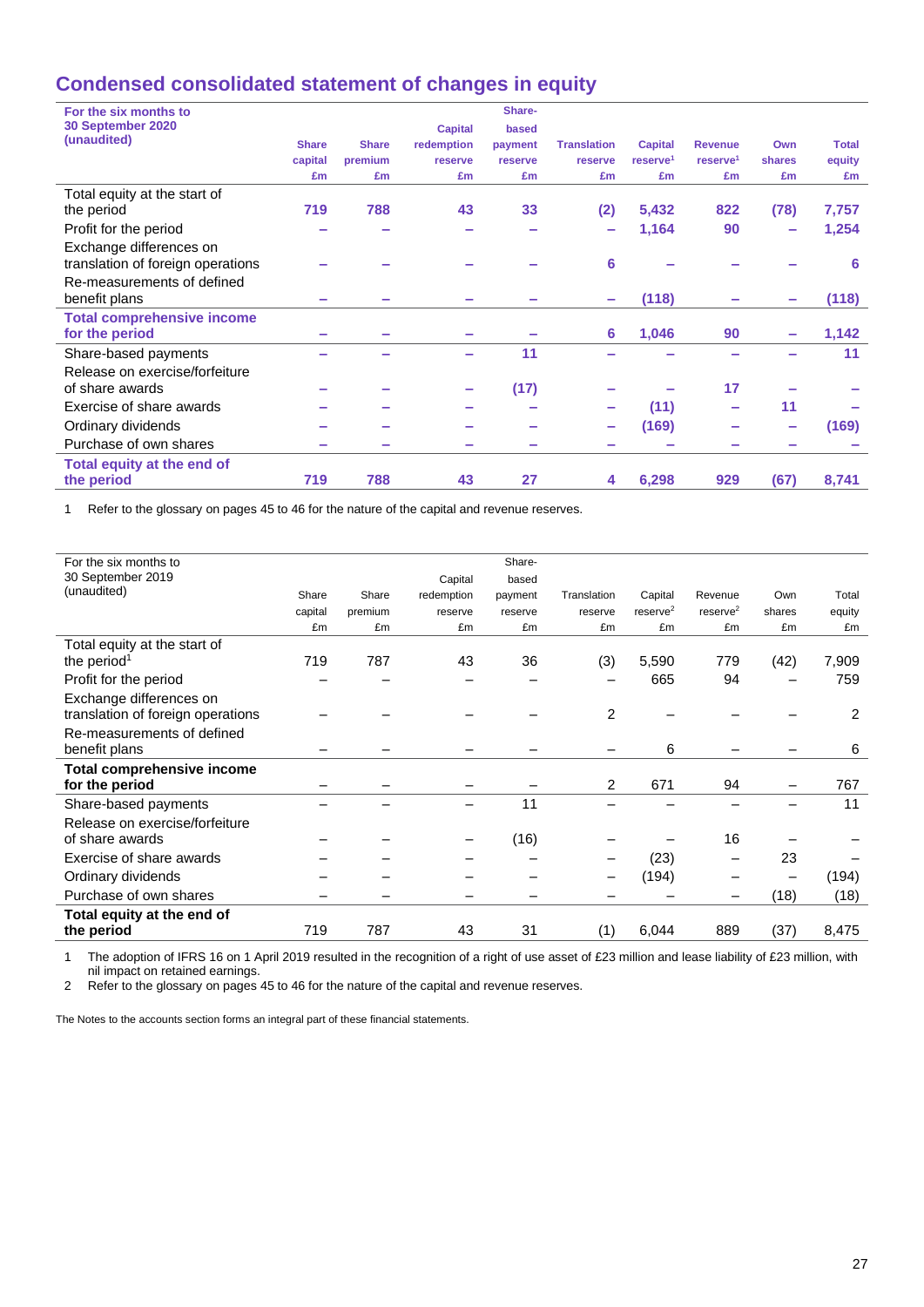# **Condensed consolidated statement of changes in equity**

| For the six months to             |              |              |                | Share-  |                    |                      |                      |                          |              |
|-----------------------------------|--------------|--------------|----------------|---------|--------------------|----------------------|----------------------|--------------------------|--------------|
| 30 September 2020                 |              |              | <b>Capital</b> | based   |                    |                      |                      |                          |              |
| (unaudited)                       | <b>Share</b> | <b>Share</b> | redemption     | payment | <b>Translation</b> | <b>Capital</b>       | <b>Revenue</b>       | Own                      | <b>Total</b> |
|                                   | capital      | premium      | reserve        | reserve | reserve            | reserve <sup>1</sup> | reserve <sup>1</sup> | shares                   | equity       |
|                                   | £m           | £m           | £m             | £m      | £m                 | £m                   | £m                   | £m                       | £m           |
| Total equity at the start of      |              |              |                |         |                    |                      |                      |                          |              |
| the period                        | 719          | 788          | 43             | 33      | (2)                | 5,432                | 822                  | (78)                     | 7,757        |
| Profit for the period             |              |              |                |         |                    | 1,164                | 90                   | $\overline{\phantom{a}}$ | 1,254        |
| Exchange differences on           |              |              |                |         |                    |                      |                      |                          |              |
| translation of foreign operations |              |              |                |         | 6                  |                      |                      |                          | 6            |
| Re-measurements of defined        |              |              |                |         |                    |                      |                      |                          |              |
| benefit plans                     |              |              |                |         |                    | (118)                |                      |                          | (118)        |
| <b>Total comprehensive income</b> |              |              |                |         |                    |                      |                      |                          |              |
| for the period                    |              |              |                |         | 6                  | 1,046                | 90                   |                          | 1,142        |
| Share-based payments              |              |              |                | 11      |                    |                      |                      |                          | 11           |
| Release on exercise/forfeiture    |              |              |                |         |                    |                      |                      |                          |              |
| of share awards                   |              |              |                | (17)    |                    |                      | 17                   |                          |              |
| Exercise of share awards          |              |              |                |         |                    | (11)                 |                      | 11                       |              |
| Ordinary dividends                |              |              |                |         |                    | (169)                |                      | m.                       | (169)        |
| Purchase of own shares            |              |              |                |         |                    |                      |                      |                          |              |
| Total equity at the end of        |              |              |                |         |                    |                      |                      |                          |              |
| the period                        | 719          | 788          | 43             | 27      | 4                  | 6,298                | 929                  | (67)                     | 8,741        |
|                                   |              |              |                |         |                    |                      |                      |                          |              |

1 Refer to the glossary on pages 45 to 46 for the nature of the capital and revenue reserves.

| For the six months to             |         |         |            | Share-  |                |                      |                      |        |        |
|-----------------------------------|---------|---------|------------|---------|----------------|----------------------|----------------------|--------|--------|
| 30 September 2019                 |         |         | Capital    | based   |                |                      |                      |        |        |
| (unaudited)                       | Share   | Share   | redemption | payment | Translation    | Capital              | Revenue              | Own    | Total  |
|                                   | capital | premium | reserve    | reserve | reserve        | reserve <sup>2</sup> | reserve <sup>2</sup> | shares | equity |
|                                   | £m      | £m      | £m         | £m      | £m             | £m                   | £m                   | £m     | £m     |
| Total equity at the start of      |         |         |            |         |                |                      |                      |        |        |
| the period <sup>1</sup>           | 719     | 787     | 43         | 36      | (3)            | 5,590                | 779                  | (42)   | 7,909  |
| Profit for the period             |         |         |            |         |                | 665                  | 94                   |        | 759    |
| Exchange differences on           |         |         |            |         |                |                      |                      |        |        |
| translation of foreign operations |         |         |            |         | $\overline{2}$ |                      |                      |        | 2      |
| Re-measurements of defined        |         |         |            |         |                |                      |                      |        |        |
| benefit plans                     |         |         |            |         |                | 6                    |                      |        | 6      |
| <b>Total comprehensive income</b> |         |         |            |         |                |                      |                      |        |        |
| for the period                    |         |         |            |         | $\overline{2}$ | 671                  | 94                   |        | 767    |
| Share-based payments              |         |         |            | 11      |                |                      |                      |        | 11     |
| Release on exercise/forfeiture    |         |         |            |         |                |                      |                      |        |        |
| of share awards                   |         |         |            | (16)    |                |                      | 16                   |        |        |
| Exercise of share awards          |         |         |            |         |                | (23)                 |                      | 23     |        |
| Ordinary dividends                |         |         |            |         |                | (194)                |                      |        | (194)  |
| Purchase of own shares            |         |         |            |         |                |                      |                      | (18)   | (18)   |
| Total equity at the end of        |         |         |            |         |                |                      |                      |        |        |
| the period                        | 719     | 787     | 43         | 31      | (1)            | 6,044                | 889                  | (37)   | 8,475  |

1 The adoption of IFRS 16 on 1 April 2019 resulted in the recognition of a right of use asset of £23 million and lease liability of £23 million, with nil impact on retained earnings.

2 Refer to the glossary on pages 45 to 46 for the nature of the capital and revenue reserves.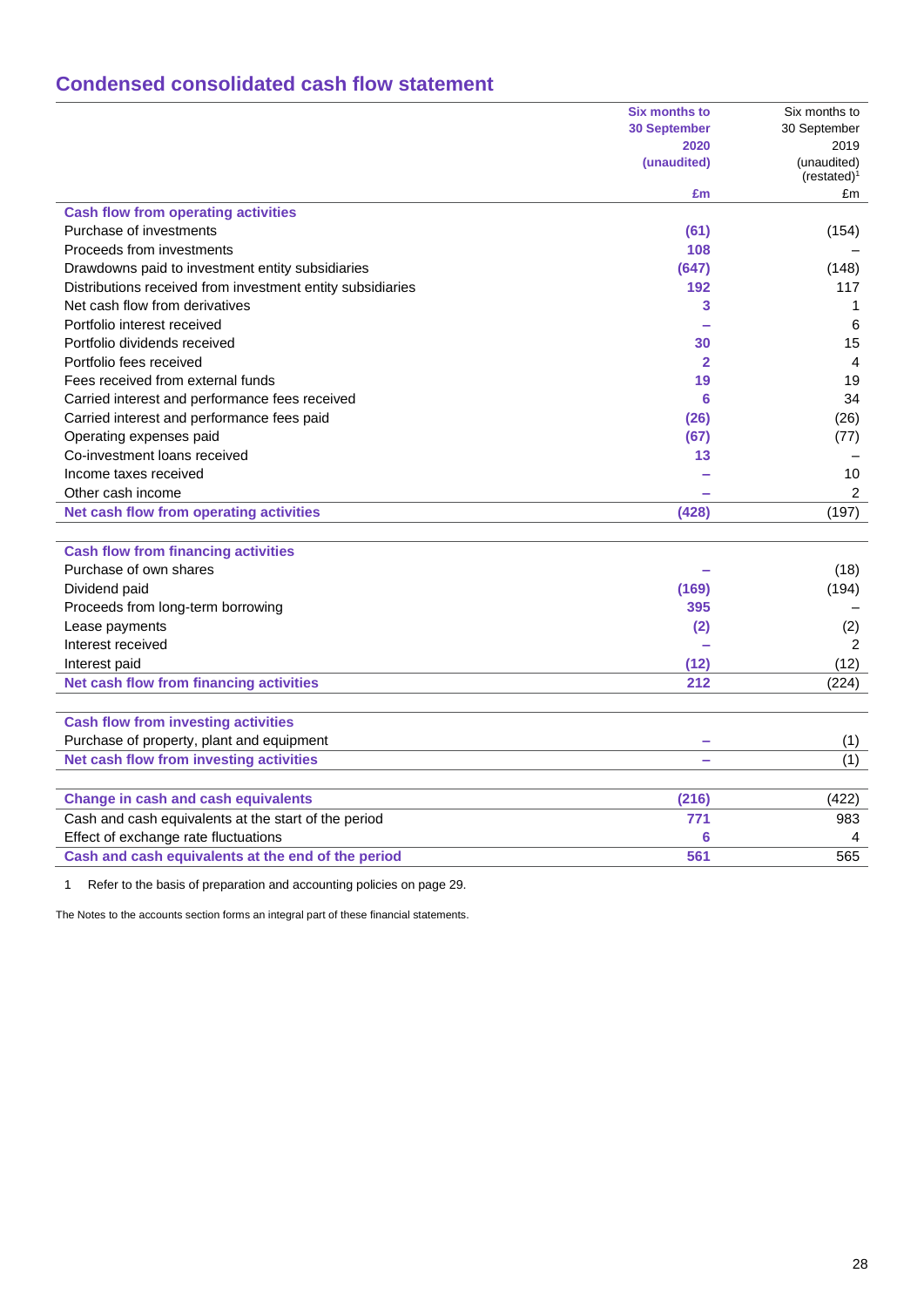# **Condensed consolidated cash flow statement**

|                                                            | <b>Six months to</b> | Six months to                          |
|------------------------------------------------------------|----------------------|----------------------------------------|
|                                                            | <b>30 September</b>  | 30 September                           |
|                                                            | 2020                 | 2019                                   |
|                                                            | (unaudited)          | (unaudited)<br>(restated) <sup>1</sup> |
|                                                            | £m                   | £m                                     |
| <b>Cash flow from operating activities</b>                 |                      |                                        |
| Purchase of investments                                    | (61)                 | (154)                                  |
| Proceeds from investments                                  | 108                  |                                        |
| Drawdowns paid to investment entity subsidiaries           | (647)                | (148)                                  |
| Distributions received from investment entity subsidiaries | 192                  | 117                                    |
| Net cash flow from derivatives                             | 3                    | 1                                      |
| Portfolio interest received                                |                      | 6                                      |
| Portfolio dividends received                               | 30                   | 15                                     |
| Portfolio fees received                                    | $\overline{2}$       | 4                                      |
| Fees received from external funds                          | 19                   | 19                                     |
| Carried interest and performance fees received             | 6                    | 34                                     |
| Carried interest and performance fees paid                 | (26)                 | (26)                                   |
| Operating expenses paid                                    | (67)                 | (77)                                   |
| Co-investment loans received                               | 13                   |                                        |
| Income taxes received                                      |                      | 10                                     |
| Other cash income                                          |                      | 2                                      |
| Net cash flow from operating activities                    | (428)                | (197)                                  |
|                                                            |                      |                                        |
| <b>Cash flow from financing activities</b>                 |                      |                                        |
| Purchase of own shares                                     |                      | (18)                                   |
| Dividend paid                                              | (169)                | (194)                                  |
| Proceeds from long-term borrowing                          | 395                  |                                        |
| Lease payments                                             | (2)                  | (2)                                    |
| Interest received                                          |                      | $\overline{2}$                         |
| Interest paid                                              | (12)                 | (12)                                   |
| Net cash flow from financing activities                    | 212                  | (224)                                  |
|                                                            |                      |                                        |
| <b>Cash flow from investing activities</b>                 |                      |                                        |
| Purchase of property, plant and equipment                  | $\sim$               | (1)                                    |
| Net cash flow from investing activities                    |                      | (1)                                    |
|                                                            |                      |                                        |
| <b>Change in cash and cash equivalents</b>                 | (216)                | (422)                                  |
| Cash and cash equivalents at the start of the period       | 771                  | 983                                    |
| Effect of exchange rate fluctuations                       | 6                    | 4                                      |
| Cash and cash equivalents at the end of the period         | 561                  | 565                                    |
|                                                            |                      |                                        |

1 Refer to the basis of preparation and accounting policies on page 29.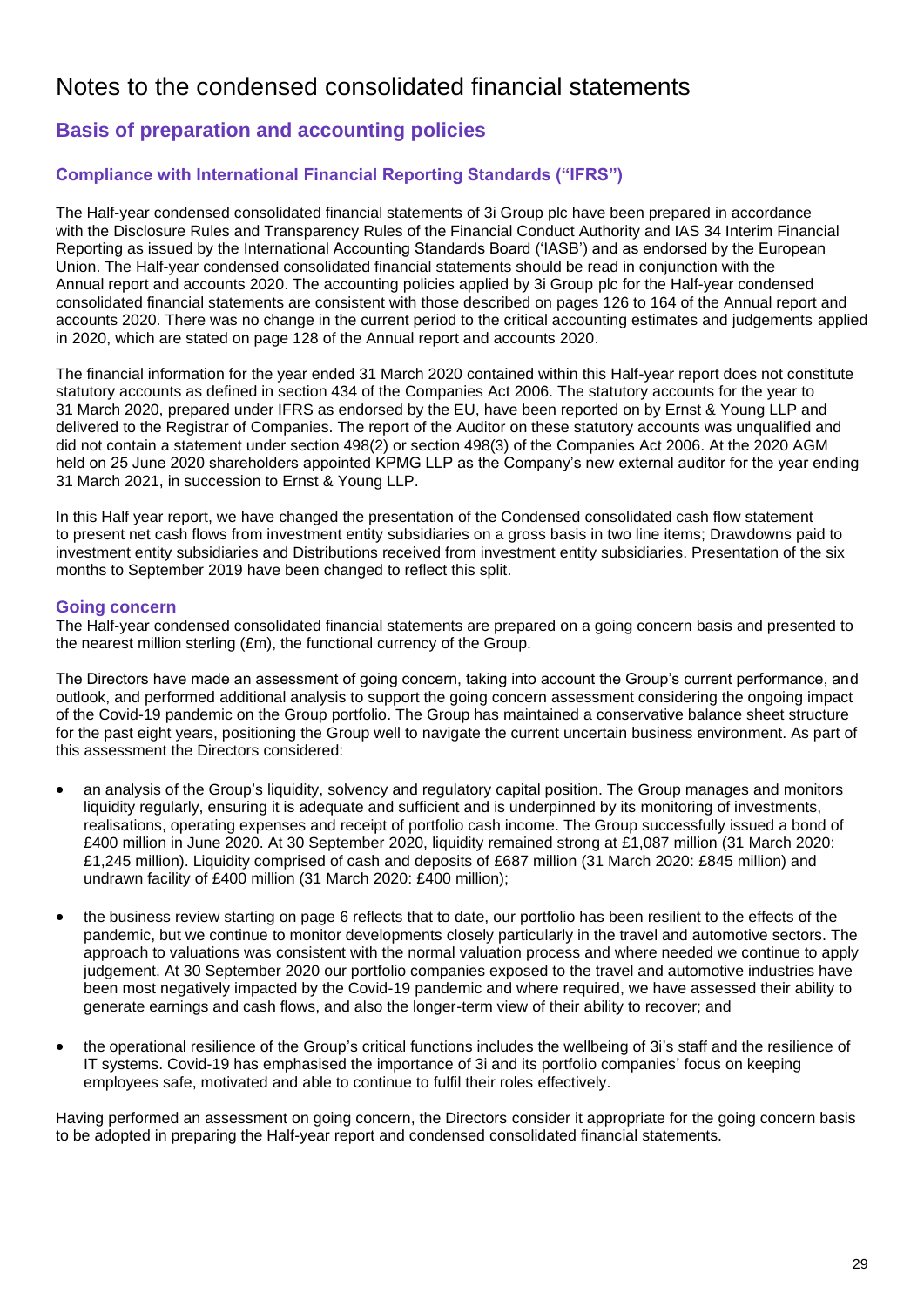# Notes to the condensed consolidated financial statements

# **Basis of preparation and accounting policies**

## **Compliance with International Financial Reporting Standards ("IFRS")**

The Half-year condensed consolidated financial statements of 3i Group plc have been prepared in accordance with the Disclosure Rules and Transparency Rules of the Financial Conduct Authority and IAS 34 Interim Financial Reporting as issued by the International Accounting Standards Board ('IASB') and as endorsed by the European Union. The Half-year condensed consolidated financial statements should be read in conjunction with the Annual report and accounts 2020. The accounting policies applied by 3i Group plc for the Half-year condensed consolidated financial statements are consistent with those described on pages 126 to 164 of the Annual report and accounts 2020. There was no change in the current period to the critical accounting estimates and judgements applied in 2020, which are stated on page 128 of the Annual report and accounts 2020.

The financial information for the year ended 31 March 2020 contained within this Half-year report does not constitute statutory accounts as defined in section 434 of the Companies Act 2006. The statutory accounts for the year to 31 March 2020, prepared under IFRS as endorsed by the EU, have been reported on by Ernst & Young LLP and delivered to the Registrar of Companies. The report of the Auditor on these statutory accounts was unqualified and did not contain a statement under section 498(2) or section 498(3) of the Companies Act 2006. At the 2020 AGM held on 25 June 2020 shareholders appointed KPMG LLP as the Company's new external auditor for the year ending 31 March 2021, in succession to Ernst & Young LLP.

In this Half year report, we have changed the presentation of the Condensed consolidated cash flow statement to present net cash flows from investment entity subsidiaries on a gross basis in two line items; Drawdowns paid to investment entity subsidiaries and Distributions received from investment entity subsidiaries. Presentation of the six months to September 2019 have been changed to reflect this split.

### **Going concern**

The Half-year condensed consolidated financial statements are prepared on a going concern basis and presented to the nearest million sterling (£m), the functional currency of the Group.

The Directors have made an assessment of going concern, taking into account the Group's current performance, and outlook, and performed additional analysis to support the going concern assessment considering the ongoing impact of the Covid-19 pandemic on the Group portfolio. The Group has maintained a conservative balance sheet structure for the past eight years, positioning the Group well to navigate the current uncertain business environment. As part of this assessment the Directors considered:

- an analysis of the Group's liquidity, solvency and regulatory capital position. The Group manages and monitors liquidity regularly, ensuring it is adequate and sufficient and is underpinned by its monitoring of investments, realisations, operating expenses and receipt of portfolio cash income. The Group successfully issued a bond of £400 million in June 2020. At 30 September 2020, liquidity remained strong at £1,087 million (31 March 2020: £1,245 million). Liquidity comprised of cash and deposits of £687 million (31 March 2020: £845 million) and undrawn facility of £400 million (31 March 2020: £400 million);
- the business review starting on page 6 reflects that to date, our portfolio has been resilient to the effects of the pandemic, but we continue to monitor developments closely particularly in the travel and automotive sectors. The approach to valuations was consistent with the normal valuation process and where needed we continue to apply judgement. At 30 September 2020 our portfolio companies exposed to the travel and automotive industries have been most negatively impacted by the Covid-19 pandemic and where required, we have assessed their ability to generate earnings and cash flows, and also the longer-term view of their ability to recover; and
- the operational resilience of the Group's critical functions includes the wellbeing of 3i's staff and the resilience of IT systems. Covid-19 has emphasised the importance of 3i and its portfolio companies' focus on keeping employees safe, motivated and able to continue to fulfil their roles effectively.

Having performed an assessment on going concern, the Directors consider it appropriate for the going concern basis to be adopted in preparing the Half-year report and condensed consolidated financial statements.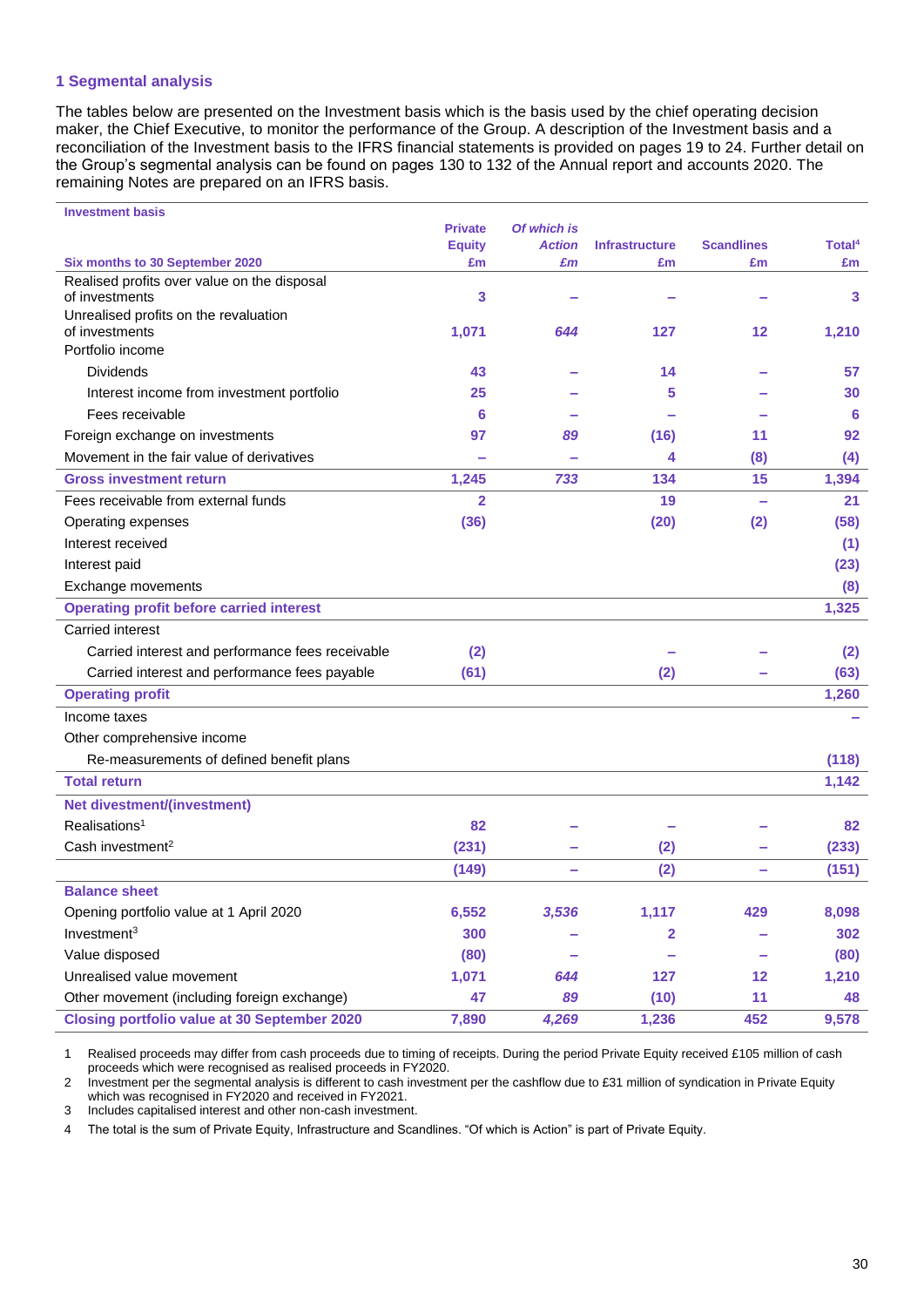### **1 Segmental analysis**

The tables below are presented on the Investment basis which is the basis used by the chief operating decision maker, the Chief Executive, to monitor the performance of the Group. A description of the Investment basis and a reconciliation of the Investment basis to the IFRS financial statements is provided on pages 19 to 24. Further detail on the Group's segmental analysis can be found on pages 130 to 132 of the Annual report and accounts 2020. The remaining Notes are prepared on an IFRS basis.

| <b>Investment basis</b>                                       |                |               |                       |                   |                    |
|---------------------------------------------------------------|----------------|---------------|-----------------------|-------------------|--------------------|
|                                                               | <b>Private</b> | Of which is   |                       |                   |                    |
|                                                               | <b>Equity</b>  | <b>Action</b> | <b>Infrastructure</b> | <b>Scandlines</b> | Total <sup>4</sup> |
| Six months to 30 September 2020                               | £m             | £m            | £m                    | £m                | £m                 |
| Realised profits over value on the disposal<br>of investments | 3              |               |                       |                   | 3                  |
| Unrealised profits on the revaluation                         |                |               |                       |                   |                    |
| of investments                                                | 1,071          | 644           | 127                   | $12 \,$           | 1,210              |
| Portfolio income                                              |                |               |                       |                   |                    |
| <b>Dividends</b>                                              | 43             |               | 14                    |                   | 57                 |
| Interest income from investment portfolio                     | 25             |               | 5                     |                   | 30                 |
| Fees receivable                                               | 6              |               |                       |                   | 6                  |
| Foreign exchange on investments                               | 97             | 89            | (16)                  | 11                | 92                 |
| Movement in the fair value of derivatives                     |                |               | 4                     | (8)               | (4)                |
| <b>Gross investment return</b>                                | 1,245          | 733           | 134                   | 15                | 1,394              |
| Fees receivable from external funds                           | $\overline{2}$ |               | 19                    |                   | 21                 |
| Operating expenses                                            | (36)           |               | (20)                  | (2)               | (58)               |
| Interest received                                             |                |               |                       |                   | (1)                |
| Interest paid                                                 |                |               |                       |                   | (23)               |
| Exchange movements                                            |                |               |                       |                   | (8)                |
| <b>Operating profit before carried interest</b>               |                |               |                       |                   | 1,325              |
| <b>Carried interest</b>                                       |                |               |                       |                   |                    |
| Carried interest and performance fees receivable              | (2)            |               |                       |                   | (2)                |
| Carried interest and performance fees payable                 | (61)           |               | (2)                   |                   | (63)               |
| <b>Operating profit</b>                                       |                |               |                       |                   | 1,260              |
| Income taxes                                                  |                |               |                       |                   |                    |
| Other comprehensive income                                    |                |               |                       |                   |                    |
| Re-measurements of defined benefit plans                      |                |               |                       |                   | (118)              |
| <b>Total return</b>                                           |                |               |                       |                   | 1,142              |
| <b>Net divestment/(investment)</b>                            |                |               |                       |                   |                    |
| Realisations <sup>1</sup>                                     | 82             |               |                       |                   | 82                 |
| Cash investment <sup>2</sup>                                  | (231)          |               | (2)                   |                   | (233)              |
|                                                               | (149)          | ۰             | (2)                   | -                 | (151)              |
| <b>Balance sheet</b>                                          |                |               |                       |                   |                    |
| Opening portfolio value at 1 April 2020                       | 6,552          | 3,536         | 1,117                 | 429               | 8,098              |
| Investment <sup>3</sup>                                       | 300            |               | 2                     |                   | 302                |
| Value disposed                                                | (80)           |               |                       | -                 | (80)               |
| Unrealised value movement                                     | 1,071          | 644           | 127                   | 12                | 1,210              |
| Other movement (including foreign exchange)                   | 47             | 89            | (10)                  | 11                | 48                 |
| <b>Closing portfolio value at 30 September 2020</b>           | 7,890          | 4,269         | 1,236                 | 452               | 9,578              |

1 Realised proceeds may differ from cash proceeds due to timing of receipts. During the period Private Equity received £105 million of cash proceeds which were recognised as realised proceeds in FY2020.

2 Investment per the segmental analysis is different to cash investment per the cashflow due to £31 million of syndication in Private Equity which was recognised in FY2020 and received in FY2021.

3 Includes capitalised interest and other non-cash investment.

4 The total is the sum of Private Equity, Infrastructure and Scandlines. "Of which is Action" is part of Private Equity.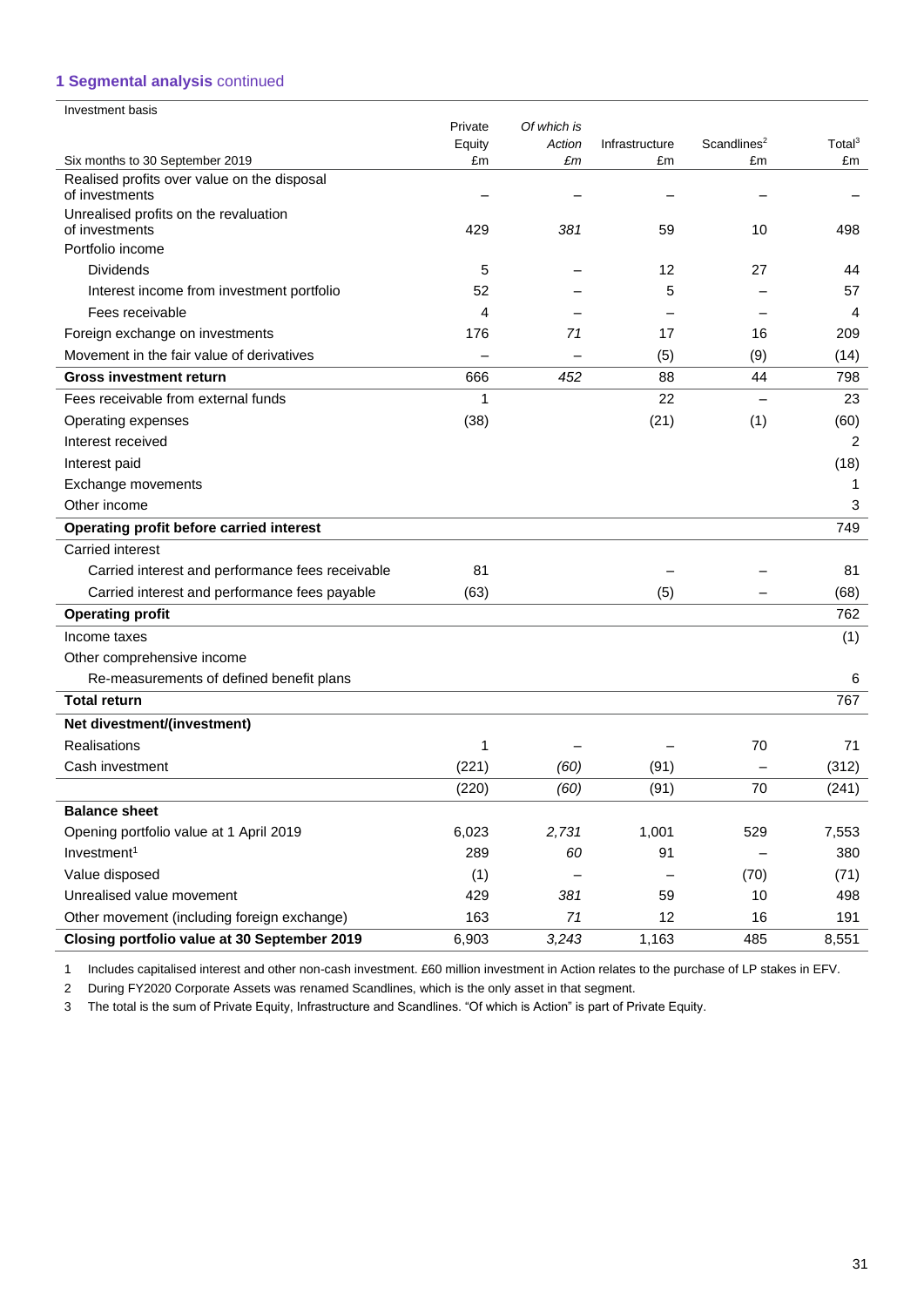## **1 Segmental analysis** continued

| Investment basis                                                               |         |             |                |                         |                    |
|--------------------------------------------------------------------------------|---------|-------------|----------------|-------------------------|--------------------|
|                                                                                | Private | Of which is |                |                         |                    |
|                                                                                | Equity  | Action      | Infrastructure | Scandlines <sup>2</sup> | Total <sup>3</sup> |
| Six months to 30 September 2019<br>Realised profits over value on the disposal | £m      | £m          | £m             | £m                      | £m                 |
| of investments                                                                 |         |             |                |                         |                    |
| Unrealised profits on the revaluation                                          |         |             |                |                         |                    |
| of investments                                                                 | 429     | 381         | 59             | 10                      | 498                |
| Portfolio income                                                               |         |             |                |                         |                    |
| <b>Dividends</b>                                                               | 5       |             | 12             | 27                      | 44                 |
| Interest income from investment portfolio                                      | 52      |             | 5              |                         | 57                 |
| Fees receivable                                                                | 4       |             |                |                         | 4                  |
| Foreign exchange on investments                                                | 176     | 71          | 17             | 16                      | 209                |
| Movement in the fair value of derivatives                                      |         |             | (5)            | (9)                     | (14)               |
| <b>Gross investment return</b>                                                 | 666     | 452         | 88             | 44                      | 798                |
| Fees receivable from external funds                                            | 1       |             | 22             |                         | 23                 |
| Operating expenses                                                             | (38)    |             | (21)           | (1)                     | (60)               |
| Interest received                                                              |         |             |                |                         | 2                  |
| Interest paid                                                                  |         |             |                |                         | (18)               |
| Exchange movements                                                             |         |             |                |                         | 1                  |
| Other income                                                                   |         |             |                |                         | 3                  |
| Operating profit before carried interest                                       |         |             |                |                         | 749                |
| Carried interest                                                               |         |             |                |                         |                    |
| Carried interest and performance fees receivable                               | 81      |             |                |                         | 81                 |
| Carried interest and performance fees payable                                  | (63)    |             | (5)            |                         | (68)               |
| <b>Operating profit</b>                                                        |         |             |                |                         | 762                |
| Income taxes                                                                   |         |             |                |                         | (1)                |
| Other comprehensive income                                                     |         |             |                |                         |                    |
| Re-measurements of defined benefit plans                                       |         |             |                |                         | 6                  |
| <b>Total return</b>                                                            |         |             |                |                         | 767                |
| Net divestment/(investment)                                                    |         |             |                |                         |                    |
| <b>Realisations</b>                                                            | 1       |             |                | 70                      | 71                 |
| Cash investment                                                                | (221)   | (60)        | (91)           |                         | (312)              |
|                                                                                | (220)   | (60)        | (91)           | 70                      | (241)              |
| <b>Balance sheet</b>                                                           |         |             |                |                         |                    |
| Opening portfolio value at 1 April 2019                                        | 6,023   | 2,731       | 1,001          | 529                     | 7,553              |
| Investment <sup>1</sup>                                                        | 289     | 60          | 91             |                         | 380                |
| Value disposed                                                                 | (1)     |             |                | (70)                    | (71)               |
| Unrealised value movement                                                      | 429     | 381         | 59             | 10                      | 498                |
| Other movement (including foreign exchange)                                    | 163     | $71$        | 12             | 16                      | 191                |
| Closing portfolio value at 30 September 2019                                   | 6,903   | 3,243       | 1,163          | 485                     | 8,551              |

1 Includes capitalised interest and other non-cash investment. £60 million investment in Action relates to the purchase of LP stakes in EFV.

2 During FY2020 Corporate Assets was renamed Scandlines, which is the only asset in that segment.

3 The total is the sum of Private Equity, Infrastructure and Scandlines. "Of which is Action" is part of Private Equity.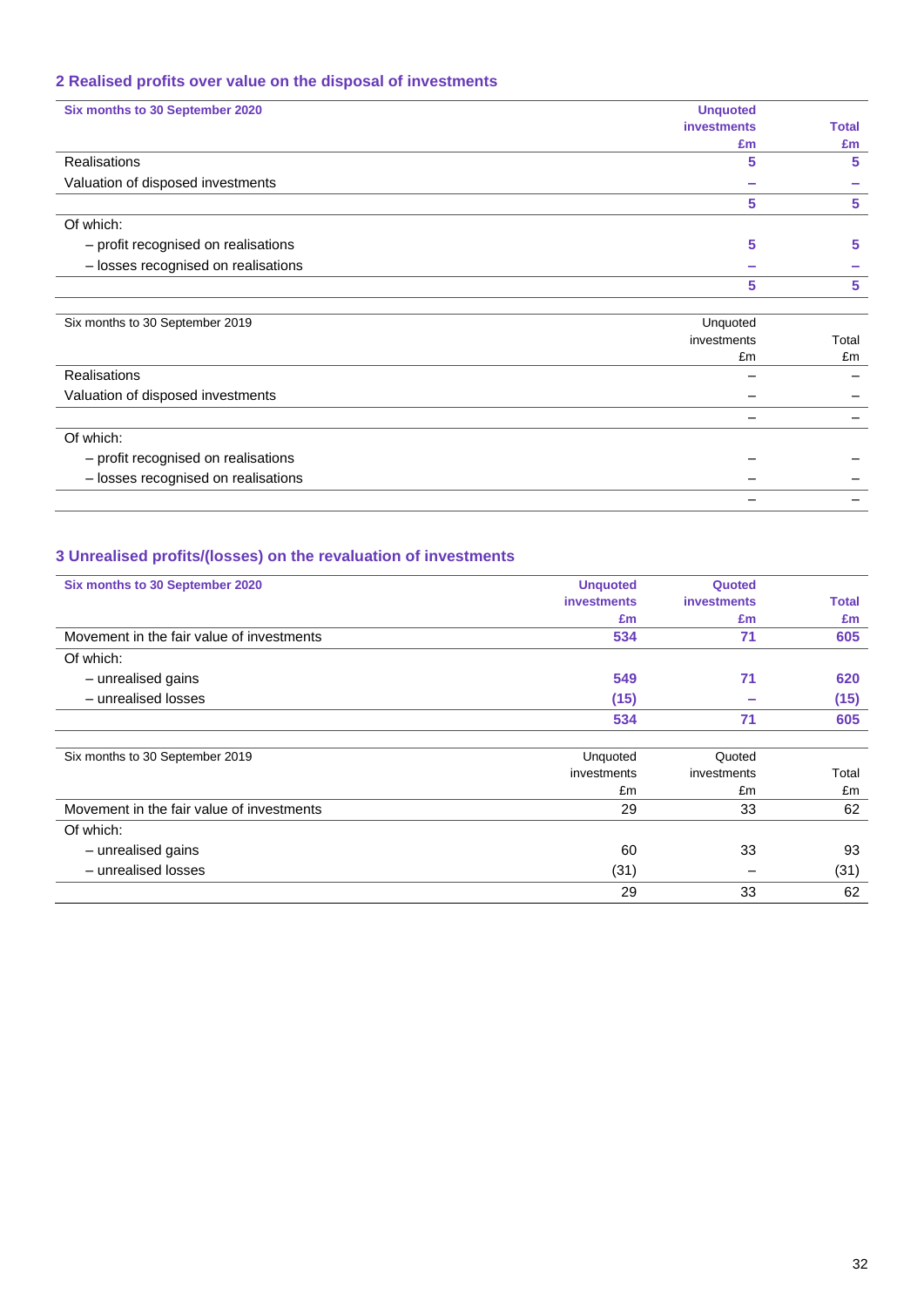# **2 Realised profits over value on the disposal of investments**

| Six months to 30 September 2020     | <b>Unquoted</b>    |              |
|-------------------------------------|--------------------|--------------|
|                                     | <b>investments</b> | <b>Total</b> |
|                                     | £m                 | £m           |
| Realisations                        | 5                  | 5            |
| Valuation of disposed investments   |                    |              |
|                                     | 5                  | 5            |
| Of which:                           |                    |              |
| - profit recognised on realisations | 5                  | 5            |
| - losses recognised on realisations |                    |              |
|                                     | 5                  | 5            |
| Six months to 30 September 2019     | Unquoted           |              |
|                                     | investments        | Total        |
|                                     | £m                 | £m           |
| <b>Realisations</b>                 |                    |              |

| Valuation of disposed investments   |  |
|-------------------------------------|--|
|                                     |  |
| Of which:                           |  |
| - profit recognised on realisations |  |
| - losses recognised on realisations |  |
|                                     |  |

## **3 Unrealised profits/(losses) on the revaluation of investments**

| Six months to 30 September 2020           | <b>Unquoted</b>    | Quoted             |              |
|-------------------------------------------|--------------------|--------------------|--------------|
|                                           | <b>investments</b> | <b>investments</b> | <b>Total</b> |
|                                           | Em                 | £m                 | £m           |
| Movement in the fair value of investments | 534                | 71                 | 605          |
| Of which:                                 |                    |                    |              |
| - unrealised gains                        | 549                | 71                 | 620          |
| - unrealised losses                       | (15)               |                    | (15)         |
|                                           | 534                | 71                 | 605          |
|                                           |                    |                    |              |
| Six months to 30 September 2019           | Unquoted           | Quoted             |              |
|                                           | investments        | investments        | Total        |
|                                           | £m                 | £m                 | £m           |
| Movement in the fair value of investments | 29                 | 33                 | 62           |
| Of which:                                 |                    |                    |              |
| - unrealised gains                        | 60                 | 33                 | 93           |
| - unrealised losses                       | (31)               |                    | (31)         |
|                                           | 29                 | 33                 | 62           |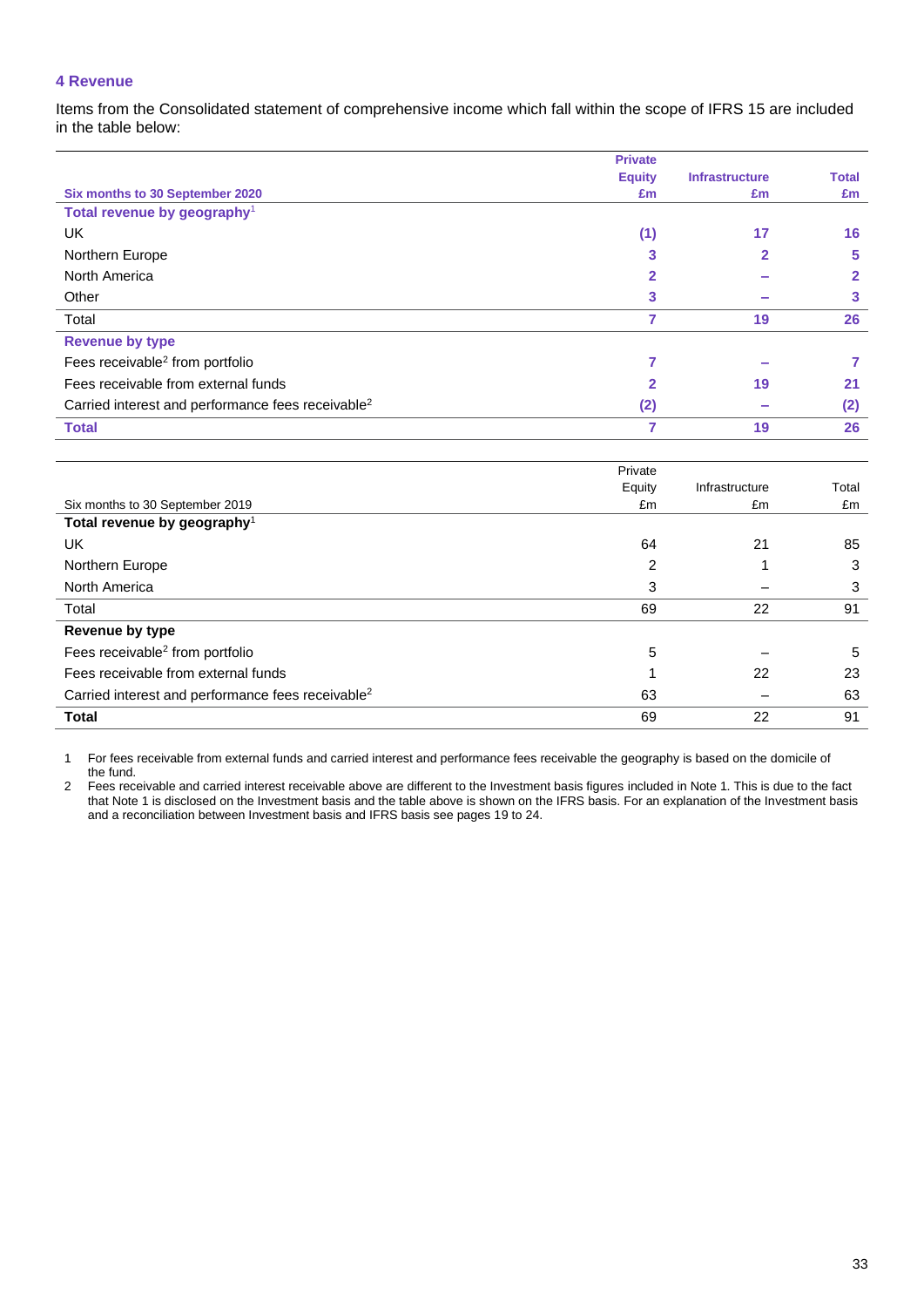### **4 Revenue**

Items from the Consolidated statement of comprehensive income which fall within the scope of IFRS 15 are included in the table below:

|                                                               | <b>Private</b> |                       |              |
|---------------------------------------------------------------|----------------|-----------------------|--------------|
|                                                               | <b>Equity</b>  | <b>Infrastructure</b> | <b>Total</b> |
| Six months to 30 September 2020                               | £m             | £m                    | £m           |
| Total revenue by geography <sup>1</sup>                       |                |                       |              |
| UK                                                            | (1)            | 17                    | 16           |
| Northern Europe                                               | 3              | $\mathbf{2}$          | 5            |
| North America                                                 | 2              |                       | 2            |
| Other                                                         | 3              |                       | 3            |
| Total                                                         | 7              | 19                    | 26           |
| <b>Revenue by type</b>                                        |                |                       |              |
| Fees receivable <sup>2</sup> from portfolio                   |                |                       |              |
| Fees receivable from external funds                           | $\overline{2}$ | 19                    | 21           |
| Carried interest and performance fees receivable <sup>2</sup> | (2)            |                       | (2)          |
| <b>Total</b>                                                  |                | 19                    | 26           |

|                                                               | Private |                |       |
|---------------------------------------------------------------|---------|----------------|-------|
|                                                               | Equity  | Infrastructure | Total |
| Six months to 30 September 2019                               | £m      | £m             | £m    |
| Total revenue by geography <sup>1</sup>                       |         |                |       |
| UK                                                            | 64      | 21             | 85    |
| Northern Europe                                               | 2       |                | 3     |
| North America                                                 | 3       |                | 3     |
| Total                                                         | 69      | 22             | 91    |
| <b>Revenue by type</b>                                        |         |                |       |
| Fees receivable <sup>2</sup> from portfolio                   | 5       |                | 5     |
| Fees receivable from external funds                           |         | 22             | 23    |
| Carried interest and performance fees receivable <sup>2</sup> | 63      |                | 63    |
| <b>Total</b>                                                  | 69      | 22             | 91    |

1 For fees receivable from external funds and carried interest and performance fees receivable the geography is based on the domicile of the fund.

2 Fees receivable and carried interest receivable above are different to the Investment basis figures included in Note 1. This is due to the fact that Note 1 is disclosed on the Investment basis and the table above is shown on the IFRS basis. For an explanation of the Investment basis and a reconciliation between Investment basis and IFRS basis see pages 19 to 24.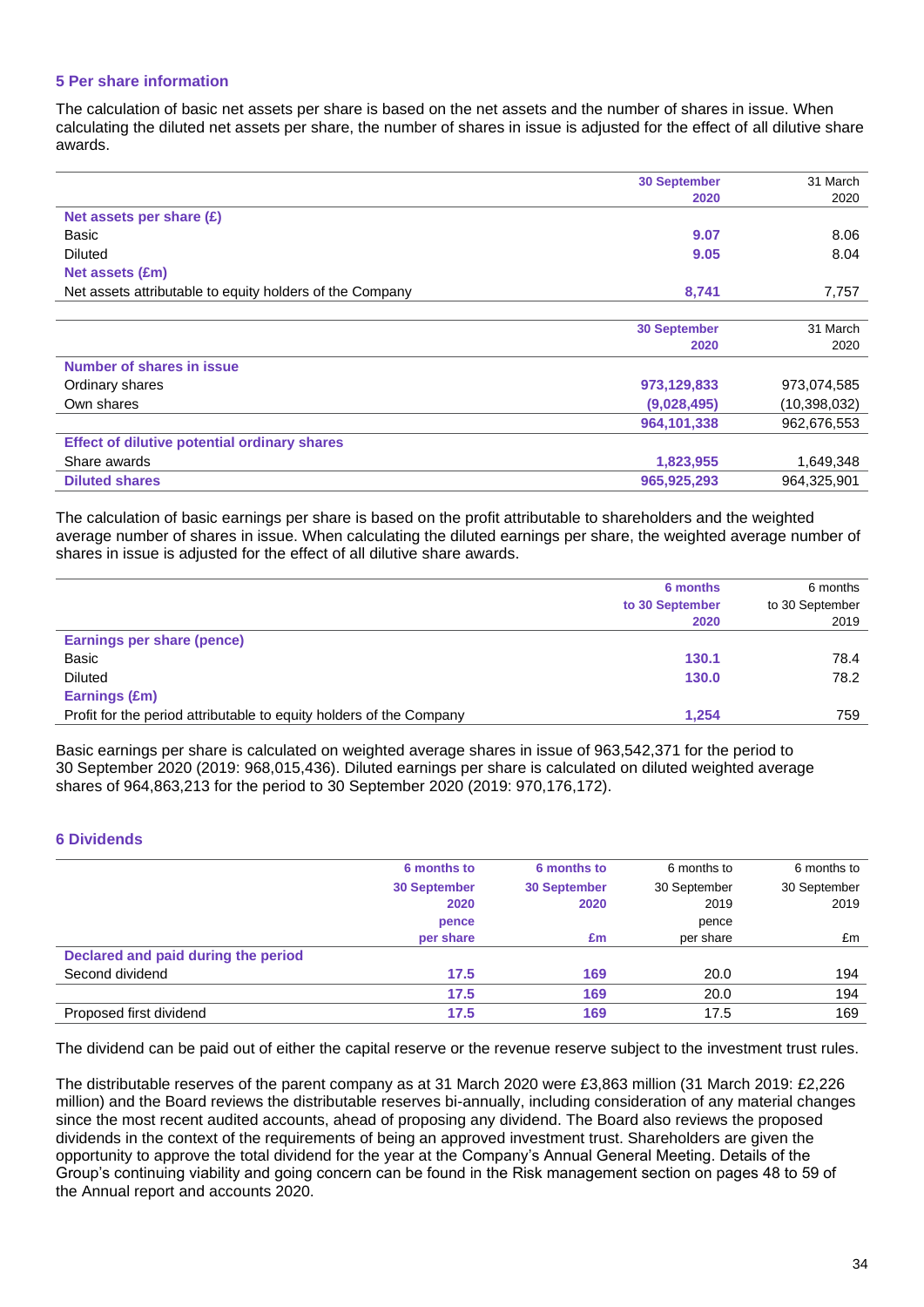### **5 Per share information**

The calculation of basic net assets per share is based on the net assets and the number of shares in issue. When calculating the diluted net assets per share, the number of shares in issue is adjusted for the effect of all dilutive share awards.

|                                                          | <b>30 September</b> | 31 March     |
|----------------------------------------------------------|---------------------|--------------|
|                                                          | 2020                | 2020         |
| Net assets per share (£)                                 |                     |              |
| Basic                                                    | 9.07                | 8.06         |
| <b>Diluted</b>                                           | 9.05                | 8.04         |
| Net assets (£m)                                          |                     |              |
| Net assets attributable to equity holders of the Company | 8,741               | 7,757        |
|                                                          |                     |              |
|                                                          | <b>30 September</b> | 31 March     |
|                                                          | 2020                | 2020         |
| Number of shares in issue                                |                     |              |
| Ordinary shares                                          | 973,129,833         | 973,074,585  |
| Own shares                                               | (9,028,495)         | (10,398,032) |
|                                                          | 964,101,338         | 962,676,553  |
| <b>Effect of dilutive potential ordinary shares</b>      |                     |              |
| Share awards                                             | 1,823,955           | 1,649,348    |
| <b>Diluted shares</b>                                    | 965,925,293         | 964,325,901  |

The calculation of basic earnings per share is based on the profit attributable to shareholders and the weighted average number of shares in issue. When calculating the diluted earnings per share, the weighted average number of shares in issue is adjusted for the effect of all dilutive share awards.

|                                                                     | 6 months        | 6 months        |
|---------------------------------------------------------------------|-----------------|-----------------|
|                                                                     | to 30 September | to 30 September |
|                                                                     | 2020            | 2019            |
| <b>Earnings per share (pence)</b>                                   |                 |                 |
| Basic                                                               | 130.1           | 78.4            |
| <b>Diluted</b>                                                      | 130.0           | 78.2            |
| Earnings (£m)                                                       |                 |                 |
| Profit for the period attributable to equity holders of the Company | 1.254           | 759             |

Basic earnings per share is calculated on weighted average shares in issue of 963,542,371 for the period to 30 September 2020 (2019: 968,015,436). Diluted earnings per share is calculated on diluted weighted average shares of 964,863,213 for the period to 30 September 2020 (2019: 970,176,172).

### **6 Dividends**

|                                     | 6 months to         | 6 months to         | 6 months to  | 6 months to  |
|-------------------------------------|---------------------|---------------------|--------------|--------------|
|                                     | <b>30 September</b> | <b>30 September</b> | 30 September | 30 September |
|                                     | 2020                | 2020                | 2019         | 2019         |
|                                     | pence               |                     | pence        |              |
|                                     | per share           | £m                  | per share    | £m           |
| Declared and paid during the period |                     |                     |              |              |
| Second dividend                     | 17.5                | 169                 | 20.0         | 194          |
|                                     | 17.5                | 169                 | 20.0         | 194          |
| Proposed first dividend             | 17.5                | 169                 | 17.5         | 169          |

The dividend can be paid out of either the capital reserve or the revenue reserve subject to the investment trust rules.

The distributable reserves of the parent company as at 31 March 2020 were £3,863 million (31 March 2019: £2,226 million) and the Board reviews the distributable reserves bi-annually, including consideration of any material changes since the most recent audited accounts, ahead of proposing any dividend. The Board also reviews the proposed dividends in the context of the requirements of being an approved investment trust. Shareholders are given the opportunity to approve the total dividend for the year at the Company's Annual General Meeting. Details of the Group's continuing viability and going concern can be found in the Risk management section on pages 48 to 59 of the Annual report and accounts 2020.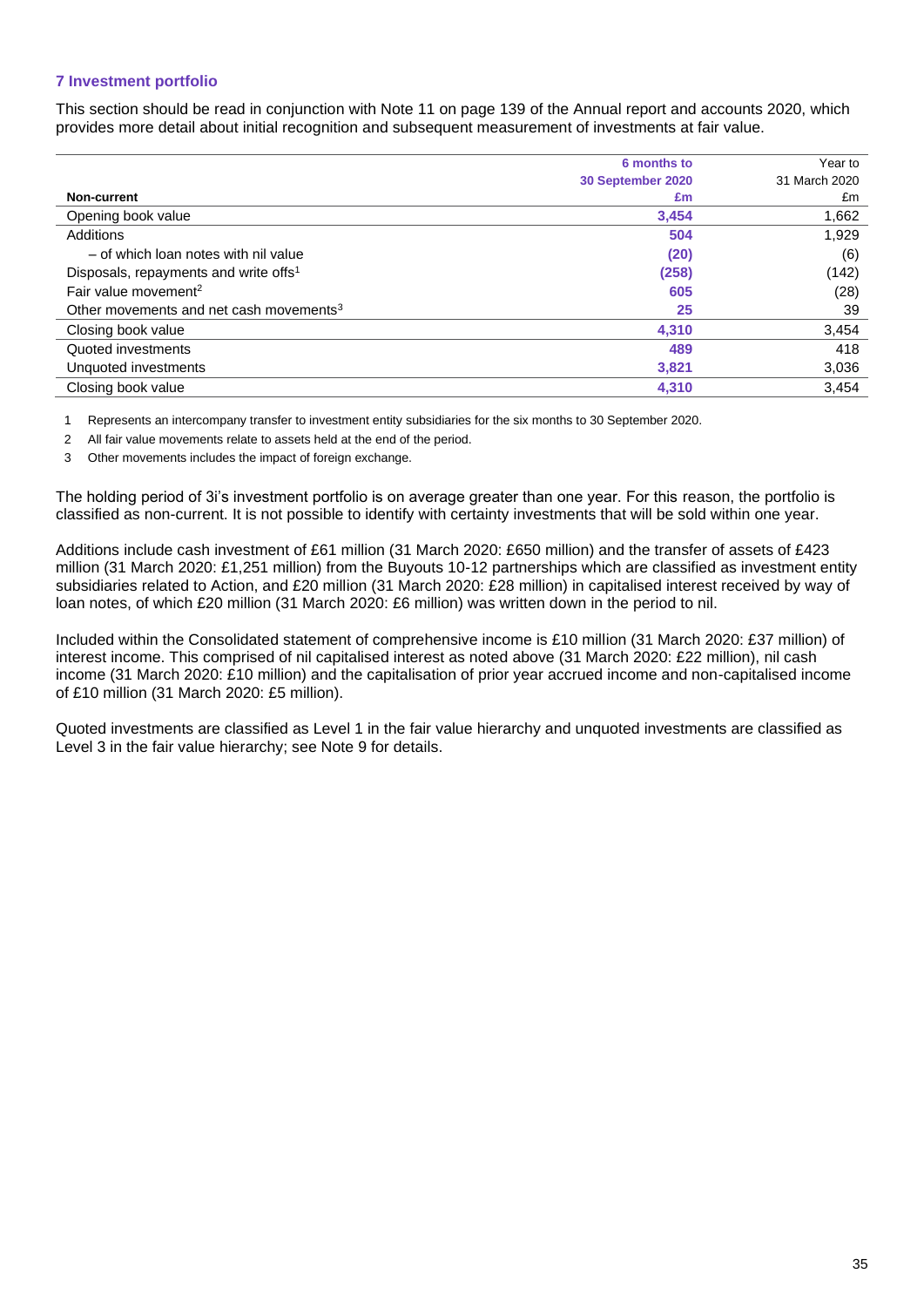## **7 Investment portfolio**

This section should be read in conjunction with Note 11 on page 139 of the Annual report and accounts 2020, which provides more detail about initial recognition and subsequent measurement of investments at fair value.

|                                                     | 6 months to       | Year to       |
|-----------------------------------------------------|-------------------|---------------|
|                                                     | 30 September 2020 | 31 March 2020 |
| Non-current                                         | £m                | £m            |
| Opening book value                                  | 3,454             | 1,662         |
| Additions                                           | 504               | 1,929         |
| - of which loan notes with nil value                | (20)              | (6)           |
| Disposals, repayments and write offs <sup>1</sup>   | (258)             | (142)         |
| Fair value movement <sup>2</sup>                    | 605               | (28)          |
| Other movements and net cash movements <sup>3</sup> | 25                | 39            |
| Closing book value                                  | 4,310             | 3,454         |
| Quoted investments                                  | 489               | 418           |
| Unquoted investments                                | 3,821             | 3,036         |
| Closing book value                                  | 4,310             | 3,454         |
|                                                     |                   |               |

1 Represents an intercompany transfer to investment entity subsidiaries for the six months to 30 September 2020.

2 All fair value movements relate to assets held at the end of the period.

3 Other movements includes the impact of foreign exchange.

The holding period of 3i's investment portfolio is on average greater than one year. For this reason, the portfolio is classified as non-current. It is not possible to identify with certainty investments that will be sold within one year.

Additions include cash investment of £61 million (31 March 2020: £650 million) and the transfer of assets of £423 million (31 March 2020: £1,251 million) from the Buyouts 10-12 partnerships which are classified as investment entity subsidiaries related to Action, and £20 million (31 March 2020: £28 million) in capitalised interest received by way of loan notes, of which £20 million (31 March 2020: £6 million) was written down in the period to nil.

Included within the Consolidated statement of comprehensive income is £10 million (31 March 2020: £37 million) of interest income. This comprised of nil capitalised interest as noted above (31 March 2020: £22 million), nil cash income (31 March 2020: £10 million) and the capitalisation of prior year accrued income and non-capitalised income of £10 million (31 March 2020: £5 million).

Quoted investments are classified as Level 1 in the fair value hierarchy and unquoted investments are classified as Level 3 in the fair value hierarchy; see Note 9 for details.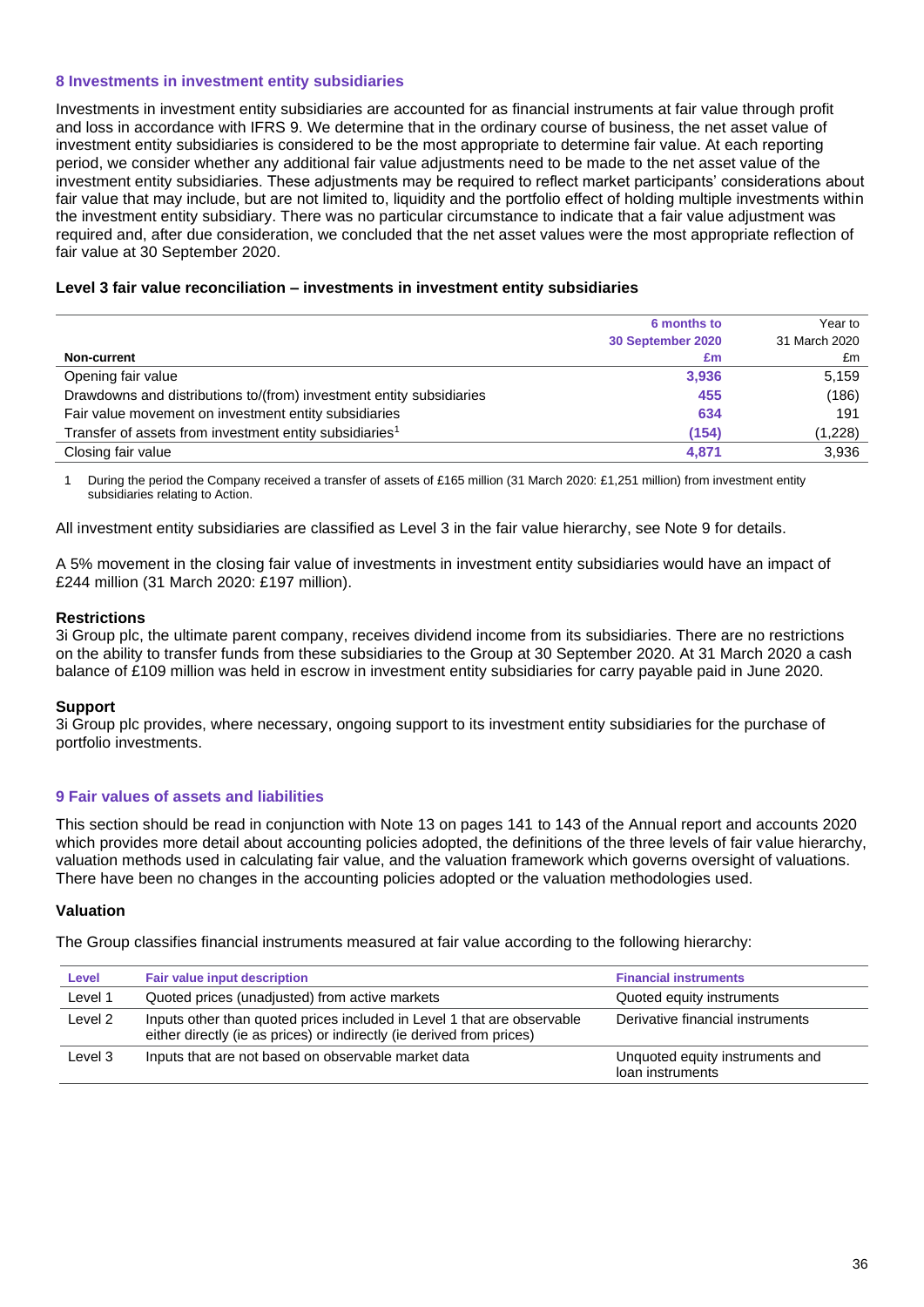### **8 Investments in investment entity subsidiaries**

Investments in investment entity subsidiaries are accounted for as financial instruments at fair value through profit and loss in accordance with IFRS 9. We determine that in the ordinary course of business, the net asset value of investment entity subsidiaries is considered to be the most appropriate to determine fair value. At each reporting period, we consider whether any additional fair value adjustments need to be made to the net asset value of the investment entity subsidiaries. These adjustments may be required to reflect market participants' considerations about fair value that may include, but are not limited to, liquidity and the portfolio effect of holding multiple investments within the investment entity subsidiary. There was no particular circumstance to indicate that a fair value adjustment was required and, after due consideration, we concluded that the net asset values were the most appropriate reflection of fair value at 30 September 2020.

### **Level 3 fair value reconciliation – investments in investment entity subsidiaries**

|                                                                      | 6 months to       | Year to       |
|----------------------------------------------------------------------|-------------------|---------------|
|                                                                      | 30 September 2020 | 31 March 2020 |
| Non-current                                                          | £m                | £m            |
| Opening fair value                                                   | 3,936             | 5.159         |
| Drawdowns and distributions to/(from) investment entity subsidiaries | 455               | (186)         |
| Fair value movement on investment entity subsidiaries                | 634               | 191           |
| Transfer of assets from investment entity subsidiaries <sup>1</sup>  | (154)             | (1,228)       |
| Closing fair value                                                   | 4.871             | 3,936         |

1 During the period the Company received a transfer of assets of £165 million (31 March 2020: £1,251 million) from investment entity subsidiaries relating to Action.

All investment entity subsidiaries are classified as Level 3 in the fair value hierarchy, see Note 9 for details.

A 5% movement in the closing fair value of investments in investment entity subsidiaries would have an impact of £244 million (31 March 2020: £197 million).

### **Restrictions**

3i Group plc, the ultimate parent company, receives dividend income from its subsidiaries. There are no restrictions on the ability to transfer funds from these subsidiaries to the Group at 30 September 2020. At 31 March 2020 a cash balance of £109 million was held in escrow in investment entity subsidiaries for carry payable paid in June 2020.

### **Support**

3i Group plc provides, where necessary, ongoing support to its investment entity subsidiaries for the purchase of portfolio investments.

### **9 Fair values of assets and liabilities**

This section should be read in conjunction with Note 13 on pages 141 to 143 of the Annual report and accounts 2020 which provides more detail about accounting policies adopted, the definitions of the three levels of fair value hierarchy, valuation methods used in calculating fair value, and the valuation framework which governs oversight of valuations. There have been no changes in the accounting policies adopted or the valuation methodologies used.

### **Valuation**

The Group classifies financial instruments measured at fair value according to the following hierarchy:

| Level   | <b>Fair value input description</b>                                                                                                              | <b>Financial instruments</b>                        |
|---------|--------------------------------------------------------------------------------------------------------------------------------------------------|-----------------------------------------------------|
| Level 1 | Quoted prices (unadjusted) from active markets                                                                                                   | Quoted equity instruments                           |
| Level 2 | Inputs other than quoted prices included in Level 1 that are observable<br>either directly (ie as prices) or indirectly (ie derived from prices) | Derivative financial instruments                    |
| Level 3 | Inputs that are not based on observable market data                                                                                              | Unquoted equity instruments and<br>loan instruments |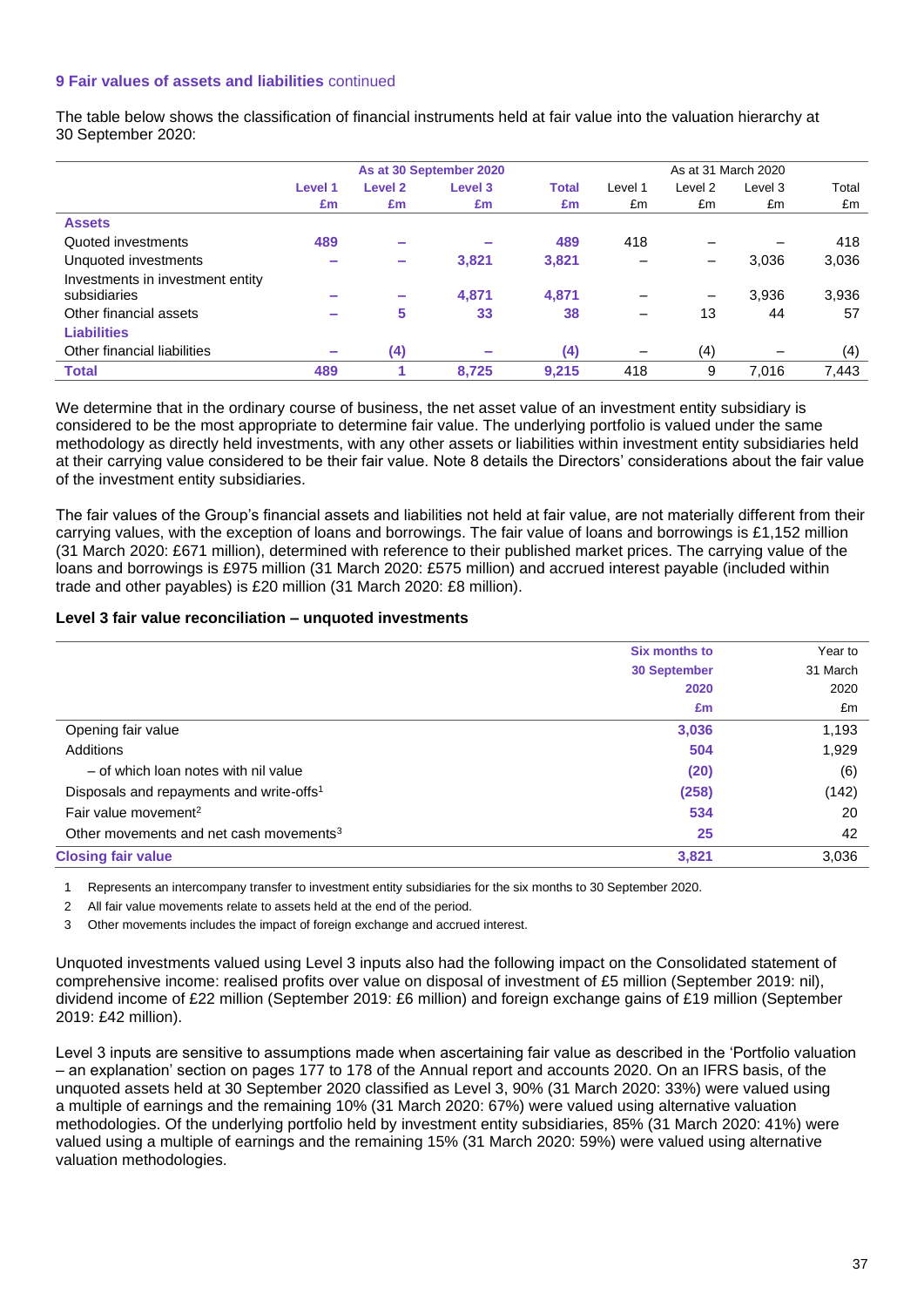### **9 Fair values of assets and liabilities** continued

The table below shows the classification of financial instruments held at fair value into the valuation hierarchy at 30 September 2020:

|                                  | As at 30 September 2020  |                          |                    |              |         | As at 31 March 2020 |                          |       |
|----------------------------------|--------------------------|--------------------------|--------------------|--------------|---------|---------------------|--------------------------|-------|
|                                  | Level 1                  | Level <sub>2</sub>       | Level <sub>3</sub> | <b>Total</b> | Level 1 | Level 2             | Level 3                  | Total |
|                                  | £m                       | £m                       | £m                 | £m           | £m      | £m                  | £m                       | £m    |
| <b>Assets</b>                    |                          |                          |                    |              |         |                     |                          |       |
| Quoted investments               | 489                      | $\overline{\phantom{a}}$ |                    | 489          | 418     |                     | $\overline{\phantom{0}}$ | 418   |
| Unquoted investments             | ۰                        | $\sim$                   | 3,821              | 3,821        |         | -                   | 3,036                    | 3,036 |
| Investments in investment entity |                          |                          |                    |              |         |                     |                          |       |
| subsidiaries                     | $\overline{\phantom{a}}$ | $\overline{\phantom{a}}$ | 4,871              | 4,871        |         | -                   | 3,936                    | 3,936 |
| Other financial assets           | ۰                        | 5                        | 33                 | 38           |         | 13                  | 44                       | 57    |
| <b>Liabilities</b>               |                          |                          |                    |              |         |                     |                          |       |
| Other financial liabilities      | $\equiv$                 | (4)                      |                    | (4)          | —       | (4)                 | $\overline{\phantom{0}}$ | (4)   |
| <b>Total</b>                     | 489                      |                          | 8.725              | 9.215        | 418     | 9                   | 7.016                    | 7,443 |

We determine that in the ordinary course of business, the net asset value of an investment entity subsidiary is considered to be the most appropriate to determine fair value. The underlying portfolio is valued under the same methodology as directly held investments, with any other assets or liabilities within investment entity subsidiaries held at their carrying value considered to be their fair value. Note 8 details the Directors' considerations about the fair value of the investment entity subsidiaries.

The fair values of the Group's financial assets and liabilities not held at fair value, are not materially different from their carrying values, with the exception of loans and borrowings. The fair value of loans and borrowings is £1,152 million (31 March 2020: £671 million), determined with reference to their published market prices. The carrying value of the loans and borrowings is £975 million (31 March 2020: £575 million) and accrued interest payable (included within trade and other payables) is £20 million (31 March 2020: £8 million).

### **Level 3 fair value reconciliation – unquoted investments**

|                                                      | Six months to       | Year to  |
|------------------------------------------------------|---------------------|----------|
|                                                      | <b>30 September</b> | 31 March |
|                                                      | 2020                | 2020     |
|                                                      | £m                  | £m       |
| Opening fair value                                   | 3,036               | 1,193    |
| Additions                                            | 504                 | 1,929    |
| - of which loan notes with nil value                 | (20)                | (6)      |
| Disposals and repayments and write-offs <sup>1</sup> | (258)               | (142)    |
| Fair value movement <sup>2</sup>                     | 534                 | 20       |
| Other movements and net cash movements <sup>3</sup>  | 25                  | 42       |
| <b>Closing fair value</b>                            | 3,821               | 3,036    |

1 Represents an intercompany transfer to investment entity subsidiaries for the six months to 30 September 2020.

2 All fair value movements relate to assets held at the end of the period.

3 Other movements includes the impact of foreign exchange and accrued interest.

Unquoted investments valued using Level 3 inputs also had the following impact on the Consolidated statement of comprehensive income: realised profits over value on disposal of investment of £5 million (September 2019: nil), dividend income of £22 million (September 2019: £6 million) and foreign exchange gains of £19 million (September 2019: £42 million).

Level 3 inputs are sensitive to assumptions made when ascertaining fair value as described in the 'Portfolio valuation – an explanation' section on pages 177 to 178 of the Annual report and accounts 2020. On an IFRS basis, of the unquoted assets held at 30 September 2020 classified as Level 3, 90% (31 March 2020: 33%) were valued using a multiple of earnings and the remaining 10% (31 March 2020: 67%) were valued using alternative valuation methodologies. Of the underlying portfolio held by investment entity subsidiaries, 85% (31 March 2020: 41%) were valued using a multiple of earnings and the remaining 15% (31 March 2020: 59%) were valued using alternative valuation methodologies.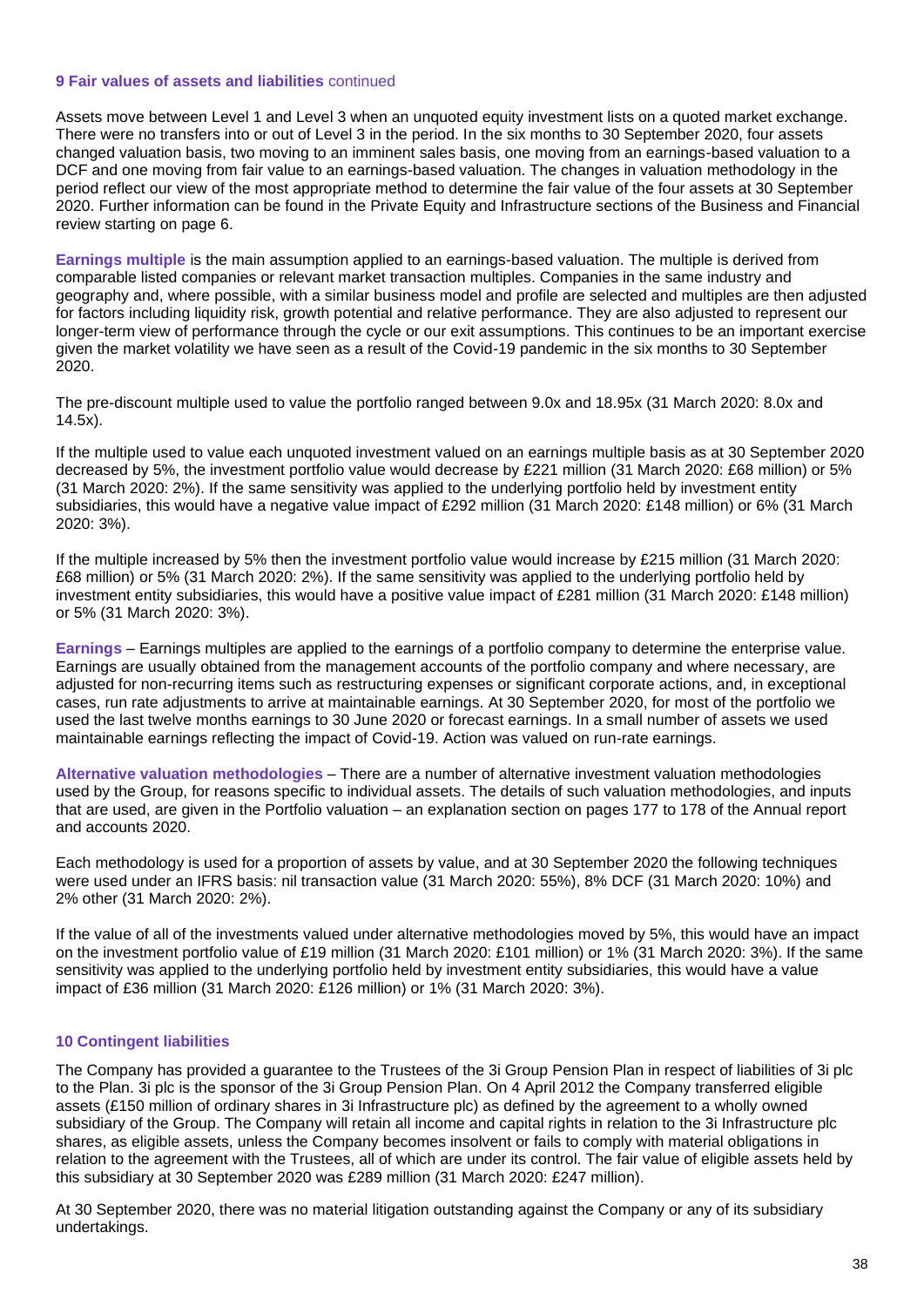### **9 Fair values of assets and liabilities** continued

Assets move between Level 1 and Level 3 when an unquoted equity investment lists on a quoted market exchange. There were no transfers into or out of Level 3 in the period. In the six months to 30 September 2020, four assets changed valuation basis, two moving to an imminent sales basis, one moving from an earnings-based valuation to a DCF and one moving from fair value to an earnings-based valuation. The changes in valuation methodology in the period reflect our view of the most appropriate method to determine the fair value of the four assets at 30 September 2020. Further information can be found in the Private Equity and Infrastructure sections of the Business and Financial review starting on page 6.

**Earnings multiple** is the main assumption applied to an earnings-based valuation. The multiple is derived from comparable listed companies or relevant market transaction multiples. Companies in the same industry and geography and, where possible, with a similar business model and profile are selected and multiples are then adjusted for factors including liquidity risk, growth potential and relative performance. They are also adjusted to represent our longer-term view of performance through the cycle or our exit assumptions. This continues to be an important exercise given the market volatility we have seen as a result of the Covid-19 pandemic in the six months to 30 September 2020.

The pre-discount multiple used to value the portfolio ranged between 9.0x and 18.95x (31 March 2020: 8.0x and 14.5x).

If the multiple used to value each unquoted investment valued on an earnings multiple basis as at 30 September 2020 decreased by 5%, the investment portfolio value would decrease by £221 million (31 March 2020: £68 million) or 5% (31 March 2020: 2%). If the same sensitivity was applied to the underlying portfolio held by investment entity subsidiaries, this would have a negative value impact of £292 million (31 March 2020: £148 million) or 6% (31 March 2020: 3%).

If the multiple increased by 5% then the investment portfolio value would increase by £215 million (31 March 2020: £68 million) or 5% (31 March 2020: 2%). If the same sensitivity was applied to the underlying portfolio held by investment entity subsidiaries, this would have a positive value impact of £281 million (31 March 2020: £148 million) or 5% (31 March 2020: 3%).

**Earnings** – Earnings multiples are applied to the earnings of a portfolio company to determine the enterprise value. Earnings are usually obtained from the management accounts of the portfolio company and where necessary, are adjusted for non-recurring items such as restructuring expenses or significant corporate actions, and, in exceptional cases, run rate adjustments to arrive at maintainable earnings. At 30 September 2020, for most of the portfolio we used the last twelve months earnings to 30 June 2020 or forecast earnings. In a small number of assets we used maintainable earnings reflecting the impact of Covid-19. Action was valued on run-rate earnings.

**Alternative valuation methodologies** – There are a number of alternative investment valuation methodologies used by the Group, for reasons specific to individual assets. The details of such valuation methodologies, and inputs that are used, are given in the Portfolio valuation – an explanation section on pages 177 to 178 of the Annual report and accounts 2020.

Each methodology is used for a proportion of assets by value, and at 30 September 2020 the following techniques were used under an IFRS basis: nil transaction value (31 March 2020: 55%), 8% DCF (31 March 2020: 10%) and 2% other (31 March 2020: 2%).

If the value of all of the investments valued under alternative methodologies moved by 5%, this would have an impact on the investment portfolio value of £19 million (31 March 2020: £101 million) or 1% (31 March 2020: 3%). If the same sensitivity was applied to the underlying portfolio held by investment entity subsidiaries, this would have a value impact of £36 million (31 March 2020: £126 million) or 1% (31 March 2020: 3%).

### **10 Contingent liabilities**

The Company has provided a guarantee to the Trustees of the 3i Group Pension Plan in respect of liabilities of 3i plc to the Plan. 3i plc is the sponsor of the 3i Group Pension Plan. On 4 April 2012 the Company transferred eligible assets (£150 million of ordinary shares in 3i Infrastructure plc) as defined by the agreement to a wholly owned subsidiary of the Group. The Company will retain all income and capital rights in relation to the 3i Infrastructure plc shares, as eligible assets, unless the Company becomes insolvent or fails to comply with material obligations in relation to the agreement with the Trustees, all of which are under its control. The fair value of eligible assets held by this subsidiary at 30 September 2020 was £289 million (31 March 2020: £247 million).

At 30 September 2020, there was no material litigation outstanding against the Company or any of its subsidiary undertakings.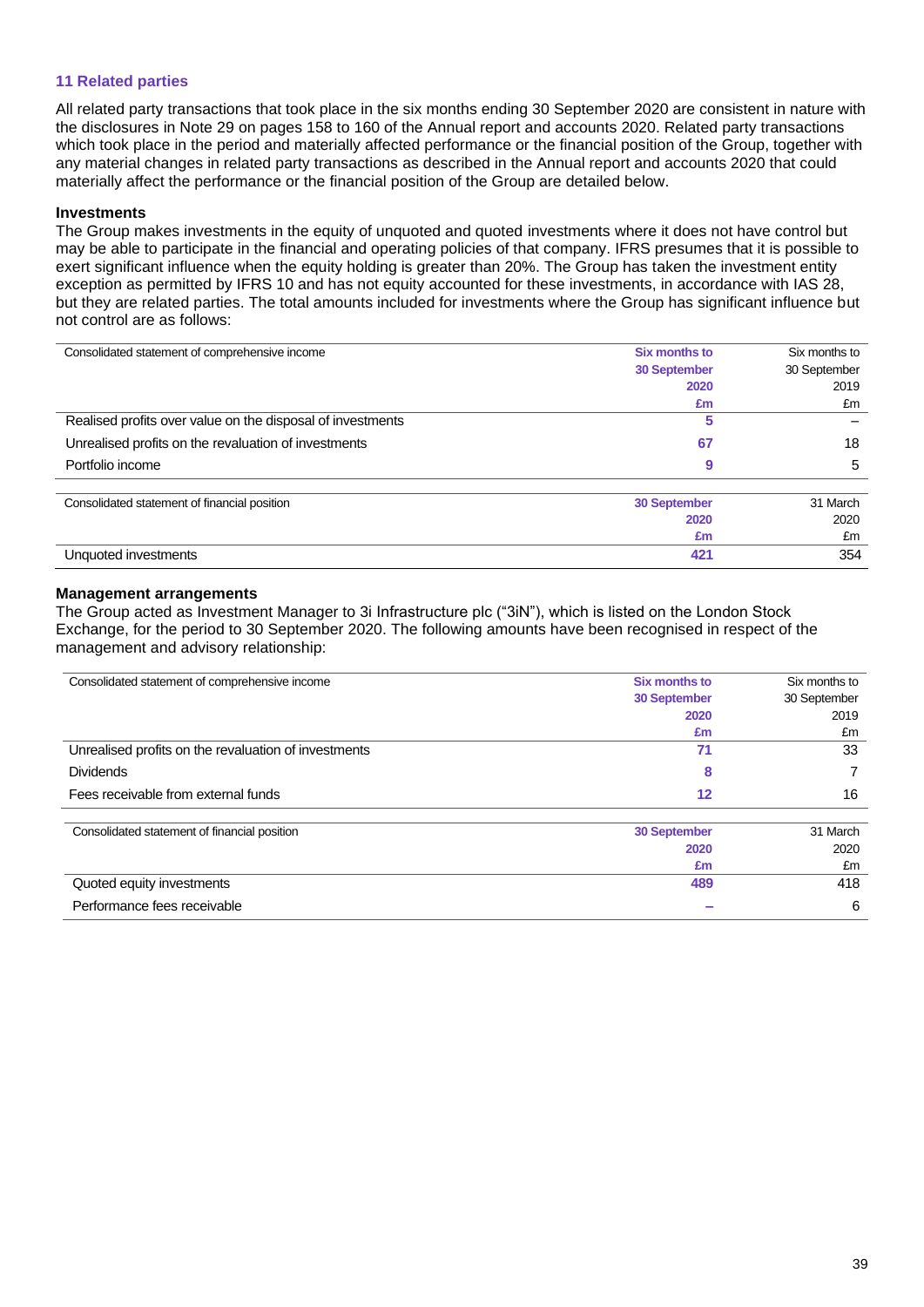### **11 Related parties**

All related party transactions that took place in the six months ending 30 September 2020 are consistent in nature with the disclosures in Note 29 on pages 158 to 160 of the Annual report and accounts 2020. Related party transactions which took place in the period and materially affected performance or the financial position of the Group, together with any material changes in related party transactions as described in the Annual report and accounts 2020 that could materially affect the performance or the financial position of the Group are detailed below.

### **Investments**

The Group makes investments in the equity of unquoted and quoted investments where it does not have control but may be able to participate in the financial and operating policies of that company. IFRS presumes that it is possible to exert significant influence when the equity holding is greater than 20%. The Group has taken the investment entity exception as permitted by IFRS 10 and has not equity accounted for these investments, in accordance with IAS 28, but they are related parties. The total amounts included for investments where the Group has significant influence but not control are as follows:

| Consolidated statement of comprehensive income             | <b>Six months to</b> | Six months to |
|------------------------------------------------------------|----------------------|---------------|
|                                                            | 30 September         | 30 September  |
|                                                            | 2020                 | 2019          |
|                                                            | £m                   | £m            |
| Realised profits over value on the disposal of investments | 5                    |               |
| Unrealised profits on the revaluation of investments       | 67                   | 18            |
| Portfolio income                                           | 9                    | 5             |
| Consolidated statement of financial position               | 30 September         | 31 March      |
|                                                            | 2020                 | 2020          |
|                                                            | £m                   | £m            |
| Unquoted investments                                       | 421                  | 354           |

### **Management arrangements**

The Group acted as Investment Manager to 3i Infrastructure plc ("3iN"), which is listed on the London Stock Exchange, for the period to 30 September 2020. The following amounts have been recognised in respect of the management and advisory relationship:

| Consolidated statement of comprehensive income       | <b>Six months to</b> | Six months to |  |
|------------------------------------------------------|----------------------|---------------|--|
|                                                      | <b>30 September</b>  | 30 September  |  |
|                                                      | 2020                 | 2019          |  |
|                                                      | £m                   | £m            |  |
| Unrealised profits on the revaluation of investments | 71                   | 33            |  |
| <b>Dividends</b>                                     | 8                    |               |  |
| Fees receivable from external funds                  | 12                   | 16            |  |
| Consolidated statement of financial position         | <b>30 September</b>  | 31 March      |  |
|                                                      | 2020                 | 2020          |  |
|                                                      | £m                   | £m            |  |
| Quoted equity investments                            | 489                  | 418           |  |
| Performance fees receivable                          |                      | 6             |  |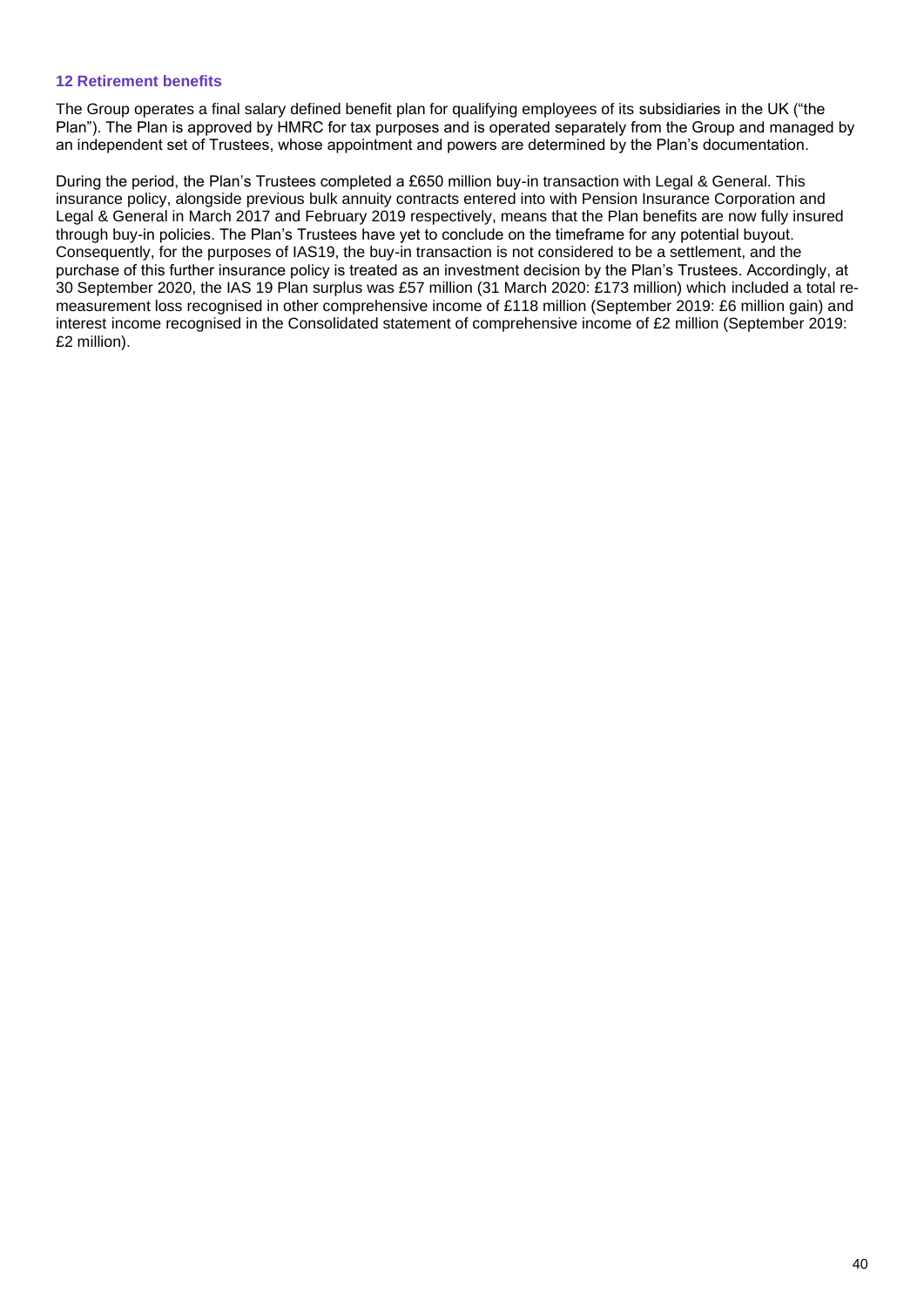### **12 Retirement benefits**

The Group operates a final salary defined benefit plan for qualifying employees of its subsidiaries in the UK ("the Plan"). The Plan is approved by HMRC for tax purposes and is operated separately from the Group and managed by an independent set of Trustees, whose appointment and powers are determined by the Plan's documentation.

During the period, the Plan's Trustees completed a £650 million buy-in transaction with Legal & General. This insurance policy, alongside previous bulk annuity contracts entered into with Pension Insurance Corporation and Legal & General in March 2017 and February 2019 respectively, means that the Plan benefits are now fully insured through buy-in policies. The Plan's Trustees have yet to conclude on the timeframe for any potential buyout. Consequently, for the purposes of IAS19, the buy-in transaction is not considered to be a settlement, and the purchase of this further insurance policy is treated as an investment decision by the Plan's Trustees. Accordingly, at 30 September 2020, the IAS 19 Plan surplus was £57 million (31 March 2020: £173 million) which included a total remeasurement loss recognised in other comprehensive income of £118 million (September 2019: £6 million gain) and interest income recognised in the Consolidated statement of comprehensive income of £2 million (September 2019: £2 million).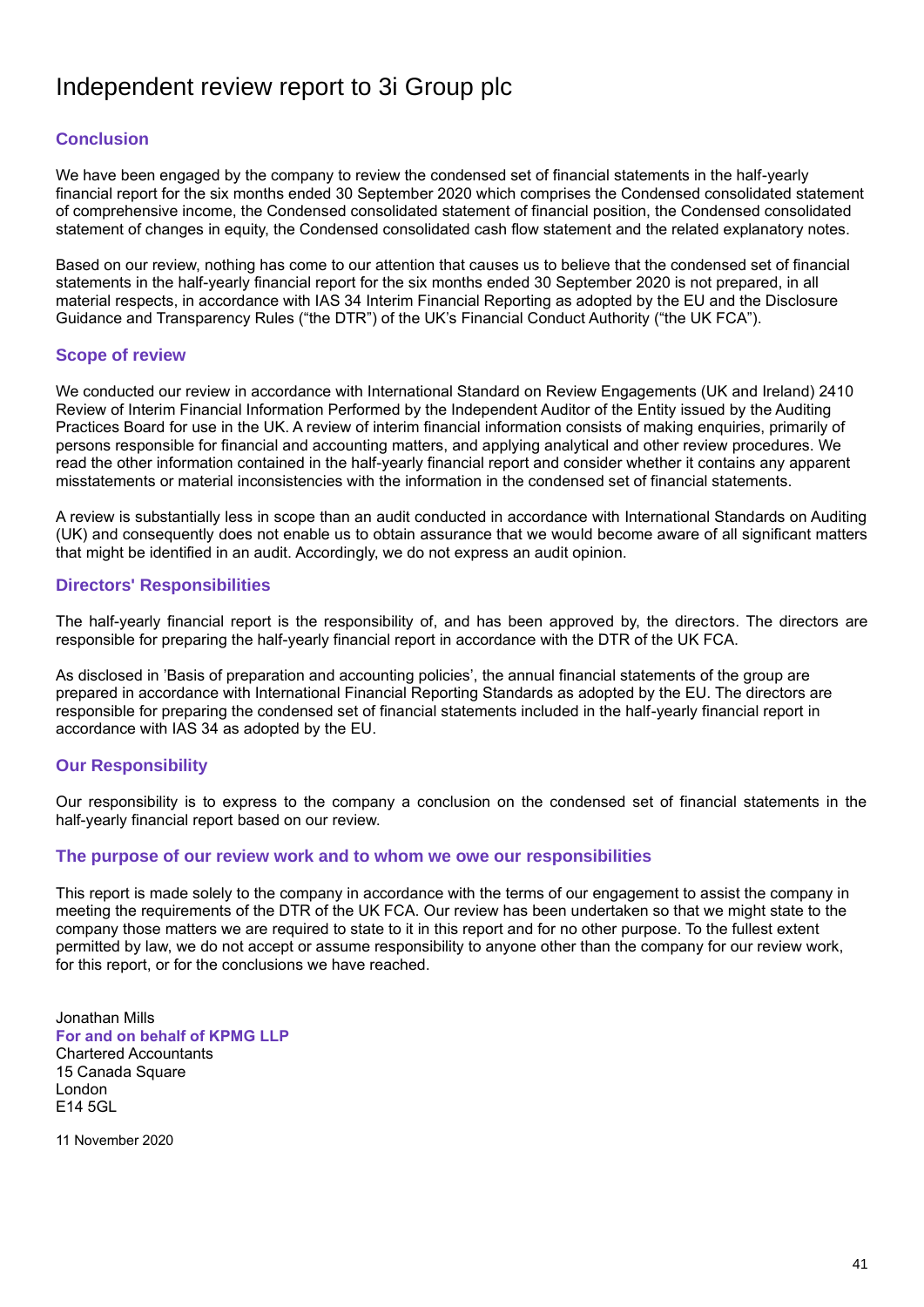# Independent review report to 3i Group plc

## **Conclusion**

We have been engaged by the company to review the condensed set of financial statements in the half-yearly financial report for the six months ended 30 September 2020 which comprises the Condensed consolidated statement of comprehensive income, the Condensed consolidated statement of financial position, the Condensed consolidated statement of changes in equity, the Condensed consolidated cash flow statement and the related explanatory notes.

Based on our review, nothing has come to our attention that causes us to believe that the condensed set of financial statements in the half-yearly financial report for the six months ended 30 September 2020 is not prepared, in all material respects, in accordance with IAS 34 Interim Financial Reporting as adopted by the EU and the Disclosure Guidance and Transparency Rules ("the DTR") of the UK's Financial Conduct Authority ("the UK FCA").

## **Scope of review**

We conducted our review in accordance with International Standard on Review Engagements (UK and Ireland) 2410 Review of Interim Financial Information Performed by the Independent Auditor of the Entity issued by the Auditing Practices Board for use in the UK. A review of interim financial information consists of making enquiries, primarily of persons responsible for financial and accounting matters, and applying analytical and other review procedures. We read the other information contained in the half-yearly financial report and consider whether it contains any apparent misstatements or material inconsistencies with the information in the condensed set of financial statements.

A review is substantially less in scope than an audit conducted in accordance with International Standards on Auditing (UK) and consequently does not enable us to obtain assurance that we would become aware of all significant matters that might be identified in an audit. Accordingly, we do not express an audit opinion.

## **Directors' Responsibilities**

The half-yearly financial report is the responsibility of, and has been approved by, the directors. The directors are responsible for preparing the half-yearly financial report in accordance with the DTR of the UK FCA.

As disclosed in 'Basis of preparation and accounting policies', the annual financial statements of the group are prepared in accordance with International Financial Reporting Standards as adopted by the EU. The directors are responsible for preparing the condensed set of financial statements included in the half-yearly financial report in accordance with IAS 34 as adopted by the EU.

## **Our Responsibility**

Our responsibility is to express to the company a conclusion on the condensed set of financial statements in the half-yearly financial report based on our review.

### **The purpose of our review work and to whom we owe our responsibilities**

This report is made solely to the company in accordance with the terms of our engagement to assist the company in meeting the requirements of the DTR of the UK FCA. Our review has been undertaken so that we might state to the company those matters we are required to state to it in this report and for no other purpose. To the fullest extent permitted by law, we do not accept or assume responsibility to anyone other than the company for our review work, for this report, or for the conclusions we have reached.

Jonathan Mills **For and on behalf of KPMG LLP** Chartered Accountants 15 Canada Square London E14 5GL

11 November 2020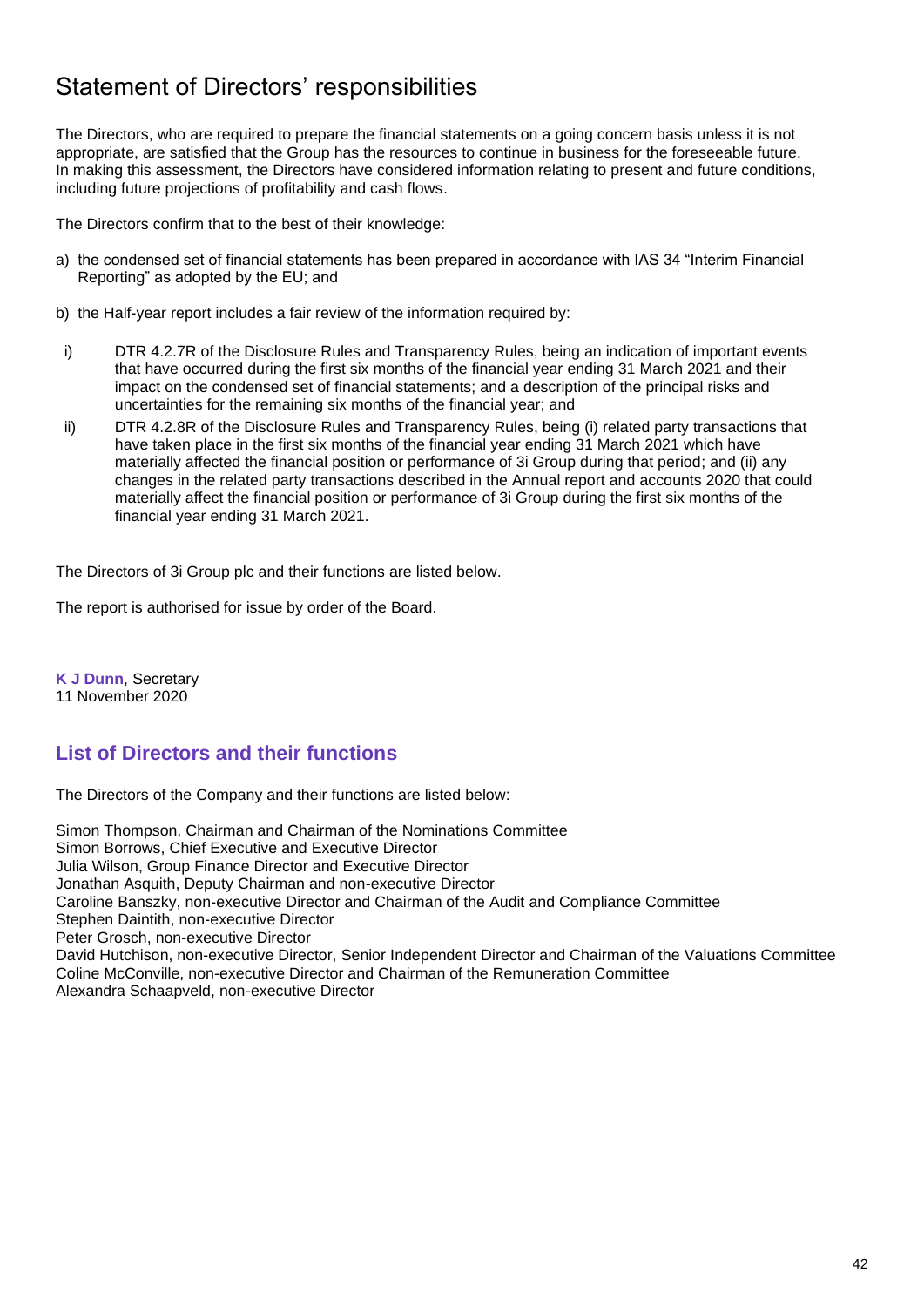# Statement of Directors' responsibilities

The Directors, who are required to prepare the financial statements on a going concern basis unless it is not appropriate, are satisfied that the Group has the resources to continue in business for the foreseeable future. In making this assessment, the Directors have considered information relating to present and future conditions, including future projections of profitability and cash flows.

The Directors confirm that to the best of their knowledge:

- a) the condensed set of financial statements has been prepared in accordance with IAS 34 "Interim Financial Reporting" as adopted by the EU; and
- b) the Half-year report includes a fair review of the information required by:
- i) DTR 4.2.7R of the Disclosure Rules and Transparency Rules, being an indication of important events that have occurred during the first six months of the financial year ending 31 March 2021 and their impact on the condensed set of financial statements; and a description of the principal risks and uncertainties for the remaining six months of the financial year; and
- ii) DTR 4.2.8R of the Disclosure Rules and Transparency Rules, being (i) related party transactions that have taken place in the first six months of the financial year ending 31 March 2021 which have materially affected the financial position or performance of 3i Group during that period; and (ii) any changes in the related party transactions described in the Annual report and accounts 2020 that could materially affect the financial position or performance of 3i Group during the first six months of the financial year ending 31 March 2021.

The Directors of 3i Group plc and their functions are listed below.

The report is authorised for issue by order of the Board.

**K J Dunn**, Secretary 11 November 2020

# **List of Directors and their functions**

The Directors of the Company and their functions are listed below:

Simon Thompson, Chairman and Chairman of the Nominations Committee Simon Borrows, Chief Executive and Executive Director Julia Wilson, Group Finance Director and Executive Director Jonathan Asquith, Deputy Chairman and non-executive Director Caroline Banszky, non-executive Director and Chairman of the Audit and Compliance Committee Stephen Daintith, non-executive Director Peter Grosch, non-executive Director David Hutchison, non-executive Director, Senior Independent Director and Chairman of the Valuations Committee Coline McConville, non-executive Director and Chairman of the Remuneration Committee Alexandra Schaapveld, non-executive Director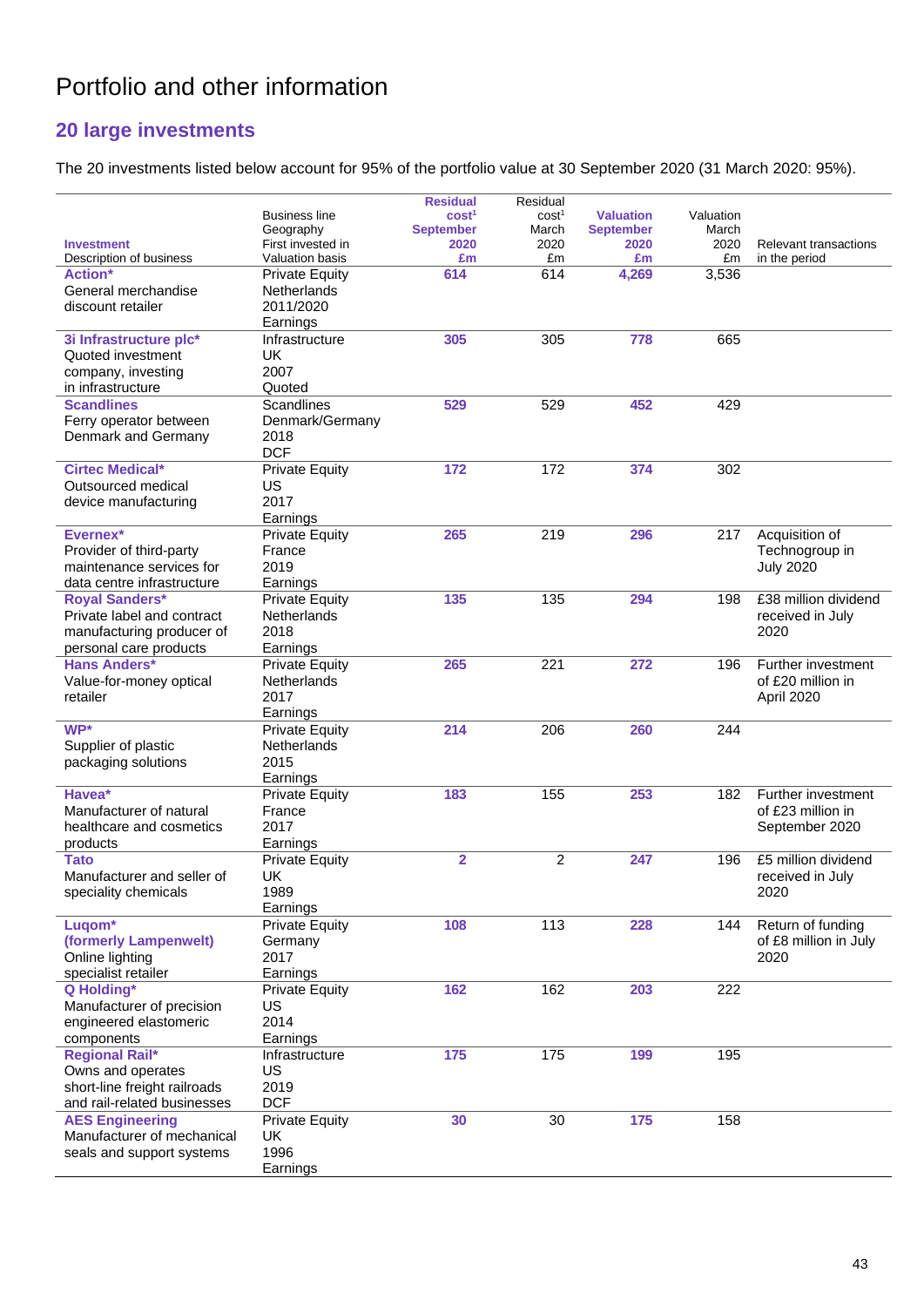# Portfolio and other information

# **20 large investments**

The 20 investments listed below account for 95% of the portfolio value at 30 September 2020 (31 March 2020: 95%).

|                              |                       | <b>Residual</b>         | Residual          |                  |           |                       |
|------------------------------|-----------------------|-------------------------|-------------------|------------------|-----------|-----------------------|
|                              | <b>Business line</b>  | cost <sup>1</sup>       | cost <sup>1</sup> | <b>Valuation</b> | Valuation |                       |
|                              | Geography             | <b>September</b>        | March             | <b>September</b> | March     |                       |
| <b>Investment</b>            | First invested in     | 2020                    | 2020              | 2020             | 2020      | Relevant transactions |
| Description of business      | Valuation basis       | £m                      | £m                | £m               | £m        | in the period         |
| <b>Action*</b>               | <b>Private Equity</b> | 614                     | 614               | 4,269            | 3,536     |                       |
| General merchandise          | <b>Netherlands</b>    |                         |                   |                  |           |                       |
| discount retailer            | 2011/2020             |                         |                   |                  |           |                       |
|                              | Earnings              |                         |                   |                  |           |                       |
| 3i Infrastructure plc*       | Infrastructure        | 305                     | 305               | 778              | 665       |                       |
| Quoted investment            | UK.                   |                         |                   |                  |           |                       |
| company, investing           | 2007                  |                         |                   |                  |           |                       |
| in infrastructure            | Quoted                |                         |                   |                  |           |                       |
| <b>Scandlines</b>            | Scandlines            | 529                     | 529               | 452              | 429       |                       |
| Ferry operator between       | Denmark/Germany       |                         |                   |                  |           |                       |
| Denmark and Germany          | 2018                  |                         |                   |                  |           |                       |
|                              | <b>DCF</b>            |                         |                   |                  |           |                       |
| <b>Cirtec Medical*</b>       | <b>Private Equity</b> | 172                     | 172               | 374              | 302       |                       |
| Outsourced medical           | US                    |                         |                   |                  |           |                       |
| device manufacturing         | 2017                  |                         |                   |                  |           |                       |
|                              | Earnings              |                         |                   |                  |           |                       |
| Evernex*                     | <b>Private Equity</b> | 265                     | 219               | 296              | 217       | Acquisition of        |
| Provider of third-party      | France                |                         |                   |                  |           | Technogroup in        |
| maintenance services for     | 2019                  |                         |                   |                  |           | <b>July 2020</b>      |
| data centre infrastructure   | Earnings              |                         |                   |                  |           |                       |
| <b>Royal Sanders*</b>        | <b>Private Equity</b> | 135                     | 135               | 294              | 198       | £38 million dividend  |
| Private label and contract   | Netherlands           |                         |                   |                  |           | received in July      |
|                              | 2018                  |                         |                   |                  |           |                       |
| manufacturing producer of    |                       |                         |                   |                  |           | 2020                  |
| personal care products       | Earnings              |                         |                   |                  |           |                       |
| <b>Hans Anders*</b>          | <b>Private Equity</b> | 265                     | 221               | 272              | 196       | Further investment    |
| Value-for-money optical      | Netherlands           |                         |                   |                  |           | of £20 million in     |
| retailer                     | 2017                  |                         |                   |                  |           | April 2020            |
|                              | Earnings              |                         |                   |                  |           |                       |
| WP*                          | <b>Private Equity</b> | 214                     | 206               | 260              | 244       |                       |
| Supplier of plastic          | Netherlands           |                         |                   |                  |           |                       |
| packaging solutions          | 2015                  |                         |                   |                  |           |                       |
|                              | Earnings              |                         |                   |                  |           |                       |
| Havea*                       | <b>Private Equity</b> | 183                     | 155               | 253              | 182       | Further investment    |
| Manufacturer of natural      | France                |                         |                   |                  |           | of £23 million in     |
| healthcare and cosmetics     | 2017                  |                         |                   |                  |           | September 2020        |
| products                     | Earnings              |                         |                   |                  |           |                       |
| <b>Tato</b>                  | <b>Private Equity</b> | $\overline{\mathbf{2}}$ | 2                 | 247              | 196       | £5 million dividend   |
| Manufacturer and seller of   | UK                    |                         |                   |                  |           | received in July      |
| speciality chemicals         | 1989                  |                         |                   |                  |           | 2020                  |
|                              | Earnings              |                         |                   |                  |           |                       |
| Lugom*                       | Private Equity        | 108                     | 113               | 228              | 144       | Return of funding     |
| (formerly Lampenwelt)        |                       |                         |                   |                  |           |                       |
|                              | Germany               |                         |                   |                  |           | of £8 million in July |
| Online lighting              | 2017                  |                         |                   |                  |           | 2020                  |
| specialist retailer          | Earnings              |                         |                   |                  |           |                       |
| Q Holding*                   | <b>Private Equity</b> | 162                     | 162               | 203              | 222       |                       |
| Manufacturer of precision    | US                    |                         |                   |                  |           |                       |
| engineered elastomeric       | 2014                  |                         |                   |                  |           |                       |
| components                   | Earnings              |                         |                   |                  |           |                       |
| <b>Regional Rail*</b>        | Infrastructure        | 175                     | 175               | 199              | 195       |                       |
| Owns and operates            | US                    |                         |                   |                  |           |                       |
| short-line freight railroads | 2019                  |                         |                   |                  |           |                       |
| and rail-related businesses  | <b>DCF</b>            |                         |                   |                  |           |                       |
| <b>AES Engineering</b>       | <b>Private Equity</b> | 30                      | 30                | 175              | 158       |                       |
| Manufacturer of mechanical   | UK                    |                         |                   |                  |           |                       |
| seals and support systems    | 1996                  |                         |                   |                  |           |                       |
|                              | Earnings              |                         |                   |                  |           |                       |
|                              |                       |                         |                   |                  |           |                       |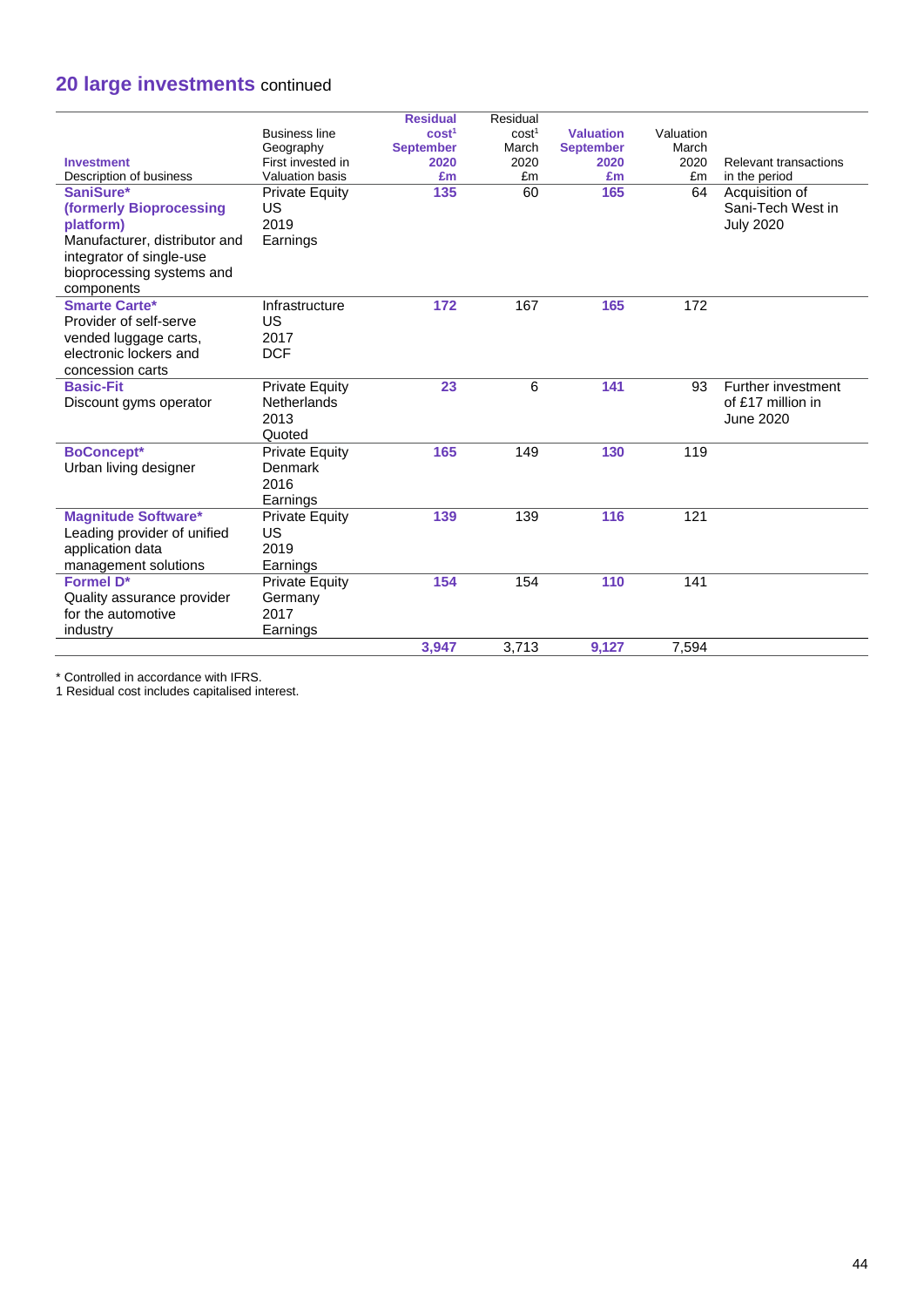# **20 large investments** continued

|                               |                        | <b>Residual</b>   | Residual          |                  |           |                       |
|-------------------------------|------------------------|-------------------|-------------------|------------------|-----------|-----------------------|
|                               | <b>Business line</b>   | cost <sup>1</sup> | cost <sup>1</sup> | <b>Valuation</b> | Valuation |                       |
|                               | Geography              | <b>September</b>  | March             | <b>September</b> | March     |                       |
| <b>Investment</b>             | First invested in      | 2020              | 2020              | 2020             | 2020      | Relevant transactions |
| Description of business       | <b>Valuation basis</b> | £m                | £m                | £m               | £m        | in the period         |
| SaniSure*                     | <b>Private Equity</b>  | 135               | 60                | 165              | 64        | Acquisition of        |
| (formerly Bioprocessing       | US                     |                   |                   |                  |           | Sani-Tech West in     |
| platform)                     | 2019                   |                   |                   |                  |           | <b>July 2020</b>      |
| Manufacturer, distributor and | Earnings               |                   |                   |                  |           |                       |
| integrator of single-use      |                        |                   |                   |                  |           |                       |
| bioprocessing systems and     |                        |                   |                   |                  |           |                       |
| components                    |                        |                   |                   |                  |           |                       |
| <b>Smarte Carte*</b>          | Infrastructure         | 172               | 167               | 165              | 172       |                       |
| Provider of self-serve        | US                     |                   |                   |                  |           |                       |
| vended luggage carts,         | 2017                   |                   |                   |                  |           |                       |
| electronic lockers and        | <b>DCF</b>             |                   |                   |                  |           |                       |
| concession carts              |                        |                   |                   |                  |           |                       |
| <b>Basic-Fit</b>              | <b>Private Equity</b>  | 23                | 6                 | 141              | 93        | Further investment    |
| Discount gyms operator        | <b>Netherlands</b>     |                   |                   |                  |           | of £17 million in     |
|                               | 2013                   |                   |                   |                  |           | June 2020             |
|                               | Quoted                 |                   |                   |                  |           |                       |
| <b>BoConcept*</b>             | <b>Private Equity</b>  | 165               | 149               | 130              | 119       |                       |
| Urban living designer         | Denmark                |                   |                   |                  |           |                       |
|                               | 2016                   |                   |                   |                  |           |                       |
|                               | Earnings               |                   |                   |                  |           |                       |
| <b>Magnitude Software*</b>    | <b>Private Equity</b>  | 139               | 139               | 116              | 121       |                       |
| Leading provider of unified   | US                     |                   |                   |                  |           |                       |
| application data              | 2019                   |                   |                   |                  |           |                       |
| management solutions          | Earnings               |                   |                   |                  |           |                       |
| <b>Formel D*</b>              | <b>Private Equity</b>  | 154               | 154               | 110              | 141       |                       |
| Quality assurance provider    | Germany                |                   |                   |                  |           |                       |
| for the automotive            | 2017                   |                   |                   |                  |           |                       |
| industry                      | Earnings               |                   |                   |                  |           |                       |
|                               |                        | 3.947             | 3.713             | 9.127            | 7,594     |                       |
|                               |                        |                   |                   |                  |           |                       |

\* Controlled in accordance with IFRS.

1 Residual cost includes capitalised interest.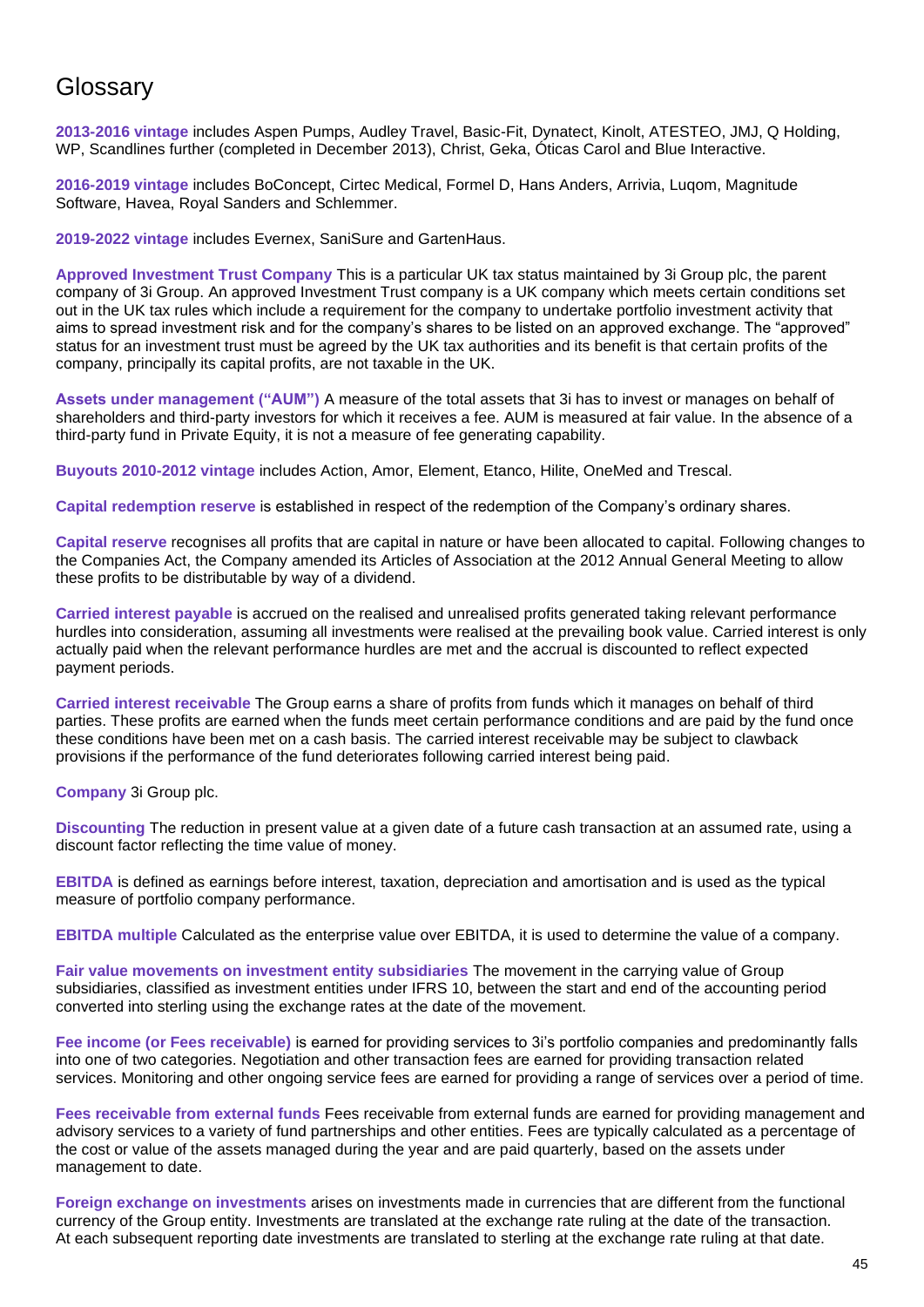# **Glossary**

**2013-2016 vintage** includes Aspen Pumps, Audley Travel, Basic-Fit, Dynatect, Kinolt, ATESTEO, JMJ, Q Holding, WP, Scandlines further (completed in December 2013), Christ, Geka, Óticas Carol and Blue Interactive.

**2016-2019 vintage** includes BoConcept, Cirtec Medical, Formel D, Hans Anders, Arrivia, Luqom, Magnitude Software, Havea, Royal Sanders and Schlemmer.

**2019-2022 vintage** includes Evernex, SaniSure and GartenHaus.

**Approved Investment Trust Company** This is a particular UK tax status maintained by 3i Group plc, the parent company of 3i Group. An approved Investment Trust company is a UK company which meets certain conditions set out in the UK tax rules which include a requirement for the company to undertake portfolio investment activity that aims to spread investment risk and for the company's shares to be listed on an approved exchange. The "approved" status for an investment trust must be agreed by the UK tax authorities and its benefit is that certain profits of the company, principally its capital profits, are not taxable in the UK.

**Assets under management ("AUM")** A measure of the total assets that 3i has to invest or manages on behalf of shareholders and third-party investors for which it receives a fee. AUM is measured at fair value. In the absence of a third-party fund in Private Equity, it is not a measure of fee generating capability.

**Buyouts 2010-2012 vintage** includes Action, Amor, Element, Etanco, Hilite, OneMed and Trescal.

**Capital redemption reserve** is established in respect of the redemption of the Company's ordinary shares.

**Capital reserve** recognises all profits that are capital in nature or have been allocated to capital. Following changes to the Companies Act, the Company amended its Articles of Association at the 2012 Annual General Meeting to allow these profits to be distributable by way of a dividend.

**Carried interest payable** is accrued on the realised and unrealised profits generated taking relevant performance hurdles into consideration, assuming all investments were realised at the prevailing book value. Carried interest is only actually paid when the relevant performance hurdles are met and the accrual is discounted to reflect expected payment periods.

**Carried interest receivable** The Group earns a share of profits from funds which it manages on behalf of third parties. These profits are earned when the funds meet certain performance conditions and are paid by the fund once these conditions have been met on a cash basis. The carried interest receivable may be subject to clawback provisions if the performance of the fund deteriorates following carried interest being paid.

**Company** 3i Group plc.

**Discounting** The reduction in present value at a given date of a future cash transaction at an assumed rate, using a discount factor reflecting the time value of money.

**EBITDA** is defined as earnings before interest, taxation, depreciation and amortisation and is used as the typical measure of portfolio company performance.

**EBITDA multiple** Calculated as the enterprise value over EBITDA, it is used to determine the value of a company.

**Fair value movements on investment entity subsidiaries** The movement in the carrying value of Group subsidiaries, classified as investment entities under IFRS 10, between the start and end of the accounting period converted into sterling using the exchange rates at the date of the movement.

**Fee income (or Fees receivable)** is earned for providing services to 3i's portfolio companies and predominantly falls into one of two categories. Negotiation and other transaction fees are earned for providing transaction related services. Monitoring and other ongoing service fees are earned for providing a range of services over a period of time.

**Fees receivable from external funds** Fees receivable from external funds are earned for providing management and advisory services to a variety of fund partnerships and other entities. Fees are typically calculated as a percentage of the cost or value of the assets managed during the year and are paid quarterly, based on the assets under management to date.

**Foreign exchange on investments** arises on investments made in currencies that are different from the functional currency of the Group entity. Investments are translated at the exchange rate ruling at the date of the transaction. At each subsequent reporting date investments are translated to sterling at the exchange rate ruling at that date.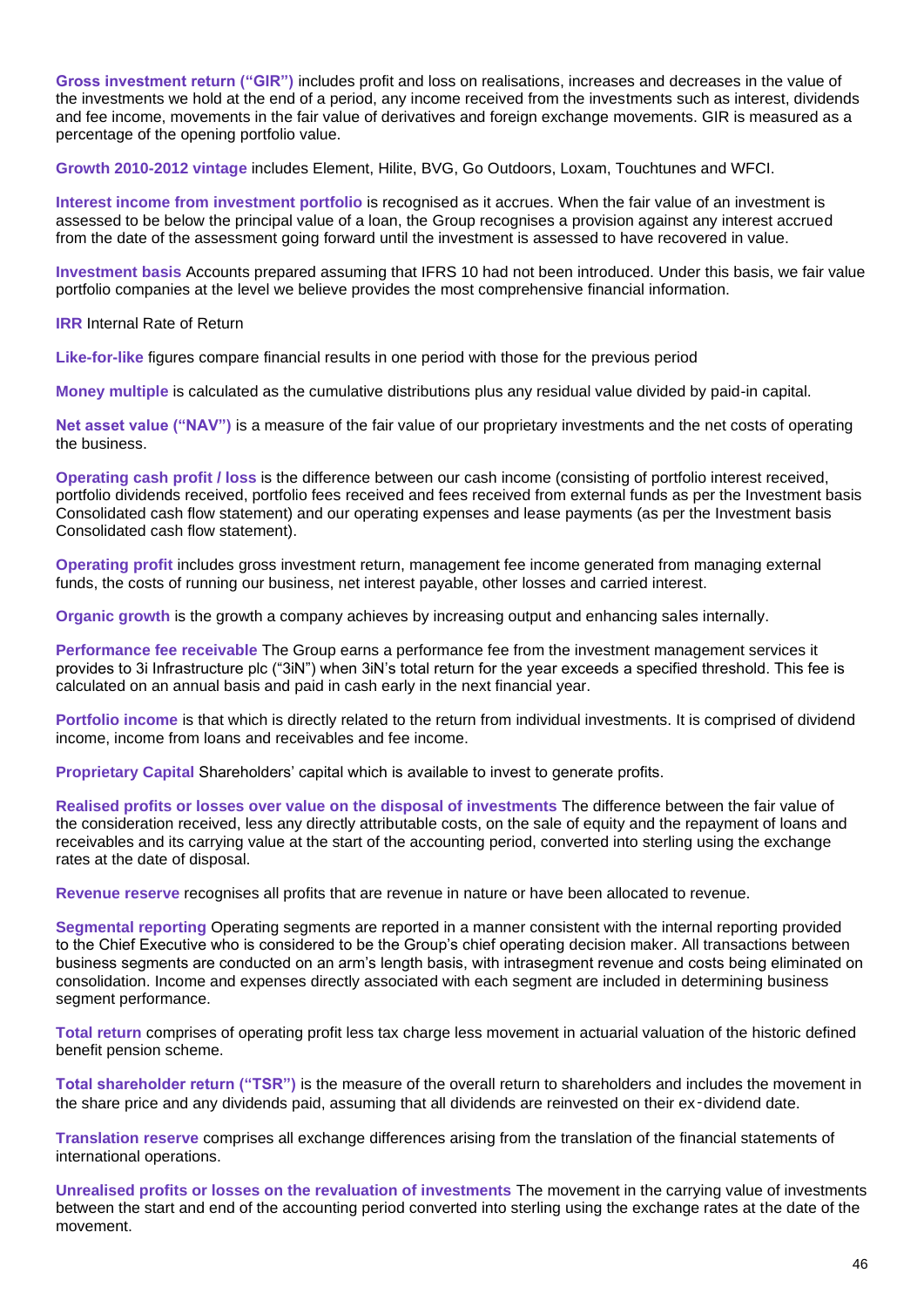**Gross investment return ("GIR")** includes profit and loss on realisations, increases and decreases in the value of the investments we hold at the end of a period, any income received from the investments such as interest, dividends and fee income, movements in the fair value of derivatives and foreign exchange movements. GIR is measured as a percentage of the opening portfolio value.

**Growth 2010-2012 vintage** includes Element, Hilite, BVG, Go Outdoors, Loxam, Touchtunes and WFCI.

**Interest income from investment portfolio** is recognised as it accrues. When the fair value of an investment is assessed to be below the principal value of a loan, the Group recognises a provision against any interest accrued from the date of the assessment going forward until the investment is assessed to have recovered in value.

**Investment basis** Accounts prepared assuming that IFRS 10 had not been introduced. Under this basis, we fair value portfolio companies at the level we believe provides the most comprehensive financial information.

**IRR** Internal Rate of Return

**Like-for-like** [figures](https://dictionary.cambridge.org/dictionary/english/figure) [compare](https://dictionary.cambridge.org/dictionary/english/compare) [financial](https://dictionary.cambridge.org/dictionary/english/finance) [results](https://dictionary.cambridge.org/dictionary/english/result) in one [period](https://dictionary.cambridge.org/dictionary/english/period) with those for the [previous](https://dictionary.cambridge.org/dictionary/english/previous) [period](https://dictionary.cambridge.org/dictionary/english/period)

**Money multiple** is calculated as the cumulative distributions plus any residual value divided by paid-in capital.

**Net asset value ("NAV")** is a measure of the fair value of our proprietary investments and the net costs of operating the business.

**Operating cash profit / loss** is the difference between our cash income (consisting of portfolio interest received, portfolio dividends received, portfolio fees received and fees received from external funds as per the Investment basis Consolidated cash flow statement) and our operating expenses and lease payments (as per the Investment basis Consolidated cash flow statement).

**Operating profit** includes gross investment return, management fee income generated from managing external funds, the costs of running our business, net interest payable, other losses and carried interest.

**Organic growth** is the growth a company achieves by increasing output and enhancing sales internally.

**Performance fee receivable** The Group earns a performance fee from the investment management services it provides to 3i Infrastructure plc ("3iN") when 3iN's total return for the year exceeds a specified threshold. This fee is calculated on an annual basis and paid in cash early in the next financial year.

**Portfolio income** is that which is directly related to the return from individual investments. It is comprised of dividend income, income from loans and receivables and fee income.

**Proprietary Capital** Shareholders' capital which is available to invest to generate profits.

**Realised profits or losses over value on the disposal of investments** The difference between the fair value of the consideration received, less any directly attributable costs, on the sale of equity and the repayment of loans and receivables and its carrying value at the start of the accounting period, converted into sterling using the exchange rates at the date of disposal.

**Revenue reserve** recognises all profits that are revenue in nature or have been allocated to revenue.

**Segmental reporting** Operating segments are reported in a manner consistent with the internal reporting provided to the Chief Executive who is considered to be the Group's chief operating decision maker. All transactions between business segments are conducted on an arm's length basis, with intrasegment revenue and costs being eliminated on consolidation. Income and expenses directly associated with each segment are included in determining business segment performance.

**Total return** comprises of operating profit less tax charge less movement in actuarial valuation of the historic defined benefit pension scheme.

**Total shareholder return ("TSR")** is the measure of the overall return to shareholders and includes the movement in the share price and any dividends paid, assuming that all dividends are reinvested on their ex-dividend date.

**Translation reserve** comprises all exchange differences arising from the translation of the financial statements of international operations.

**Unrealised profits or losses on the revaluation of investments** The movement in the carrying value of investments between the start and end of the accounting period converted into sterling using the exchange rates at the date of the movement.